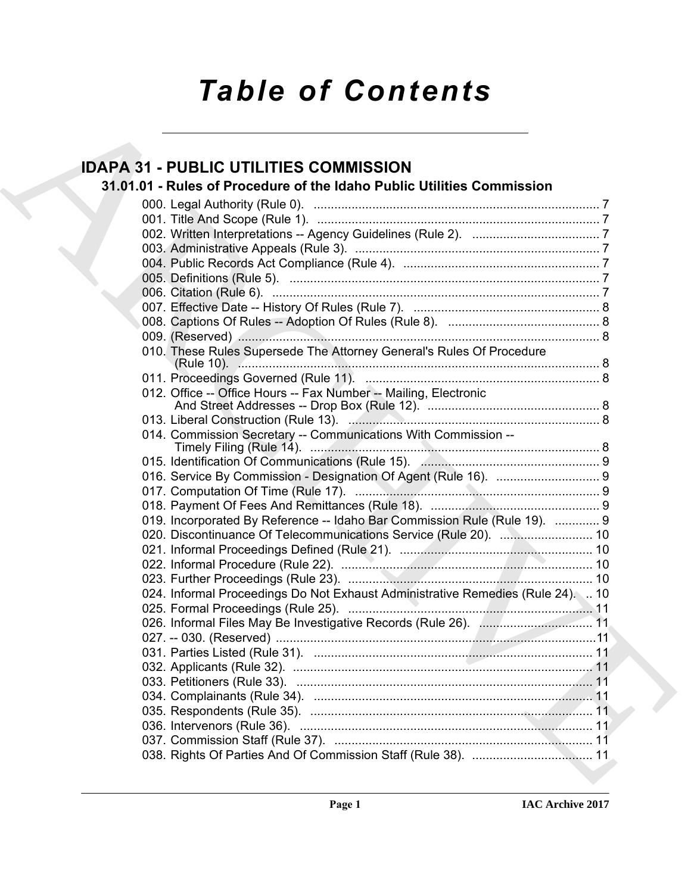# *Table of Contents*

### ID[A](#page-6-0)PA 31 - PUBL[I](#page-8-2)C UTILITI[E](#page-10-2)S COMMISSION<br>
31.01.01 - Niet of Procedure of the Idaho Public Utilities Commission<br>
27<br>
000. Legal Authority (Rule 0).<br>
27<br>
000. Legal Authority (Rule 0).<br>
27<br>
000. Legal Authority (Rule 0).<br>
27 **IDAPA 31 - PUBLIC UTILITIES COMMISSION 31.01.01 - Rules of Procedure of the Idaho Public Utilities Commission** 000. Legal Authority (Rule 0). ................................................................................... 7 001. Title And Scope (Rule 1). .................................................................................. 7 002. Written Interpretations -- Agency Guidelines (Rule 2). ..................................... 7 003. Administrative Appeals (Rule 3). ....................................................................... 7 004. Public Records Act Compliance (Rule 4). ......................................................... 7 005. Definitions (Rule 5). .......................................................................................... 7 006. Citation (Rule 6). ............................................................................................... 7 007. Effective Date -- History Of Rules (Rule 7). ...................................................... 8 008. Captions Of Rules -- Adoption Of Rules (Rule 8). ............................................ 8 009. (Reserved) ......................................................................................................... 8 010. These Rules Supersede The Attorney General's Rules Of Procedure (Rule 10). ......................................................................................................... 8 011. Proceedings Governed (Rule 11). .................................................................... 8 012. Office -- Office Hours -- Fax Number -- Mailing, Electronic And Street Addresses -- Drop Box (Rule 12). .................................................. 8 013. Liberal Construction (Rule 13). ......................................................................... 8 014. Commission Secretary -- Communications With Commission -- Timely Filing (Rule 14). .................................................................................... 8 015. Identification Of Communications (Rule 15). .................................................... 9 016. Service By Commission - Designation Of Agent (Rule 16). .............................. 9 017. Computation Of Time (Rule 17). ....................................................................... 9 018. Payment Of Fees And Remittances (Rule 18). ................................................. 9 019. Incorporated By Reference -- Idaho Bar Commission Rule (Rule 19). ............. 9 020. Discontinuance Of Telecommunications Service (Rule 20). ................................. 10 021. Informal Proceedings Defined (Rule 21). ........................................................ 10 022. Informal Procedure (Rule 22). ......................................................................... 10 023. Further Proceedings (Rule 23). ....................................................................... 10 024. Informal Proceedings Do Not Exhaust Administrative Remedies (Rule 24). .. 10 025. Formal Proceedings (Rule 25). ....................................................................... 11 026. Informal Files May Be Investigative Records (Rule 26). ................................. 11 027. -- 030. (Reserved) .............................................................................................11 031. Parties Listed (Rule 31). ................................................................................. 11 032. Applicants (Rule 32). ....................................................................................... 11 033. Petitioners (Rule 33). ...................................................................................... 11 034. Complainants (Rule 34). ................................................................................. 11 035. Respondents (Rule 35). .................................................................................. 11 036. Intervenors (Rule 36). ..................................................................................... 11 037. Commission Staff (Rule 37). ........................................................................... 11 038. Rights Of Parties And Of Commission Staff (Rule 38). ................................... 11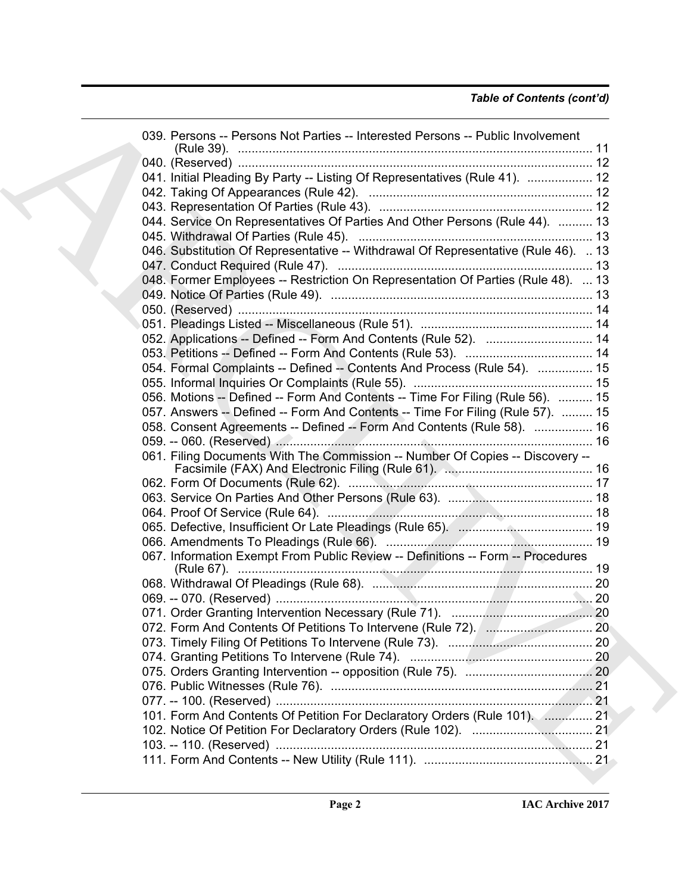| 039. Persons -- Persons Not Parties -- Interested Persons -- Public Involvement    |  |
|------------------------------------------------------------------------------------|--|
|                                                                                    |  |
| 041. Initial Pleading By Party -- Listing Of Representatives (Rule 41).  12        |  |
|                                                                                    |  |
|                                                                                    |  |
| 044. Service On Representatives Of Parties And Other Persons (Rule 44).  13        |  |
|                                                                                    |  |
| 046. Substitution Of Representative -- Withdrawal Of Representative (Rule 46).  13 |  |
|                                                                                    |  |
| 048. Former Employees -- Restriction On Representation Of Parties (Rule 48).  13   |  |
|                                                                                    |  |
|                                                                                    |  |
|                                                                                    |  |
| 052. Applications -- Defined -- Form And Contents (Rule 52).  14                   |  |
|                                                                                    |  |
| 054. Formal Complaints -- Defined -- Contents And Process (Rule 54).  15           |  |
|                                                                                    |  |
| 056. Motions -- Defined -- Form And Contents -- Time For Filing (Rule 56).  15     |  |
| 057. Answers -- Defined -- Form And Contents -- Time For Filing (Rule 57).  15     |  |
| 058. Consent Agreements -- Defined -- Form And Contents (Rule 58).  16             |  |
|                                                                                    |  |
|                                                                                    |  |
| 061. Filing Documents With The Commission -- Number Of Copies -- Discovery --      |  |
|                                                                                    |  |
|                                                                                    |  |
|                                                                                    |  |
|                                                                                    |  |
|                                                                                    |  |
|                                                                                    |  |
| 067. Information Exempt From Public Review -- Definitions -- Form -- Procedures    |  |
|                                                                                    |  |
|                                                                                    |  |
|                                                                                    |  |
|                                                                                    |  |
|                                                                                    |  |
|                                                                                    |  |
|                                                                                    |  |
|                                                                                    |  |
|                                                                                    |  |
|                                                                                    |  |
| 101. Form And Contents Of Petition For Declaratory Orders (Rule 101).  21          |  |
|                                                                                    |  |
|                                                                                    |  |
|                                                                                    |  |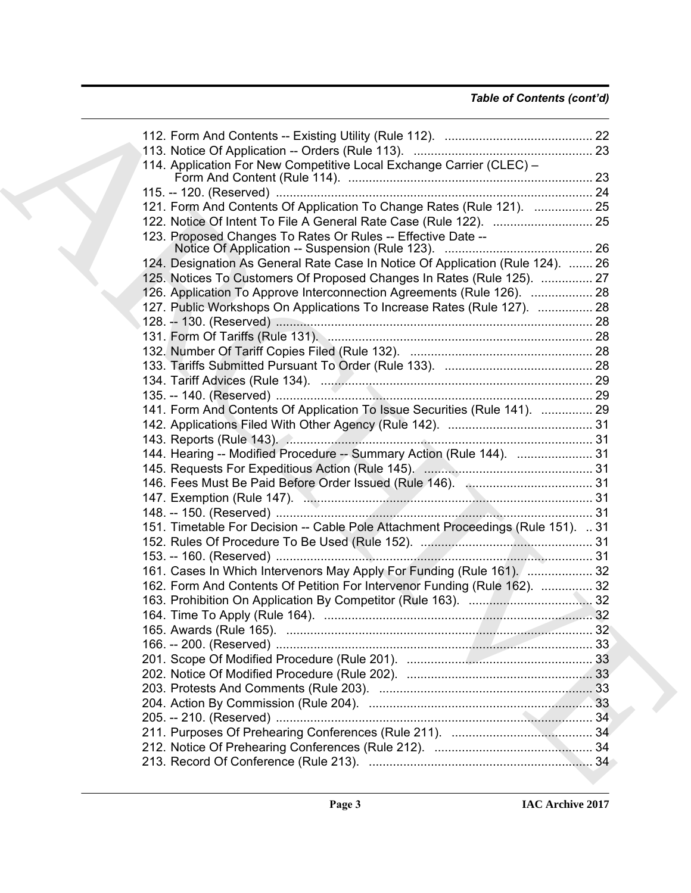### *Table of Contents (cont'd)*

| 114. Application For New Competitive Local Exchange Carrier (CLEC) -            |  |
|---------------------------------------------------------------------------------|--|
|                                                                                 |  |
| 121. Form And Contents Of Application To Change Rates (Rule 121).  25           |  |
|                                                                                 |  |
| 123. Proposed Changes To Rates Or Rules -- Effective Date --                    |  |
|                                                                                 |  |
| 124. Designation As General Rate Case In Notice Of Application (Rule 124).  26  |  |
| 125. Notices To Customers Of Proposed Changes In Rates (Rule 125).  27          |  |
| 126. Application To Approve Interconnection Agreements (Rule 126).  28          |  |
| 127. Public Workshops On Applications To Increase Rates (Rule 127).  28         |  |
|                                                                                 |  |
|                                                                                 |  |
|                                                                                 |  |
|                                                                                 |  |
|                                                                                 |  |
|                                                                                 |  |
|                                                                                 |  |
| 141. Form And Contents Of Application To Issue Securities (Rule 141).  29       |  |
|                                                                                 |  |
|                                                                                 |  |
| 144. Hearing -- Modified Procedure -- Summary Action (Rule 144).  31            |  |
|                                                                                 |  |
|                                                                                 |  |
|                                                                                 |  |
|                                                                                 |  |
| 151. Timetable For Decision -- Cable Pole Attachment Proceedings (Rule 151). 31 |  |
|                                                                                 |  |
|                                                                                 |  |
| 161. Cases In Which Intervenors May Apply For Funding (Rule 161).  32           |  |
| 162. Form And Contents Of Petition For Intervenor Funding (Rule 162).  32       |  |
|                                                                                 |  |
|                                                                                 |  |
|                                                                                 |  |
|                                                                                 |  |
|                                                                                 |  |
|                                                                                 |  |
|                                                                                 |  |
|                                                                                 |  |
|                                                                                 |  |
|                                                                                 |  |
|                                                                                 |  |
|                                                                                 |  |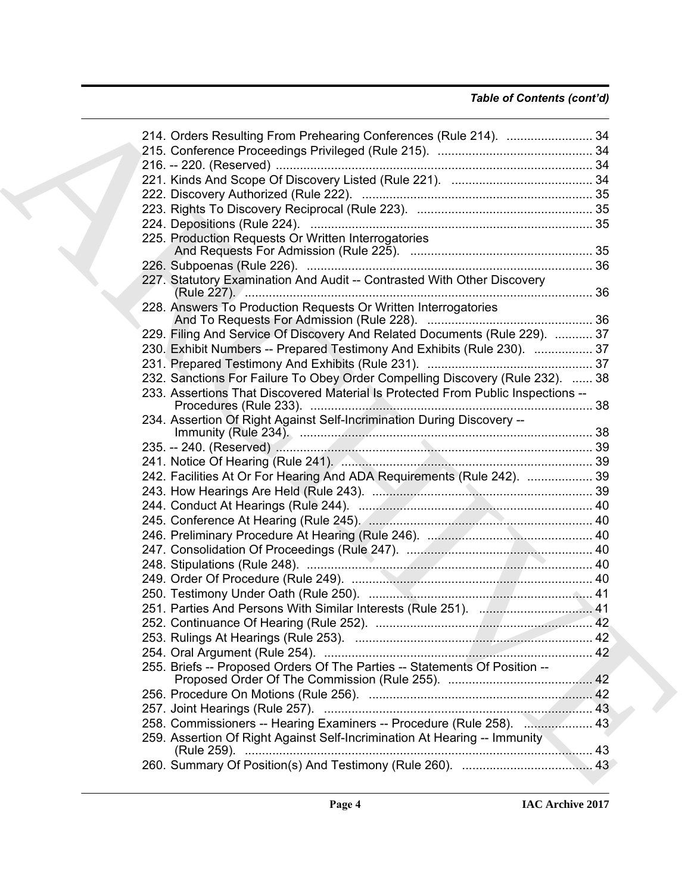| 214. Orders Resulting From Prehearing Conferences (Rule 214).  34                |  |
|----------------------------------------------------------------------------------|--|
|                                                                                  |  |
|                                                                                  |  |
|                                                                                  |  |
|                                                                                  |  |
|                                                                                  |  |
|                                                                                  |  |
| 225. Production Requests Or Written Interrogatories                              |  |
|                                                                                  |  |
|                                                                                  |  |
| 227. Statutory Examination And Audit -- Contrasted With Other Discovery          |  |
| 228. Answers To Production Requests Or Written Interrogatories                   |  |
|                                                                                  |  |
| 229. Filing And Service Of Discovery And Related Documents (Rule 229).  37       |  |
| 230. Exhibit Numbers -- Prepared Testimony And Exhibits (Rule 230).  37          |  |
|                                                                                  |  |
| 232. Sanctions For Failure To Obey Order Compelling Discovery (Rule 232).  38    |  |
| 233. Assertions That Discovered Material Is Protected From Public Inspections -- |  |
| 234. Assertion Of Right Against Self-Incrimination During Discovery --           |  |
|                                                                                  |  |
|                                                                                  |  |
| 242. Facilities At Or For Hearing And ADA Requirements (Rule 242).  39           |  |
|                                                                                  |  |
|                                                                                  |  |
|                                                                                  |  |
|                                                                                  |  |
|                                                                                  |  |
|                                                                                  |  |
|                                                                                  |  |
|                                                                                  |  |
|                                                                                  |  |
|                                                                                  |  |
|                                                                                  |  |
|                                                                                  |  |
| 255. Briefs -- Proposed Orders Of The Parties -- Statements Of Position --       |  |
|                                                                                  |  |
|                                                                                  |  |
| 258. Commissioners -- Hearing Examiners -- Procedure (Rule 258).  43             |  |
| 259. Assertion Of Right Against Self-Incrimination At Hearing -- Immunity        |  |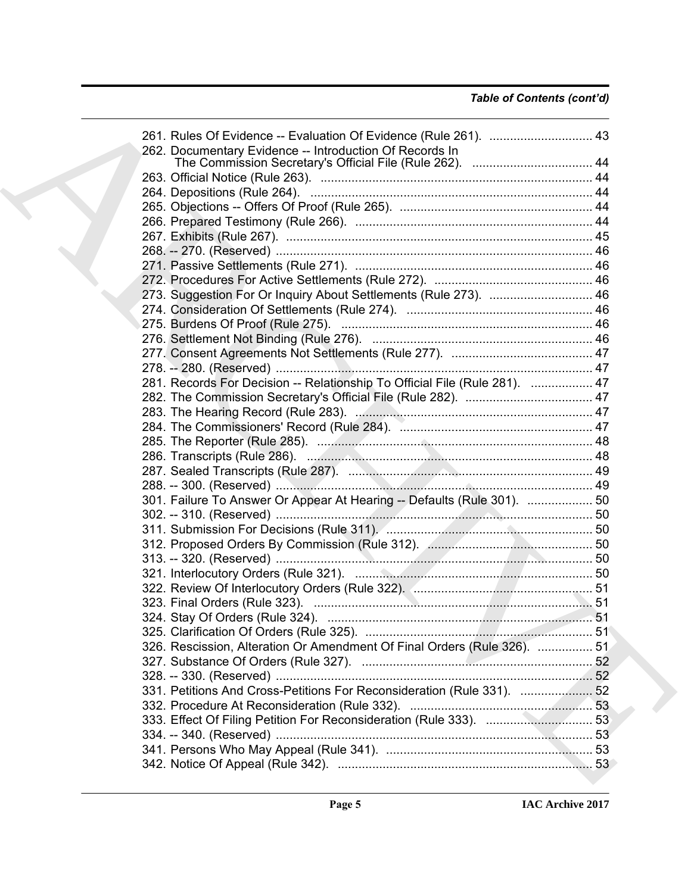| 261. Rules Of Evidence -- Evaluation Of Evidence (Rule 261).  43           |  |
|----------------------------------------------------------------------------|--|
| 262. Documentary Evidence -- Introduction Of Records In                    |  |
|                                                                            |  |
|                                                                            |  |
|                                                                            |  |
|                                                                            |  |
|                                                                            |  |
|                                                                            |  |
|                                                                            |  |
|                                                                            |  |
|                                                                            |  |
| 273. Suggestion For Or Inquiry About Settlements (Rule 273).  46           |  |
|                                                                            |  |
|                                                                            |  |
|                                                                            |  |
|                                                                            |  |
|                                                                            |  |
| 281. Records For Decision -- Relationship To Official File (Rule 281).  47 |  |
|                                                                            |  |
|                                                                            |  |
|                                                                            |  |
|                                                                            |  |
|                                                                            |  |
|                                                                            |  |
|                                                                            |  |
|                                                                            |  |
| 301. Failure To Answer Or Appear At Hearing -- Defaults (Rule 301).  50    |  |
|                                                                            |  |
|                                                                            |  |
|                                                                            |  |
|                                                                            |  |
|                                                                            |  |
|                                                                            |  |
|                                                                            |  |
|                                                                            |  |
|                                                                            |  |
| 326. Rescission, Alteration Or Amendment Of Final Orders (Rule 326).  51   |  |
|                                                                            |  |
|                                                                            |  |
| 331. Petitions And Cross-Petitions For Reconsideration (Rule 331).  52     |  |
|                                                                            |  |
|                                                                            |  |
|                                                                            |  |
|                                                                            |  |
|                                                                            |  |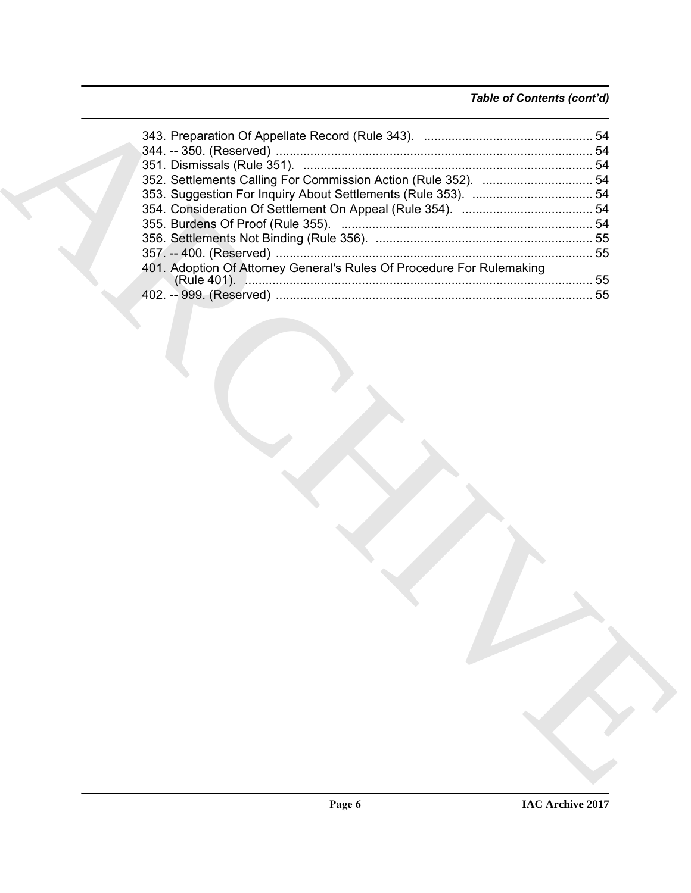### *Table of Contents (cont'd)*

| 401. Adoption Of Attorney General's Rules Of Procedure For Rulemaking |  |
|-----------------------------------------------------------------------|--|
|                                                                       |  |
|                                                                       |  |
|                                                                       |  |
|                                                                       |  |
|                                                                       |  |
|                                                                       |  |
|                                                                       |  |
|                                                                       |  |
|                                                                       |  |
|                                                                       |  |
|                                                                       |  |
|                                                                       |  |
|                                                                       |  |
|                                                                       |  |
|                                                                       |  |
|                                                                       |  |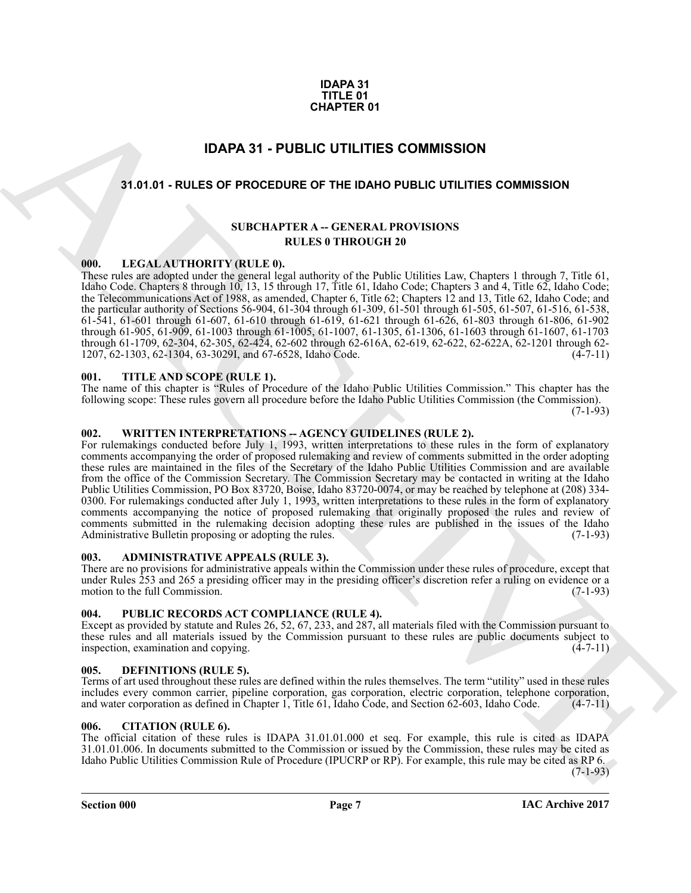#### **IDAPA 31 TITLE 01 CHAPTER 01**

### **IDAPA 31 - PUBLIC UTILITIES COMMISSION**

#### <span id="page-6-1"></span><span id="page-6-0"></span>**31.01.01 - RULES OF PROCEDURE OF THE IDAHO PUBLIC UTILITIES COMMISSION**

#### **SUBCHAPTER A -- GENERAL PROVISIONS RULES 0 THROUGH 20**

#### <span id="page-6-2"></span>**000. LEGAL AUTHORITY (RULE 0).**

These rules are adopted under the general legal authority of the Public Utilities Law, Chapters 1 through 7, Title 61, Idaho Code. Chapters 8 through 10, 13, 15 through 17, Title 61, Idaho Code; Chapters 3 and 4, Title 62, Idaho Code; the Telecommunications Act of 1988, as amended, Chapter 6, Title 62; Chapters 12 and 13, Title 62, Idaho Code; and the particular authority of Sections 56-904, 61-304 through 61-309, 61-501 through 61-505, 61-507, 61-516, 61-538, 61-541, 61-601 through 61-607, 61-610 through 61-619, 61-621 through 61-626, 61-803 through 61-806, 61-902 through 61-905, 61-909, 61-1003 through 61-1005, 61-1007, 61-1305, 61-1306, 61-1603 through 61-1607, 61-1703 through 61-1709, 62-304, 62-305, 62-424, 62-602 through 62-616A, 62-619, 62-622, 62-622A, 62-1201 through 62- 1207, 62-1303, 62-1304, 63-3029I, and 67-6528, Idaho Code. (4-7-11)

#### <span id="page-6-3"></span>**001. TITLE AND SCOPE (RULE 1).**

The name of this chapter is "Rules of Procedure of the Idaho Public Utilities Commission." This chapter has the following scope: These rules govern all procedure before the Idaho Public Utilities Commission (the Commission).  $(7-1-93)$ 

#### <span id="page-6-4"></span>**002. WRITTEN INTERPRETATIONS -- AGENCY GUIDELINES (RULE 2).**

**CHAPTER 01**<br> **IDAPA 31 - PUBLIC UTILITIES COMMISSION**<br> **ARCHIVE AND CONTINUES COMMISSION**<br>
ARCHIVE AND CONTINUES COMMISSION<br>
ARCHIVE AND CONTINUES COMMISSION<br>
ARCHIVE AND CONTINUES CONTINUES CONTINUES CONTINUES CONTINUES For rulemakings conducted before July 1, 1993, written interpretations to these rules in the form of explanatory comments accompanying the order of proposed rulemaking and review of comments submitted in the order adopting these rules are maintained in the files of the Secretary of the Idaho Public Utilities Commission and are available from the office of the Commission Secretary. The Commission Secretary may be contacted in writing at the Idaho Public Utilities Commission, PO Box 83720, Boise, Idaho 83720-0074, or may be reached by telephone at (208) 334- 0300. For rulemakings conducted after July 1, 1993, written interpretations to these rules in the form of explanatory comments accompanying the notice of proposed rulemaking that originally proposed the rules and review of comments submitted in the rulemaking decision adopting these rules are published in the issues of the Idaho Administrative Bulletin proposing or adopting the rules. (7-1-93)

#### <span id="page-6-5"></span>**003. ADMINISTRATIVE APPEALS (RULE 3).**

There are no provisions for administrative appeals within the Commission under these rules of procedure, except that under Rules 253 and 265 a presiding officer may in the presiding officer's discretion refer a ruling on evidence or a motion to the full Commission. (7-1-93)

#### <span id="page-6-6"></span>**004. PUBLIC RECORDS ACT COMPLIANCE (RULE 4).**

Except as provided by statute and Rules 26, 52, 67, 233, and 287, all materials filed with the Commission pursuant to these rules and all materials issued by the Commission pursuant to these rules are public documents subject to inspection, examination and copying. (4-7-11) inspection, examination and copying.

#### <span id="page-6-9"></span><span id="page-6-7"></span>**005. DEFINITIONS (RULE 5).**

Terms of art used throughout these rules are defined within the rules themselves. The term "utility" used in these rules includes every common carrier, pipeline corporation, gas corporation, electric corporation, telephone corporation, and water corporation as defined in Chapter 1, Title 61, Idaho Code, and Section 62-603, Idaho Code. (4-7-11)

#### <span id="page-6-8"></span>**006. CITATION (RULE 6).**

The official citation of these rules is IDAPA 31.01.01.000 et seq. For example, this rule is cited as IDAPA 31.01.01.006. In documents submitted to the Commission or issued by the Commission, these rules may be cited as Idaho Public Utilities Commission Rule of Procedure (IPUCRP or RP). For example, this rule may be cited as RP 6.

 $(7-1-93)$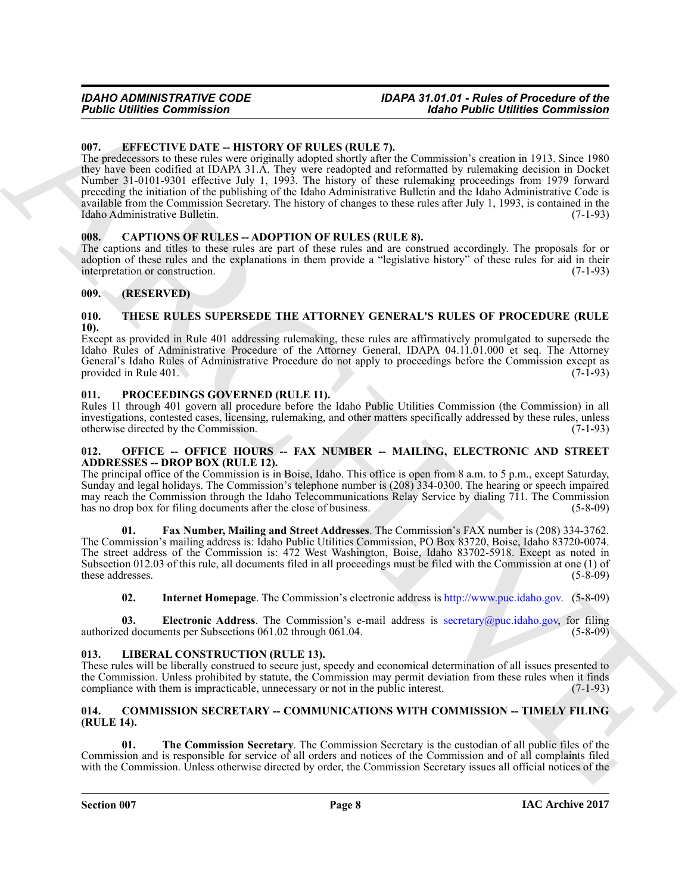#### <span id="page-7-0"></span>**007. EFFECTIVE DATE -- HISTORY OF RULES (RULE 7).**

**Foodie Commission**<br>
16. **EUVECT[IV](http://www.puc.idaho.gov)[E](mailto:secretary@puc.idaho.gov) DATE:** HISTORY OF RULES (RULE 7). **EVECTIVE DATE:** HISTORY IS a main and the main of the state of the state of the state of the state of the state of the state of the state of the state The predecessors to these rules were originally adopted shortly after the Commission's creation in 1913. Since 1980 they have been codified at IDAPA 31.A. They were readopted and reformatted by rulemaking decision in Docket Number 31-0101-9301 effective July 1, 1993. The history of these rulemaking proceedings from 1979 forward preceding the initiation of the publishing of the Idaho Administrative Bulletin and the Idaho Administrative Code is available from the Commission Secretary. The history of changes to these rules after July 1, 1993, is contained in the Idaho Administrative Bulletin. (7-1-93)

#### <span id="page-7-1"></span>**008. CAPTIONS OF RULES -- ADOPTION OF RULES (RULE 8).**

The captions and titles to these rules are part of these rules and are construed accordingly. The proposals for or adoption of these rules and the explanations in them provide a "legislative history" of these rules for aid in their interpretation or construction. (7-1-93) interpretation or construction.

#### <span id="page-7-2"></span>**009. (RESERVED)**

#### <span id="page-7-11"></span><span id="page-7-3"></span>**010. THESE RULES SUPERSEDE THE ATTORNEY GENERAL'S RULES OF PROCEDURE (RULE 10).**

Except as provided in Rule 401 addressing rulemaking, these rules are affirmatively promulgated to supersede the Idaho Rules of Administrative Procedure of the Attorney General, IDAPA 04.11.01.000 et seq. The Attorney General's Idaho Rules of Administrative Procedure do not apply to proceedings before the Commission except as provided in Rule 401. (7-1-93) provided in Rule 401.

#### <span id="page-7-10"></span><span id="page-7-4"></span>**011. PROCEEDINGS GOVERNED (RULE 11).**

Rules 11 through 401 govern all procedure before the Idaho Public Utilities Commission (the Commission) in all investigations, contested cases, licensing, rulemaking, and other matters specifically addressed by these rules, unless otherwise directed by the Commission. (7-1-93)

#### <span id="page-7-5"></span>**012. OFFICE -- OFFICE HOURS -- FAX NUMBER -- MAILING, ELECTRONIC AND STREET ADDRESSES -- DROP BOX (RULE 12).**

The principal office of the Commission is in Boise, Idaho. This office is open from 8 a.m. to 5 p.m., except Saturday, Sunday and legal holidays. The Commission's telephone number is (208) 334-0300. The hearing or speech impaired may reach the Commission through the Idaho Telecommunications Relay Service by dialing 711. The Commission has no drop box for filing documents after the close of business. (5-8-09)

**01. Fax Number, Mailing and Street Addresses**. The Commission's FAX number is (208) 334-3762. The Commission's mailing address is: Idaho Public Utilities Commission, PO Box 83720, Boise, Idaho 83720-0074. The street address of the Commission is: 472 West Washington, Boise, Idaho 83702-5918. Except as noted in Subsection 012.03 of this rule, all documents filed in all proceedings must be filed with the Commission at one (1) of these addresses. (5-8-09) these addresses.

**02. Internet Homepage**. The Commission's electronic address is http://www.puc.idaho.gov. (5-8-09)

**03. Electronic Address**. The Commission's e-mail address is secretary@puc.idaho.gov, for filing authorized documents per Subsections 061.02 through 061.04. (5-8-09)

#### <span id="page-7-6"></span>**013. LIBERAL CONSTRUCTION (RULE 13).**

These rules will be liberally construed to secure just, speedy and economical determination of all issues presented to the Commission. Unless prohibited by statute, the Commission may permit deviation from these rules when it finds compliance with them is impracticable, unnecessary or not in the public interest. (7-1-93) compliance with them is impracticable, unnecessary or not in the public interest.

#### <span id="page-7-8"></span><span id="page-7-7"></span>**014. COMMISSION SECRETARY -- COMMUNICATIONS WITH COMMISSION -- TIMELY FILING (RULE 14).**

<span id="page-7-9"></span>**01. The Commission Secretary**. The Commission Secretary is the custodian of all public files of the Commission and is responsible for service of all orders and notices of the Commission and of all complaints filed with the Commission. Unless otherwise directed by order, the Commission Secretary issues all official notices of the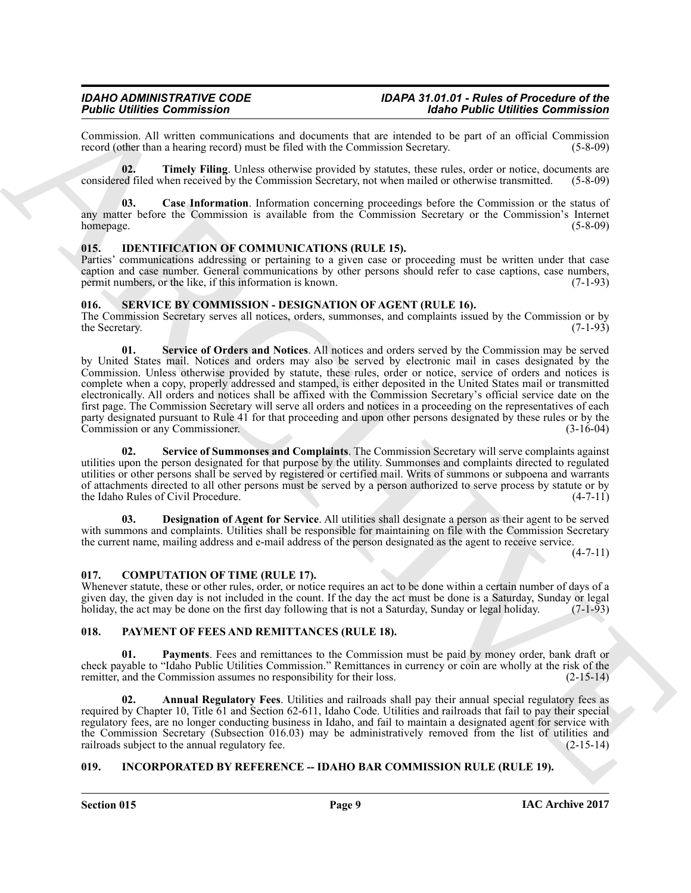Commission. All written communications and documents that are intended to be part of an official Commission record (other than a hearing record) must be filed with the Commission Secretary. (5-8-09) record (other than a hearing record) must be filed with the Commission Secretary.

<span id="page-8-6"></span>**02. Timely Filing**. Unless otherwise provided by statutes, these rules, order or notice, documents are considered filed when received by the Commission Secretary, not when mailed or otherwise transmitted. (5-8-09)

<span id="page-8-5"></span>**03. Case Information**. Information concerning proceedings before the Commission or the status of any matter before the Commission is available from the Commission Secretary or the Commission's Internet homepage. (5-8-09)

#### <span id="page-8-8"></span><span id="page-8-0"></span>**015. IDENTIFICATION OF COMMUNICATIONS (RULE 15).**

Parties' communications addressing or pertaining to a given case or proceeding must be written under that case caption and case number. General communications by other persons should refer to case captions, case numbers, permit numbers, or the like, if this information is known. (7-1-93)

#### <span id="page-8-12"></span><span id="page-8-1"></span>**016. SERVICE BY COMMISSION - DESIGNATION OF AGENT (RULE 16).**

<span id="page-8-14"></span>The Commission Secretary serves all notices, orders, summonses, and complaints issued by the Commission or by the Secretary. (7-1-93)

Folio Lembons Commission in the state of the state of the state of the state of the state of the state of the state of the state of the state of the state of the state of the state of the state of the state of the state o **01. Service of Orders and Notices**. All notices and orders served by the Commission may be served by United States mail. Notices and orders may also be served by electronic mail in cases designated by the Commission. Unless otherwise provided by statute, these rules, order or notice, service of orders and notices is complete when a copy, properly addressed and stamped, is either deposited in the United States mail or transmitted electronically. All orders and notices shall be affixed with the Commission Secretary's official service date on the first page. The Commission Secretary will serve all orders and notices in a proceeding on the representatives of each party designated pursuant to Rule 41 for that proceeding and upon other persons designated by these rules or by the Commission or any Commissioner. (3-16-04)

<span id="page-8-15"></span>Service of Summonses and Complaints. The Commission Secretary will serve complaints against utilities upon the person designated for that purpose by the utility. Summonses and complaints directed to regulated utilities or other persons shall be served by registered or certified mail. Writs of summons or subpoena and warrants of attachments directed to all other persons must be served by a person authorized to serve process by statute or by the Idaho Rules of Civil Procedure. (4-7-11)

<span id="page-8-13"></span>**03. Designation of Agent for Service**. All utilities shall designate a person as their agent to be served with summons and complaints. Utilities shall be responsible for maintaining on file with the Commission Secretary the current name, mailing address and e-mail address of the person designated as the agent to receive service.

 $(4 - 7 - 11)$ 

#### <span id="page-8-7"></span><span id="page-8-2"></span>**017. COMPUTATION OF TIME (RULE 17).**

Whenever statute, these or other rules, order, or notice requires an act to be done within a certain number of days of a given day, the given day is not included in the count. If the day the act must be done is a Saturday, Sunday or legal holiday, the act may be done on the first day following that is not a Saturday, Sunday or legal holiday. (7-1-93)

#### <span id="page-8-9"></span><span id="page-8-3"></span>**018. PAYMENT OF FEES AND REMITTANCES (RULE 18).**

<span id="page-8-11"></span>**01. Payments**. Fees and remittances to the Commission must be paid by money order, bank draft or check payable to "Idaho Public Utilities Commission." Remittances in currency or coin are wholly at the risk of the remitter, and the Commission assumes no responsibility for their loss.

<span id="page-8-10"></span>**02. Annual Regulatory Fees**. Utilities and railroads shall pay their annual special regulatory fees as required by Chapter 10, Title 61 and Section 62-611, Idaho Code. Utilities and railroads that fail to pay their special regulatory fees, are no longer conducting business in Idaho, and fail to maintain a designated agent for service with the Commission Secretary (Subsection 016.03) may be administratively removed from the list of utilities and railroads subject to the annual regulatory fee. (2-15-14) railroads subject to the annual regulatory fee.

#### <span id="page-8-4"></span>**019. INCORPORATED BY REFERENCE -- IDAHO BAR COMMISSION RULE (RULE 19).**

**Section 015 Page 9**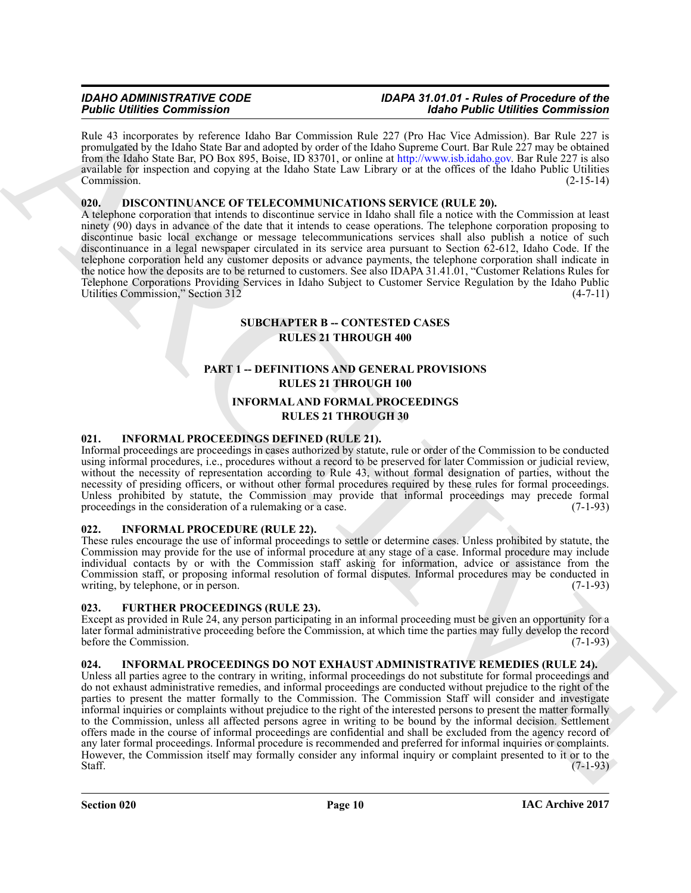Rule 43 incorporates by reference Idaho Bar Commission Rule 227 (Pro Hac Vice Admission). Bar Rule 227 is promulgated by the Idaho State Bar and adopted by order of the Idaho Supreme Court. Bar Rule 227 may be obtained from the Idaho State Bar, PO Box 895, Boise, ID 83701, or online at http://www.isb.idaho.gov. Bar Rule 227 is also available for inspection and copying at the Idaho State Law Library or at the offices of the Idaho Public Utilities Commission. (2-15-14)

#### <span id="page-9-6"></span><span id="page-9-0"></span>**020. DISCONTINUANCE OF TELECOMMUNICATIONS SERVICE (RULE 20).**

A telephone corporation that intends to discontinue service in Idaho shall file a notice with the Commission at least ninety (90) days in advance of the date that it intends to cease operations. The telephone corporation proposing to discontinue basic local exchange or message telecommunications services shall also publish a notice of such discontinuance in a legal newspaper circulated in its service area pursuant to Section 62-612, Idaho Code. If the telephone corporation held any customer deposits or advance payments, the telephone corporation shall indicate in the notice how the deposits are to be returned to customers. See also IDAPA 31.41.01, "Customer Relations Rules for Telephone Corporations Providing Services in Idaho Subject to Customer Service Regulation by the Idaho Public Utilities Commission," Section 312 (4-7-11)

### <span id="page-9-5"></span>**SUBCHAPTER B -- CONTESTED CASES RULES 21 THROUGH 400**

### **PART 1 -- DEFINITIONS AND GENERAL PROVISIONS RULES 21 THROUGH 100**

#### <span id="page-9-8"></span>**INFORMAL AND FORMAL PROCEEDINGS RULES 21 THROUGH 30**

#### <span id="page-9-10"></span><span id="page-9-1"></span>**021. INFORMAL PROCEEDINGS DEFINED (RULE 21).**

Informal proceedings are proceedings in cases authorized by statute, rule or order of the Commission to be conducted using informal procedures, i.e., procedures without a record to be preserved for later Commission or judicial review, without the necessity of representation according to Rule 43, without formal designation of parties, without the necessity of presiding officers, or without other formal procedures required by these rules for formal proceedings. Unless prohibited by statute, the Commission may provide that informal proceedings may precede formal proceedings in the consideration of a rulemaking or a case. (7-1-93)

#### <span id="page-9-9"></span><span id="page-9-2"></span>**022. INFORMAL PROCEDURE (RULE 22).**

These rules encourage the use of informal proceedings to settle or determine cases. Unless prohibited by statute, the Commission may provide for the use of informal procedure at any stage of a case. Informal procedure may include individual contacts by or with the Commission staff asking for information, advice or assistance from the Commission staff, or proposing informal resolution of formal disputes. Informal procedures may be conducted in writing, by telephone, or in person.  $(7-1-93)$ 

#### <span id="page-9-7"></span><span id="page-9-3"></span>**023. FURTHER PROCEEDINGS (RULE 23).**

Except as provided in Rule 24, any person participating in an informal proceeding must be given an opportunity for a later formal administrative proceeding before the Commission, at which time the parties may fully develop the record before the Commission. (7-1-93)

#### <span id="page-9-11"></span><span id="page-9-4"></span>**024. INFORMAL PROCEEDINGS DO NOT EXHAUST ADMINISTRATIVE REMEDIES (RULE 24).**

For the interaction of the state is a state of the state of the behind of the state of the state of the state of the state of the state of the state of the state of the state of the state of the state of the state of the Unless all parties agree to the contrary in writing, informal proceedings do not substitute for formal proceedings and do not exhaust administrative remedies, and informal proceedings are conducted without prejudice to the right of the parties to present the matter formally to the Commission. The Commission Staff will consider and investigate informal inquiries or complaints without prejudice to the right of the interested persons to present the matter formally to the Commission, unless all affected persons agree in writing to be bound by the informal decision. Settlement offers made in the course of informal proceedings are confidential and shall be excluded from the agency record of any later formal proceedings. Informal procedure is recommended and preferred for informal inquiries or complaints. However, the Commission itself may formally consider any informal inquiry or complaint presented to it or to the Staff.  $(7-1-93)$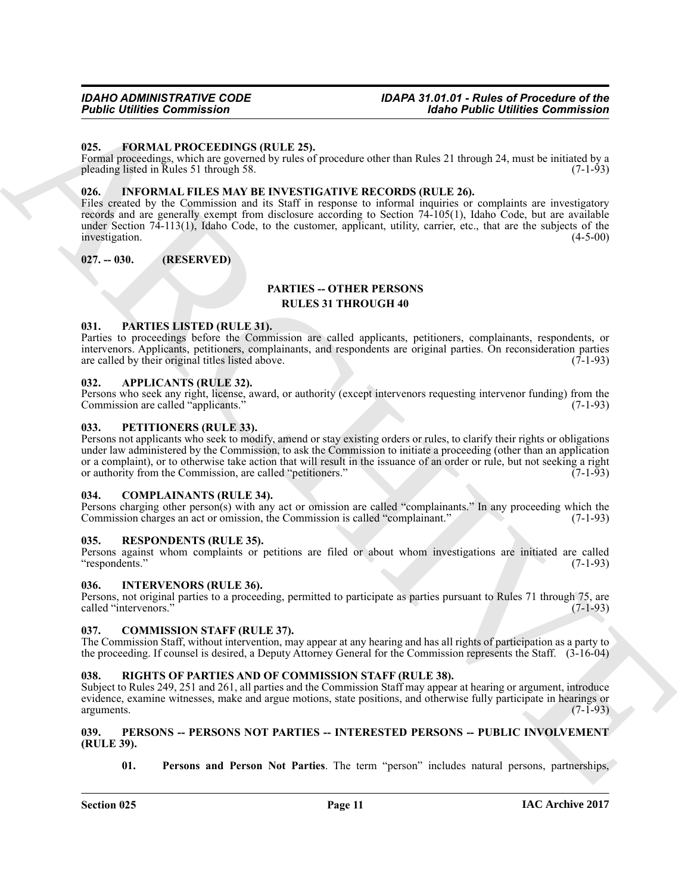#### <span id="page-10-15"></span><span id="page-10-0"></span>**025. FORMAL PROCEEDINGS (RULE 25).**

Formal proceedings, which are governed by rules of procedure other than Rules 21 through 24, must be initiated by a pleading listed in Rules 51 through 58. (7-1-93)

#### <span id="page-10-16"></span><span id="page-10-1"></span>**026. INFORMAL FILES MAY BE INVESTIGATIVE RECORDS (RULE 26).**

**Folding Commission**<br>
19. **FOLDAL INTEREST (ULLER)**<br>
19. **FOLDAL INTEREST (ULLER)**<br>
19. **FOLDAL INTEREST (ULLER)**<br>
19. **FOLDAL INTEREST (ULLER)**<br>
19. **FOLDAL INTEREST (ULLER)**<br>
19. **CONSULTANT INTEREST (ULLER)**<br>
19. **CONS** Files created by the Commission and its Staff in response to informal inquiries or complaints are investigatory records and are generally exempt from disclosure according to Section 74-105(1), Idaho Code, but are available under Section 74-113(1), Idaho Code, to the customer, applicant, utility, carrier, etc., that are the subjects of the investigation. (4-5-00)

#### <span id="page-10-2"></span>**027. -- 030. (RESERVED)**

### <span id="page-10-18"></span>**PARTIES -- OTHER PERSONS**

### **RULES 31 THROUGH 40**

#### <span id="page-10-19"></span><span id="page-10-3"></span>**031. PARTIES LISTED (RULE 31).**

Parties to proceedings before the Commission are called applicants, petitioners, complainants, respondents, or intervenors. Applicants, petitioners, complainants, and respondents are original parties. On reconsideration parties are called by their original titles listed above.

#### <span id="page-10-12"></span><span id="page-10-4"></span>**032. APPLICANTS (RULE 32).**

Persons who seek any right, license, award, or authority (except intervenors requesting intervenor funding) from the Commission are called "applicants." (7-1-93)

#### <span id="page-10-22"></span><span id="page-10-5"></span>**033. PETITIONERS (RULE 33).**

Persons not applicants who seek to modify, amend or stay existing orders or rules, to clarify their rights or obligations under law administered by the Commission, to ask the Commission to initiate a proceeding (other than an application or a complaint), or to otherwise take action that will result in the issuance of an order or rule, but not seeking a right or authority from the Commission, are called "petitioners." (7-1-93)

#### <span id="page-10-14"></span><span id="page-10-6"></span>**034. COMPLAINANTS (RULE 34).**

Persons charging other person(s) with any act or omission are called "complainants." In any proceeding which the Commission charges an act or omission, the Commission is called "complainant." (7-1-93)

#### <span id="page-10-23"></span><span id="page-10-7"></span>**035. RESPONDENTS (RULE 35).**

Persons against whom complaints or petitions are filed or about whom investigations are initiated are called "respondents." (7-1-93) "respondents."

#### <span id="page-10-17"></span><span id="page-10-8"></span>**036. INTERVENORS (RULE 36).**

Persons, not original parties to a proceeding, permitted to participate as parties pursuant to Rules 71 through 75, are called "intervenors." (7-1-93)

#### <span id="page-10-13"></span><span id="page-10-9"></span>**037. COMMISSION STAFF (RULE 37).**

The Commission Staff, without intervention, may appear at any hearing and has all rights of participation as a party to the proceeding. If counsel is desired, a Deputy Attorney General for the Commission represents the Staff. (3-16-04)

#### <span id="page-10-24"></span><span id="page-10-10"></span>**038. RIGHTS OF PARTIES AND OF COMMISSION STAFF (RULE 38).**

Subject to Rules 249, 251 and 261, all parties and the Commission Staff may appear at hearing or argument, introduce evidence, examine witnesses, make and argue motions, state positions, and otherwise fully participate in hearings or arguments. (7-1-93)

#### <span id="page-10-20"></span><span id="page-10-11"></span>**039. PERSONS -- PERSONS NOT PARTIES -- INTERESTED PERSONS -- PUBLIC INVOLVEMENT (RULE 39).**

<span id="page-10-21"></span>**01. Persons and Person Not Parties**. The term "person" includes natural persons, partnerships,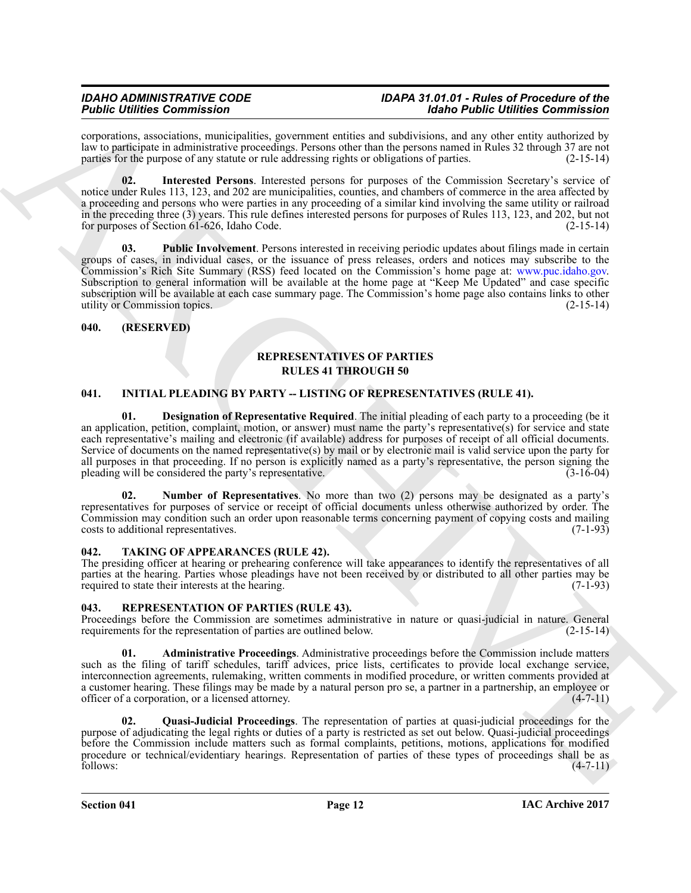corporations, associations, municipalities, government entities and subdivisions, and any other entity authorized by law to participate in administrative proceedings. Persons other than the persons named in Rules 32 through 37 are not parties for the purpose of any statute or rule addressing rights or obligations of parties. (2-15-14)

<span id="page-11-8"></span><span id="page-11-7"></span>**02. Interested Persons**. Interested persons for purposes of the Commission Secretary's service of notice under Rules 113, 123, and 202 are municipalities, counties, and chambers of commerce in the area affected by a proceeding and persons who were parties in any proceeding of a similar kind involving the same utility or railroad in the preceding three (3) years. This rule defines interested persons for purposes of Rules 113, 123, and 202, but not for purposes of Section 61-626, Idaho Code. (2-15-14)

For the interaction of the state of the state of the state of the behind the state of the state of the state of the state of the state of the state of the state of the state of the state of the state of the state of the s **03. Public Involvement**. Persons interested in receiving periodic updates about filings made in certain groups of cases, in individual cases, or the issuance of press releases, orders and notices may subscribe to the Commission's Rich Site Summary (RSS) feed located on the Commission's home page at: www.puc.idaho.gov. Subscription to general information will be available at the home page at "Keep Me Updated" and case specific subscription will be available at each case summary page. The Commission's home page also contains links to other utility or Commission topics. (2-15-14)

#### <span id="page-11-0"></span>**040. (RESERVED)**

### <span id="page-11-12"></span>**REPRESENTATIVES OF PARTIES RULES 41 THROUGH 50**

#### <span id="page-11-4"></span><span id="page-11-1"></span>**041. INITIAL PLEADING BY PARTY -- LISTING OF REPRESENTATIVES (RULE 41).**

<span id="page-11-5"></span>**Designation of Representative Required.** The initial pleading of each party to a proceeding (be it an application, petition, complaint, motion, or answer) must name the party's representative(s) for service and state each representative's mailing and electronic (if available) address for purposes of receipt of all official documents. Service of documents on the named representative(s) by mail or by electronic mail is valid service upon the party for all purposes in that proceeding. If no person is explicitly named as a party's representative, the person signing the pleading will be considered the party's representative. (3-16-04)

<span id="page-11-6"></span>**02. Number of Representatives**. No more than two (2) persons may be designated as a party's representatives for purposes of service or receipt of official documents unless otherwise authorized by order. The Commission may condition such an order upon reasonable terms concerning payment of copying costs and mailing costs to additional representatives. (7-1-93)

#### <span id="page-11-13"></span><span id="page-11-2"></span>**042. TAKING OF APPEARANCES (RULE 42).**

The presiding officer at hearing or prehearing conference will take appearances to identify the representatives of all parties at the hearing. Parties whose pleadings have not been received by or distributed to all other parties may be required to state their interests at the hearing. (7-1-93)

### <span id="page-11-9"></span><span id="page-11-3"></span>**043. REPRESENTATION OF PARTIES (RULE 43).**

Proceedings before the Commission are sometimes administrative in nature or quasi-judicial in nature. General requirements for the representation of parties are outlined below. (2-15-14) requirements for the representation of parties are outlined below.

<span id="page-11-10"></span>**01. Administrative Proceedings**. Administrative proceedings before the Commission include matters such as the filing of tariff schedules, tariff advices, price lists, certificates to provide local exchange service, interconnection agreements, rulemaking, written comments in modified procedure, or written comments provided at a customer hearing. These filings may be made by a natural person pro se, a partner in a partnership, an employee or officer of a corporation, or a licensed attorney. (4-7-11)

<span id="page-11-11"></span>**02. Quasi-Judicial Proceedings**. The representation of parties at quasi-judicial proceedings for the purpose of adjudicating the legal rights or duties of a party is restricted as set out below. Quasi-judicial proceedings before the Commission include matters such as formal complaints, petitions, motions, applications for modified procedure or technical/evidentiary hearings. Representation of parties of these types of proceedings shall be as follows: (4-7-11) follows: (4-7-11)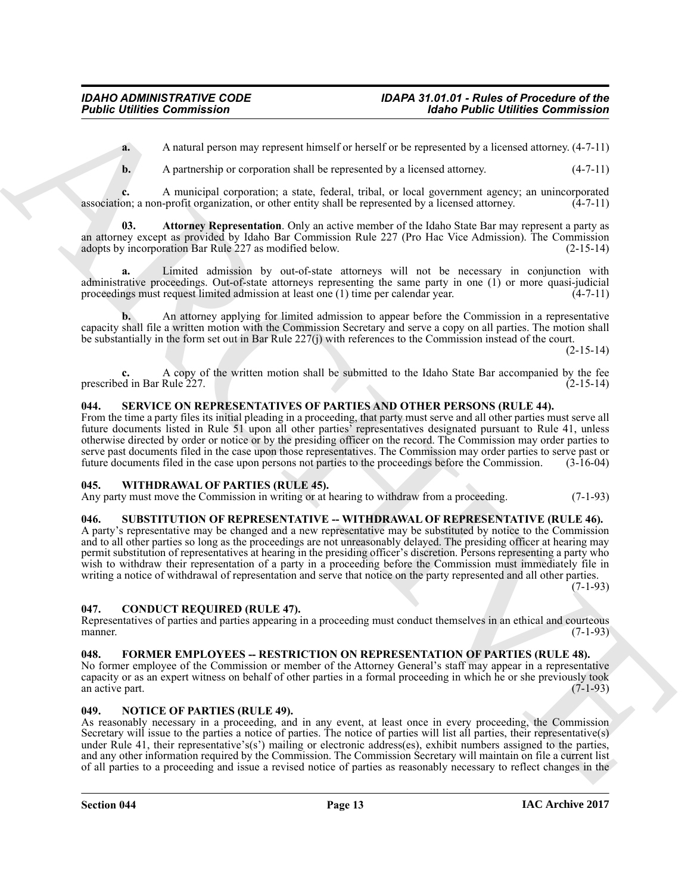**a.** A natural person may represent himself or herself or be represented by a licensed attorney.  $(4-7-11)$ 

<span id="page-12-9"></span>**b.** A partnership or corporation shall be represented by a licensed attorney. (4-7-11)

**c.** A municipal corporation; a state, federal, tribal, or local government agency; an unincorporated on: a non-profit organization, or other entity shall be represented by a licensed attorney. (4-7-11) association; a non-profit organization, or other entity shall be represented by a licensed attorney.

**03. Attorney Representation**. Only an active member of the Idaho State Bar may represent a party as an attorney except as provided by Idaho Bar Commission Rule 227 (Pro Hac Vice Admission). The Commission adopts by incorporation Bar Rule 227 as modified below. (2-15-14)

**a.** Limited admission by out-of-state attorneys will not be necessary in conjunction with administrative proceedings. Out-of-state attorneys representing the same party in one (1) or more quasi-judicial proceedings must request limited admission at least one (1) time per calendar year. (4-7-11)

**b.** An attorney applying for limited admission to appear before the Commission in a representative capacity shall file a written motion with the Commission Secretary and serve a copy on all parties. The motion shall be substantially in the form set out in Bar Rule 227(j) with references to the Commission instead of the court.

 $(2-15-14)$ 

**c.** A copy of the written motion shall be submitted to the Idaho State Bar accompanied by the fee prescribed in Bar Rule 227.

#### <span id="page-12-10"></span><span id="page-12-0"></span>**044. SERVICE ON REPRESENTATIVES OF PARTIES AND OTHER PERSONS (RULE 44).**

From the time a party files its initial pleading in a proceeding, that party must serve and all other parties must serve all future documents listed in Rule 51 upon all other parties' representatives designated pursuant to Rule 41, unless otherwise directed by order or notice or by the presiding officer on the record. The Commission may order parties to serve past documents filed in the case upon those representatives. The Commission may order parties to serve past or future documents filed in the case upon persons not parties to the proceedings before the Commission. (3-16-04)

#### <span id="page-12-12"></span><span id="page-12-1"></span>**045. WITHDRAWAL OF PARTIES (RULE 45).**

Any party must move the Commission in writing or at hearing to withdraw from a proceeding. (7-1-93)

#### <span id="page-12-11"></span><span id="page-12-2"></span>**046. SUBSTITUTION OF REPRESENTATIVE -- WITHDRAWAL OF REPRESENTATIVE (RULE 46).**

**Folding Commission**<br>
A A standard or commission (and the spectral distribution of the properties) of the spectral distribution (4.5)<br>
A A standard or competition and the spectral distribution (b) and the spectral distrib A party's representative may be changed and a new representative may be substituted by notice to the Commission and to all other parties so long as the proceedings are not unreasonably delayed. The presiding officer at hearing may permit substitution of representatives at hearing in the presiding officer's discretion. Persons representing a party who wish to withdraw their representation of a party in a proceeding before the Commission must immediately file in writing a notice of withdrawal of representation and serve that notice on the party represented and all other parties.  $(7-1-93)$ 

<span id="page-12-6"></span><span id="page-12-3"></span>**047. CONDUCT REQUIRED (RULE 47).**

Representatives of parties and parties appearing in a proceeding must conduct themselves in an ethical and courteous manner. (7-1-93)

#### <span id="page-12-7"></span><span id="page-12-4"></span>**048. FORMER EMPLOYEES -- RESTRICTION ON REPRESENTATION OF PARTIES (RULE 48).**

No former employee of the Commission or member of the Attorney General's staff may appear in a representative capacity or as an expert witness on behalf of other parties in a formal proceeding in which he or she previously took an active part.

#### <span id="page-12-8"></span><span id="page-12-5"></span>**049. NOTICE OF PARTIES (RULE 49).**

As reasonably necessary in a proceeding, and in any event, at least once in every proceeding, the Commission Secretary will issue to the parties a notice of parties. The notice of parties will list all parties, their representative(s) under Rule 41, their representative's(s') mailing or electronic address(es), exhibit numbers assigned to the parties, and any other information required by the Commission. The Commission Secretary will maintain on file a current list of all parties to a proceeding and issue a revised notice of parties as reasonably necessary to reflect changes in the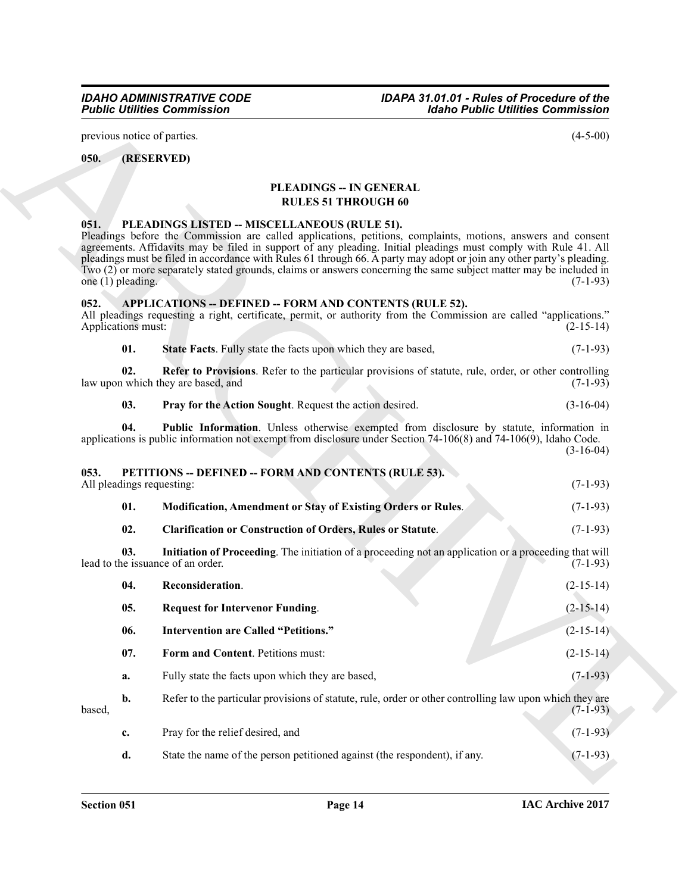previous notice of parties. (4-5-00)

#### <span id="page-13-0"></span>**050. (RESERVED)**

#### <span id="page-13-16"></span>**PLEADINGS -- IN GENERAL RULES 51 THROUGH 60**

#### <span id="page-13-17"></span><span id="page-13-1"></span>**051. PLEADINGS LISTED -- MISCELLANEOUS (RULE 51).**

Pleadings before the Commission are called applications, petitions, complaints, motions, answers and consent agreements. Affidavits may be filed in support of any pleading. Initial pleadings must comply with Rule 41. All pleadings must be filed in accordance with Rules 61 through 66. A party may adopt or join any other party's pleading. Two (2) or more separately stated grounds, claims or answers concerning the same subject matter may be included in one (1) pleading.  $(7-1-93)$ 

#### <span id="page-13-4"></span><span id="page-13-2"></span>**052. APPLICATIONS -- DEFINED -- FORM AND CONTENTS (RULE 52).**

All pleadings requesting a right, certificate, permit, or authority from the Commission are called "applications." Applications must: (2-15-14)

<span id="page-13-15"></span><span id="page-13-13"></span>

| 01.<br><b>State Facts.</b> Fully state the facts upon which they are based.<br>$(7-1-93)$ |
|-------------------------------------------------------------------------------------------|
|-------------------------------------------------------------------------------------------|

**02. Refer to Provisions**. Refer to the particular provisions of statute, rule, order, or other controlling law upon which they are based, and (7-1-93)

<span id="page-13-11"></span><span id="page-13-10"></span><span id="page-13-9"></span><span id="page-13-5"></span>

| 03. | <b>Pray for the Action Sought.</b> Request the action desired. | $(3-16-04)$ |
|-----|----------------------------------------------------------------|-------------|
|-----|----------------------------------------------------------------|-------------|

<span id="page-13-12"></span><span id="page-13-7"></span><span id="page-13-3"></span>**04. Public Information**. Unless otherwise exempted from disclosure by statute, information in applications is public information not exempt from disclosure under Section 74-106(8) and 74-106(9), Idaho Code. (3-16-04)

# **Folding Commission**<br>
The Commission (4-5-40)<br>
(1935 KWTM)<br>
(1938 KWTM)<br>
(1938 KWTM)<br>
(1938 KWTM)<br>
(1938 KWTM)<br>
(1938 KWTM)<br>
(1938 KWTM) (1938 THEODOCH 60<br>
(1938 The Commission control of the Commission of the Commission **053. PETITIONS -- DEFINED -- FORM AND CONTENTS (RULE 53).** All pleadings requesting: (7-1-93) **01. Modification, Amendment or Stay of Existing Orders or Rules**. (7-1-93) **02. Clarification or Construction of Orders, Rules or Statute**. (7-1-93) **03.** Initiation of Proceeding. The initiation of a proceeding not an application or a proceeding that will be issuance of an order. (7-1-93) lead to the issuance of an order. **04. Reconsideration**. (2-15-14) **05. Request for Intervenor Funding**. (2-15-14) **06. Intervention are Called "Petitions."** (2-15-14) **07.** Form and Content. Petitions must: (2-15-14) **a.** Fully state the facts upon which they are based,  $(7-1-93)$ **b.** Refer to the particular provisions of statute, rule, order or other controlling law upon which they are  $\beta$  based,  $(7-1-93)$ **c.** Pray for the relief desired, and (7-1-93)

<span id="page-13-14"></span><span id="page-13-8"></span><span id="page-13-6"></span>**d.** State the name of the person petitioned against (the respondent), if any. (7-1-93)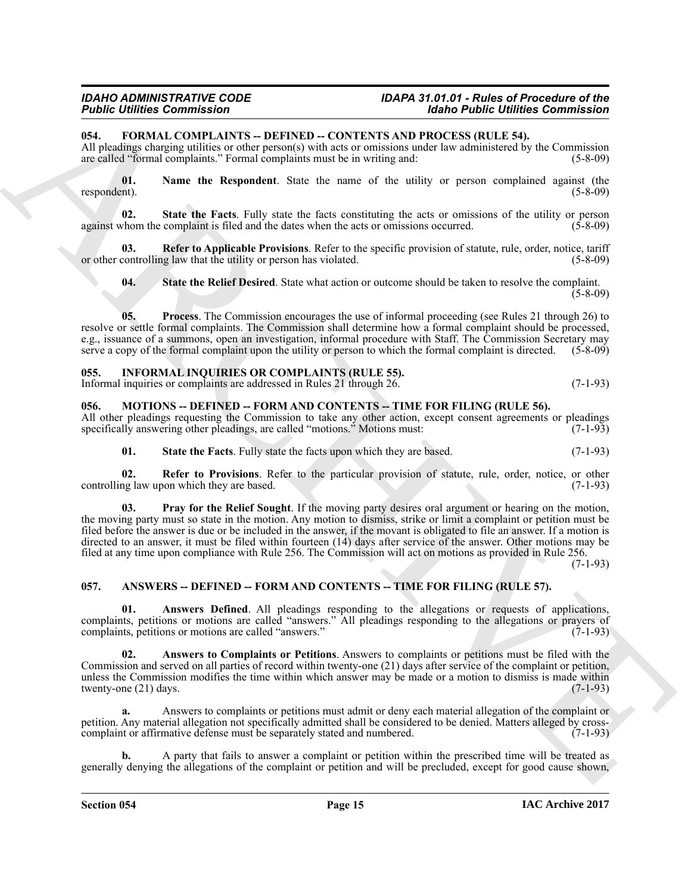#### <span id="page-14-7"></span><span id="page-14-0"></span>**054. FORMAL COMPLAINTS -- DEFINED -- CONTENTS AND PROCESS (RULE 54).**

All pleadings charging utilities or other person(s) with acts or omissions under law administered by the Commission are called "formal complaints." Formal complaints must be in writing and: (5-8-09)

<span id="page-14-8"></span>**01. Name the Respondent**. State the name of the utility or person complained against (the respondent). (5-8-09)

<span id="page-14-11"></span>**02. State the Facts**. Fully state the facts constituting the acts or omissions of the utility or person against whom the complaint is filed and the dates when the acts or omissions occurred. (5-8-09)

**03. Refer to Applicable Provisions**. Refer to the specific provision of statute, rule, order, notice, tariff or other controlling law that the utility or person has violated. (5-8-09)

<span id="page-14-12"></span><span id="page-14-10"></span><span id="page-14-9"></span>**04. State the Relief Desired**. State what action or outcome should be taken to resolve the complaint.  $(5-8-09)$ 

**05. Process**. The Commission encourages the use of informal proceeding (see Rules 21 through 26) to resolve or settle formal complaints. The Commission shall determine how a formal complaint should be processed, e.g., issuance of a summons, open an investigation, informal procedure with Staff. The Commission Secretary may serve a copy of the formal complaint upon the utility or person to which the formal complaint is directed. (5-8-09)

#### <span id="page-14-13"></span><span id="page-14-1"></span>**055. INFORMAL INQUIRIES OR COMPLAINTS (RULE 55).** Informal inquiries or complaints are addressed in Rules 21 through 26. (7-1-93)

#### <span id="page-14-14"></span><span id="page-14-2"></span>**056. MOTIONS -- DEFINED -- FORM AND CONTENTS -- TIME FOR FILING (RULE 56).**

All other pleadings requesting the Commission to take any other action, except consent agreements or pleadings specifically answering other pleadings, are called "motions." Motions must: (7-1-93)

<span id="page-14-17"></span><span id="page-14-16"></span><span id="page-14-15"></span>**01.** State the Facts. Fully state the facts upon which they are based. (7-1-93)

**02.** Refer to Provisions. Refer to the particular provision of statute, rule, order, notice, or other ng law upon which they are based. (7-1-93) controlling law upon which they are based.

**FIGURE COMMENTS CONTINUES CONTINUES AND PROCESS INCLUSION COMMENTS CONTINUES CONTINUES CONTINUES CONTINUES CONTINUES CONTINUES CONTINUES CONTINUES CONTINUES CONTINUES CONTINUES CONTINUES CONTINUES CONTINUES CONTINUES CON 03. Pray for the Relief Sought**. If the moving party desires oral argument or hearing on the motion, the moving party must so state in the motion. Any motion to dismiss, strike or limit a complaint or petition must be filed before the answer is due or be included in the answer, if the movant is obligated to file an answer. If a motion is directed to an answer, it must be filed within fourteen (14) days after service of the answer. Other motions may be filed at any time upon compliance with Rule 256. The Commission will act on motions as provided in Rule 256.

(7-1-93)

#### <span id="page-14-4"></span><span id="page-14-3"></span>**057. ANSWERS -- DEFINED -- FORM AND CONTENTS -- TIME FOR FILING (RULE 57).**

<span id="page-14-5"></span>**01. Answers Defined**. All pleadings responding to the allegations or requests of applications, complaints, petitions or motions are called "answers." All pleadings responding to the allegations or prayers of complaints, petitions or motions are called "answers." (7-1-93) complaints, petitions or motions are called "answers."

<span id="page-14-6"></span>**02. Answers to Complaints or Petitions**. Answers to complaints or petitions must be filed with the Commission and served on all parties of record within twenty-one (21) days after service of the complaint or petition, unless the Commission modifies the time within which answer may be made or a motion to dismiss is made within twenty-one  $(21)$  days.  $(7-1-93)$ twenty-one  $(21)$  days.

**a.** Answers to complaints or petitions must admit or deny each material allegation of the complaint or petition. Any material allegation not specifically admitted shall be considered to be denied. Matters alleged by crosscomplaint or affirmative defense must be separately stated and numbered. (7-1-93)

**b.** A party that fails to answer a complaint or petition within the prescribed time will be treated as generally denying the allegations of the complaint or petition and will be precluded, except for good cause shown,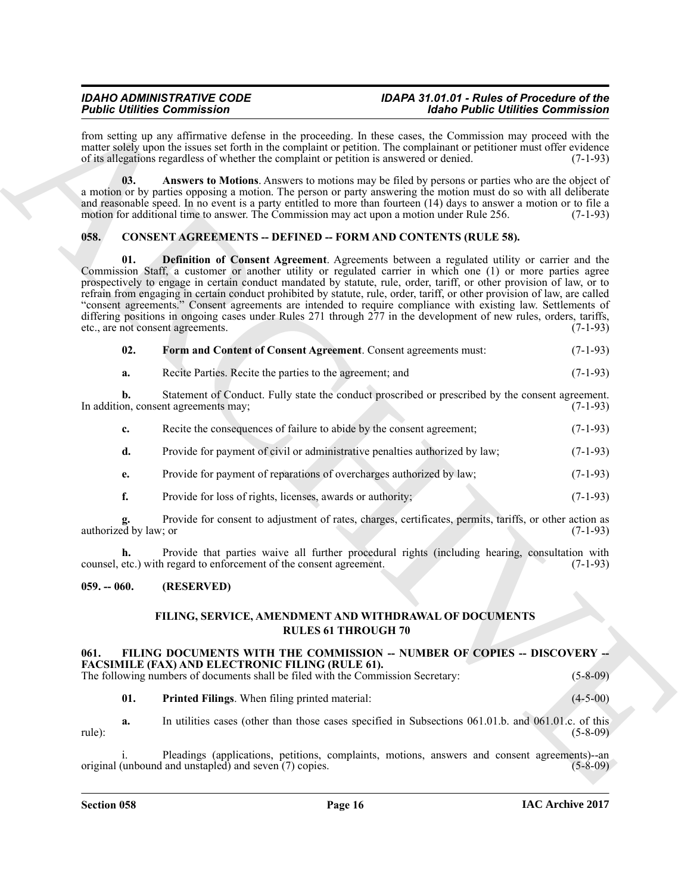from setting up any affirmative defense in the proceeding. In these cases, the Commission may proceed with the matter solely upon the issues set forth in the complaint or petition. The complainant or petitioner must offer evidence of its allegations regardless of whether the complaint or petition is answered or denied. (7-1-93)

<span id="page-15-3"></span>**03. Answers to Motions**. Answers to motions may be filed by persons or parties who are the object of a motion or by parties opposing a motion. The person or party answering the motion must do so with all deliberate and reasonable speed. In no event is a party entitled to more than fourteen (14) days to answer a motion or to file a motion for additional time to answer. The Commission may act upon a motion under Rule 256. (7-1-93)

#### <span id="page-15-5"></span><span id="page-15-4"></span><span id="page-15-0"></span>**058. CONSENT AGREEMENTS -- DEFINED -- FORM AND CONTENTS (RULE 58).**

Figure 10 contribute Conservation Conservative and the previous lie line was a figure of the conservative and the state of the state of the state of the state of the state of the state of the state of the state of the sta **01. Definition of Consent Agreement**. Agreements between a regulated utility or carrier and the Commission Staff, a customer or another utility or regulated carrier in which one (1) or more parties agree prospectively to engage in certain conduct mandated by statute, rule, order, tariff, or other provision of law, or to refrain from engaging in certain conduct prohibited by statute, rule, order, tariff, or other provision of law, are called "consent agreements." Consent agreements are intended to require compliance with existing law. Settlements of differing positions in ongoing cases under Rules 271 through 277 in the development of new rules, orders, tariffs, etc., are not consent agreements. (7-1-93)

<span id="page-15-6"></span>

| 02. |  | Form and Content of Consent Agreement. Consent agreements must: | $(7-1-93)$ |
|-----|--|-----------------------------------------------------------------|------------|
|     |  |                                                                 |            |

**a.** Recite Parties. Recite the parties to the agreement; and (7-1-93)

**b.** Statement of Conduct. Fully state the conduct proscribed or prescribed by the consent agreement. In addition, consent agreements may; (7-1-93)

| $c_{\rm}$ | Recite the consequences of failure to abide by the consent agreement;       | $(7-1-93)$ |
|-----------|-----------------------------------------------------------------------------|------------|
| d.        | Provide for payment of civil or administrative penalties authorized by law; | $(7-1-93)$ |
| e.        | Provide for payment of reparations of overcharges authorized by law;        | $(7-1-93)$ |

**f.** Provide for loss of rights, licenses, awards or authority; (7-1-93)

**g.** Provide for consent to adjustment of rates, charges, certificates, permits, tariffs, or other action as authorized by law; or (7-1-93)

**h.** Provide that parties waive all further procedural rights (including hearing, consultation with counsel, etc.) with regard to enforcement of the consent agreement. (7-1-93)

#### <span id="page-15-1"></span>**059. -- 060. (RESERVED)**

#### <span id="page-15-9"></span>**FILING, SERVICE, AMENDMENT AND WITHDRAWAL OF DOCUMENTS RULES 61 THROUGH 70**

#### <span id="page-15-7"></span><span id="page-15-2"></span>**061. FILING DOCUMENTS WITH THE COMMISSION -- NUMBER OF COPIES -- DISCOVERY -- FACSIMILE (FAX) AND ELECTRONIC FILING (RULE 61).**

The following numbers of documents shall be filed with the Commission Secretary: (5-8-09)

<span id="page-15-8"></span>**01. Printed Filings**. When filing printed material: (4-5-00)

**a.** In utilities cases (other than those cases specified in Subsections 061.01.b. and 061.01.c. of this rule): (5-8-09)

Pleadings (applications, petitions, complaints, motions, answers and consent agreements)--an original (unbound and unstapled) and seven (7) copies. (5-8-09)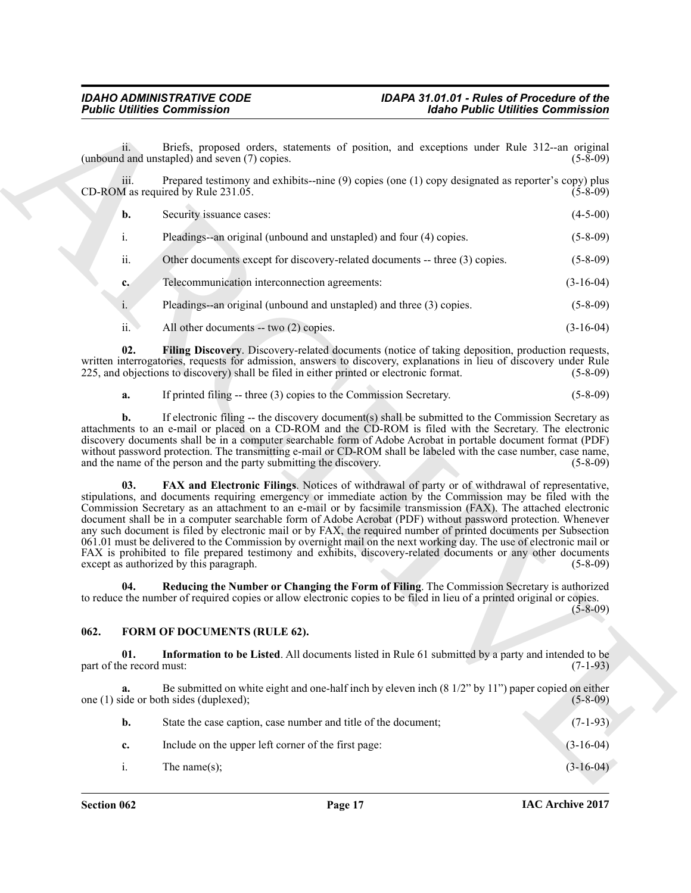<span id="page-16-2"></span>

|                                                                                                                                                                                                                                                                                                                                                                                                                                                                                                                                                                                                                                                                                                                                                                                                             | <b>Idaho Public Utilities Commission</b> |
|-------------------------------------------------------------------------------------------------------------------------------------------------------------------------------------------------------------------------------------------------------------------------------------------------------------------------------------------------------------------------------------------------------------------------------------------------------------------------------------------------------------------------------------------------------------------------------------------------------------------------------------------------------------------------------------------------------------------------------------------------------------------------------------------------------------|------------------------------------------|
| Briefs, proposed orders, statements of position, and exceptions under Rule 312--an original<br>(unbound and unstapled) and seven (7) copies.                                                                                                                                                                                                                                                                                                                                                                                                                                                                                                                                                                                                                                                                | $(5-8-09)$                               |
| Prepared testimony and exhibits--nine (9) copies (one (1) copy designated as reporter's copy) plus                                                                                                                                                                                                                                                                                                                                                                                                                                                                                                                                                                                                                                                                                                          | $(5-8-09)$                               |
|                                                                                                                                                                                                                                                                                                                                                                                                                                                                                                                                                                                                                                                                                                                                                                                                             | $(4-5-00)$                               |
| Pleadings--an original (unbound and unstapled) and four (4) copies.                                                                                                                                                                                                                                                                                                                                                                                                                                                                                                                                                                                                                                                                                                                                         | $(5-8-09)$                               |
| Other documents except for discovery-related documents -- three (3) copies.                                                                                                                                                                                                                                                                                                                                                                                                                                                                                                                                                                                                                                                                                                                                 | $(5 - 8 - 09)$                           |
| Telecommunication interconnection agreements:                                                                                                                                                                                                                                                                                                                                                                                                                                                                                                                                                                                                                                                                                                                                                               | $(3-16-04)$                              |
| Pleadings--an original (unbound and unstapled) and three (3) copies.                                                                                                                                                                                                                                                                                                                                                                                                                                                                                                                                                                                                                                                                                                                                        | $(5-8-09)$                               |
| All other documents -- two (2) copies.                                                                                                                                                                                                                                                                                                                                                                                                                                                                                                                                                                                                                                                                                                                                                                      | $(3-16-04)$                              |
| Filing Discovery. Discovery-related documents (notice of taking deposition, production requests,<br>written interrogatories, requests for admission, answers to discovery, explanations in lieu of discovery under Rule<br>225, and objections to discovery) shall be filed in either printed or electronic format.                                                                                                                                                                                                                                                                                                                                                                                                                                                                                         | $(5-8-09)$                               |
| If printed filing -- three (3) copies to the Commission Secretary.                                                                                                                                                                                                                                                                                                                                                                                                                                                                                                                                                                                                                                                                                                                                          | $(5-8-09)$                               |
| If electronic filing -- the discovery document(s) shall be submitted to the Commission Secretary as<br>attachments to an e-mail or placed on a CD-ROM and the CD-ROM is filed with the Secretary. The electronic<br>discovery documents shall be in a computer searchable form of Adobe Acrobat in portable document format (PDF)<br>without password protection. The transmitting e-mail or CD-ROM shall be labeled with the case number, case name,<br>and the name of the person and the party submitting the discovery.                                                                                                                                                                                                                                                                                 | $(5-8-09)$                               |
| FAX and Electronic Filings. Notices of withdrawal of party or of withdrawal of representative,<br>stipulations, and documents requiring emergency or immediate action by the Commission may be filed with the<br>Commission Secretary as an attachment to an e-mail or by facsimile transmission (FAX). The attached electronic<br>document shall be in a computer searchable form of Adobe Acrobat (PDF) without password protection. Whenever<br>any such document is filed by electronic mail or by FAX, the required number of printed documents per Subsection<br>061.01 must be delivered to the Commission by overnight mail on the next working day. The use of electronic mail or<br>FAX is prohibited to file prepared testimony and exhibits, discovery-related documents or any other documents | $(5-8-09)$                               |
| Reducing the Number or Changing the Form of Filing. The Commission Secretary is authorized<br>to reduce the number of required copies or allow electronic copies to be filed in lieu of a printed original or copies.                                                                                                                                                                                                                                                                                                                                                                                                                                                                                                                                                                                       | $(5-8-09)$                               |
| FORM OF DOCUMENTS (RULE 62).                                                                                                                                                                                                                                                                                                                                                                                                                                                                                                                                                                                                                                                                                                                                                                                |                                          |
| Information to be Listed. All documents listed in Rule 61 submitted by a party and intended to be                                                                                                                                                                                                                                                                                                                                                                                                                                                                                                                                                                                                                                                                                                           | $(7-1-93)$                               |
| Be submitted on white eight and one-half inch by eleven inch $(8\frac{1}{2}$ " by 11") paper copied on either                                                                                                                                                                                                                                                                                                                                                                                                                                                                                                                                                                                                                                                                                               | $(5-8-09)$                               |
|                                                                                                                                                                                                                                                                                                                                                                                                                                                                                                                                                                                                                                                                                                                                                                                                             | $(7-1-93)$                               |
| State the case caption, case number and title of the document;                                                                                                                                                                                                                                                                                                                                                                                                                                                                                                                                                                                                                                                                                                                                              |                                          |
| Include on the upper left corner of the first page:                                                                                                                                                                                                                                                                                                                                                                                                                                                                                                                                                                                                                                                                                                                                                         | $(3-16-04)$                              |

#### <span id="page-16-5"></span><span id="page-16-4"></span><span id="page-16-3"></span><span id="page-16-1"></span><span id="page-16-0"></span>**062. FORM OF DOCUMENTS (RULE 62).**

| b.               | State the case caption, case number and title of the document; | $(7-1-93)$  |
|------------------|----------------------------------------------------------------|-------------|
| c.               | Include on the upper left corner of the first page:            | $(3-16-04)$ |
| $\overline{1}$ . | The name $(s)$ :                                               | $(3-16-04)$ |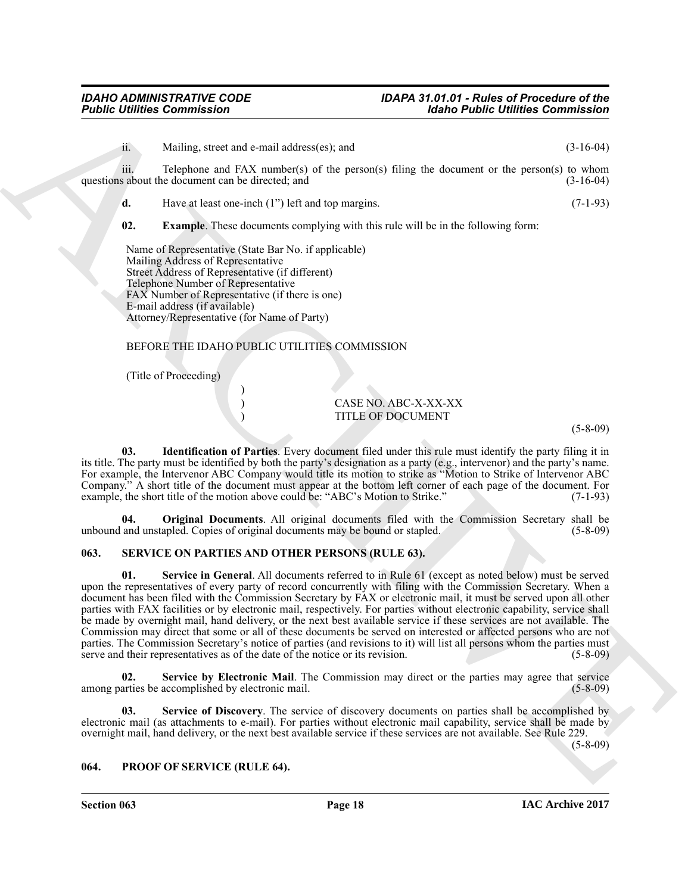**Figure 10. Commission**<br> **A**<br> **EXERCIS CONFIRM ARCHIVE CONTINUES CONTINUES (2018)<br>
<b>EXERCIS CONTINUES CONTINUES** (The pressure of the pressure of the second of the pressure of the Pressure of the Pressure of the Pressur ii. Mailing, street and e-mail address(es); and (3-16-04) iii. Telephone and  $FAX$  number(s) of the person(s) filing the document or the person(s) to whom questions about the document can be directed; and (3-16-04) (3-16-04) **d.** Have at least one-inch (1") left and top margins. (7-1-93) **02. Example**. These documents complying with this rule will be in the following form: Name of Representative (State Bar No. if applicable) Mailing Address of Representative Street Address of Representative (if different) Telephone Number of Representative FAX Number of Representative (if there is one) E-mail address (if available) Attorney/Representative (for Name of Party) BEFORE THE IDAHO PUBLIC UTILITIES COMMISSION

<span id="page-17-3"></span><span id="page-17-2"></span>(Title of Proceeding)

) CASE NO. ABC-X-XX-XX ) TITLE OF DOCUMENT

(5-8-09)

**03. Identification of Parties**. Every document filed under this rule must identify the party filing it in its title. The party must be identified by both the party's designation as a party (e.g., intervenor) and the party's name. For example, the Intervenor ABC Company would title its motion to strike as "Motion to Strike of Intervenor ABC Company." A short title of the document must appear at the bottom left corner of each page of the document. For example, the short title of the motion above could be: "ABC's Motion to Strike." (7-1-93)

<span id="page-17-4"></span>**04. Original Documents**. All original documents filed with the Commission Secretary shall be unbound and unstapled. Copies of original documents may be bound or stapled. (5-8-09)

#### <span id="page-17-6"></span><span id="page-17-0"></span>**063. SERVICE ON PARTIES AND OTHER PERSONS (RULE 63).**

)

<span id="page-17-8"></span>**01. Service in General**. All documents referred to in Rule 61 (except as noted below) must be served upon the representatives of every party of record concurrently with filing with the Commission Secretary. When a document has been filed with the Commission Secretary by FAX or electronic mail, it must be served upon all other parties with FAX facilities or by electronic mail, respectively. For parties without electronic capability, service shall be made by overnight mail, hand delivery, or the next best available service if these services are not available. The Commission may direct that some or all of these documents be served on interested or affected persons who are not parties. The Commission Secretary's notice of parties (and revisions to it) will list all persons whom the parties must serve and their representatives as of the date of the notice or its revision. (5-8-09)

<span id="page-17-7"></span>**02.** Service by Electronic Mail. The Commission may direct or the parties may agree that service arties be accomplished by electronic mail. among parties be accomplished by electronic mail.

<span id="page-17-9"></span>**Service of Discovery**. The service of discovery documents on parties shall be accomplished by electronic mail (as attachments to e-mail). For parties without electronic mail capability, service shall be made by overnight mail, hand delivery, or the next best available service if these services are not available. See Rule 229.

(5-8-09)

#### <span id="page-17-5"></span><span id="page-17-1"></span>**064. PROOF OF SERVICE (RULE 64).**

**Section 063 Page 18**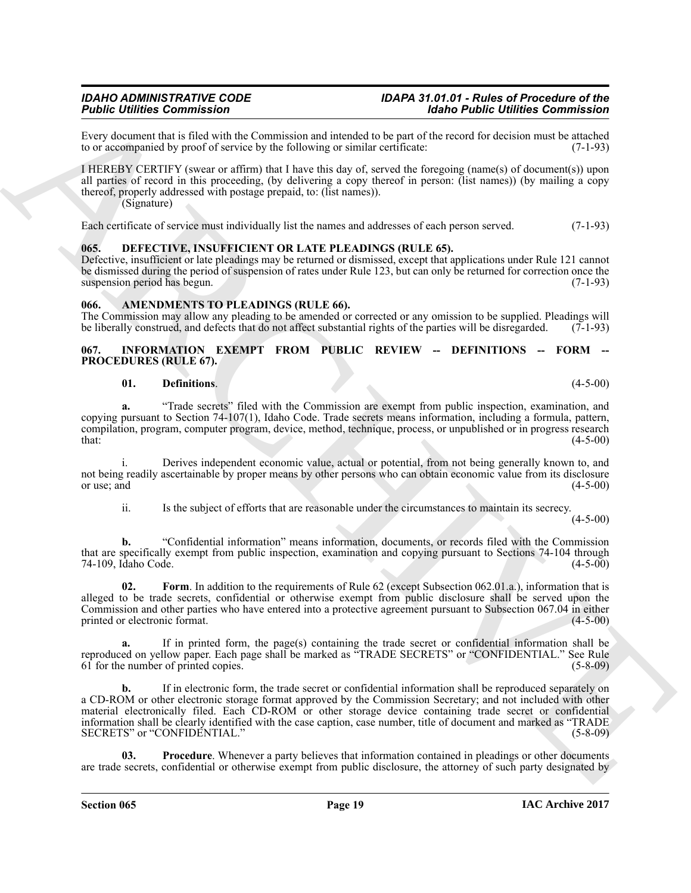Every document that is filed with the Commission and intended to be part of the record for decision must be attached to or accompanied by proof of service by the following or similar certificate: (7-1-93) to or accompanied by proof of service by the following or similar certificate:

I HEREBY CERTIFY (swear or affirm) that I have this day of, served the foregoing (name(s) of document(s)) upon all parties of record in this proceeding, (by delivering a copy thereof in person: (list names)) (by mailing a copy thereof, properly addressed with postage prepaid, to: (list names)). (Signature)

Each certificate of service must individually list the names and addresses of each person served. (7-1-93)

#### <span id="page-18-4"></span><span id="page-18-0"></span>**065. DEFECTIVE, INSUFFICIENT OR LATE PLEADINGS (RULE 65).**

Defective, insufficient or late pleadings may be returned or dismissed, except that applications under Rule 121 cannot be dismissed during the period of suspension of rates under Rule 123, but can only be returned for correction once the suspension period has begun. (7-1-93)

#### <span id="page-18-3"></span><span id="page-18-1"></span>**066. AMENDMENTS TO PLEADINGS (RULE 66).**

The Commission may allow any pleading to be amended or corrected or any omission to be supplied. Pleadings will be liberally construed, and defects that do not affect substantial rights of the parties will be disregarded. (7-1-93)

#### <span id="page-18-5"></span><span id="page-18-2"></span>**067. INFORMATION EXEMPT FROM PUBLIC REVIEW -- DEFINITIONS -- FORM -- PROCEDURES (RULE 67).**

#### <span id="page-18-6"></span>**01. Definitions**. (4-5-00)

**a.** "Trade secrets" filed with the Commission are exempt from public inspection, examination, and copying pursuant to Section 74-107(1), Idaho Code. Trade secrets means information, including a formula, pattern, compilation, program, computer program, device, method, technique, process, or unpublished or in progress research  $t$ hat:  $(4-5-00)$ 

i. Derives independent economic value, actual or potential, from not being generally known to, and not being readily ascertainable by proper means by other persons who can obtain economic value from its disclosure or use; and  $(4-5-00)$ 

<span id="page-18-7"></span>ii. Is the subject of efforts that are reasonable under the circumstances to maintain its secrecy.  $(4-5-00)$ 

**b.** "Confidential information" means information, documents, or records filed with the Commission that are specifically exempt from public inspection, examination and copying pursuant to Sections 74-104 through 74-109, Idaho Code. (4-5-00)

**02.** Form. In addition to the requirements of Rule 62 (except Subsection 062.01.a.), information that is alleged to be trade secrets, confidential or otherwise exempt from public disclosure shall be served upon the Commission and other parties who have entered into a protective agreement pursuant to Subsection 067.04 in either printed or electronic format. (4-5-00)

**a.** If in printed form, the page(s) containing the trade secret or confidential information shall be reproduced on yellow paper. Each page shall be marked as "TRADE SECRETS" or "CONFIDENTIAL." See Rule 61 for the number of printed copies. (5-8-09)

For continuous later since the based of the material scheme of the based of the continuous continuous and the state of the continuous continuous continuous continuous continuous later state of the continuous continuous la **b.** If in electronic form, the trade secret or confidential information shall be reproduced separately on a CD-ROM or other electronic storage format approved by the Commission Secretary; and not included with other material electronically filed. Each CD-ROM or other storage device containing trade secret or confidential information shall be clearly identified with the case caption, case number, title of document and marked as "TRADE SECRETS" or "CONFIDENTIAL." (5-8-09)

<span id="page-18-8"></span>**Procedure**. Whenever a party believes that information contained in pleadings or other documents are trade secrets, confidential or otherwise exempt from public disclosure, the attorney of such party designated by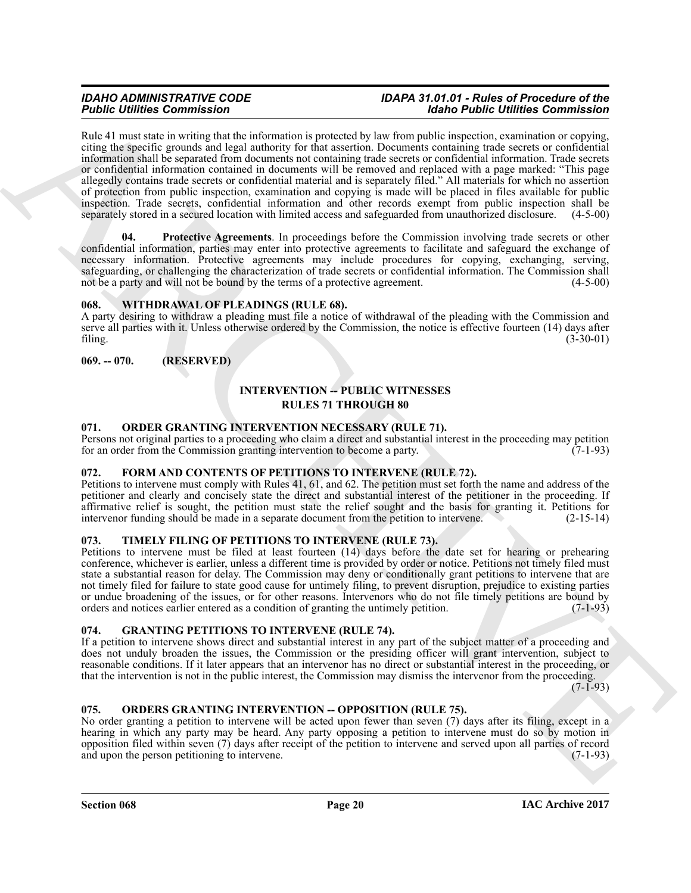**Form the computer state of the computer state of the set of the both Collins are computed in the computer state of the set of the set of the set of the set of the set of the set of the set of the set of the set of the se** Rule 41 must state in writing that the information is protected by law from public inspection, examination or copying, citing the specific grounds and legal authority for that assertion. Documents containing trade secrets or confidential information shall be separated from documents not containing trade secrets or confidential information. Trade secrets or confidential information contained in documents will be removed and replaced with a page marked: "This page allegedly contains trade secrets or confidential material and is separately filed." All materials for which no assertion of protection from public inspection, examination and copying is made will be placed in files available for public inspection. Trade secrets, confidential information and other records exempt from public inspection shall be separately stored in a secured location with limited access and safeguarded from unauthorized disclosure. (4-5-00)

<span id="page-19-9"></span>**Protective Agreements**. In proceedings before the Commission involving trade secrets or other confidential information, parties may enter into protective agreements to facilitate and safeguard the exchange of necessary information. Protective agreements may include procedures for copying, exchanging, serving, safeguarding, or challenging the characterization of trade secrets or confidential information. The Commission shall not be a party and will not be bound by the terms of a protective agreement. (4-5-00)

#### <span id="page-19-14"></span><span id="page-19-0"></span>**068. WITHDRAWAL OF PLEADINGS (RULE 68).**

A party desiring to withdraw a pleading must file a notice of withdrawal of the pleading with the Commission and serve all parties with it. Unless otherwise ordered by the Commission, the notice is effective fourteen (14) days after filing. (3-30-01)

### <span id="page-19-1"></span>**069. -- 070. (RESERVED)**

### <span id="page-19-10"></span>**INTERVENTION -- PUBLIC WITNESSES RULES 71 THROUGH 80**

#### <span id="page-19-11"></span><span id="page-19-2"></span>**071. ORDER GRANTING INTERVENTION NECESSARY (RULE 71).**

Persons not original parties to a proceeding who claim a direct and substantial interest in the proceeding may petition for an order from the Commission granting intervention to become a party. (7-1-93)

#### <span id="page-19-7"></span><span id="page-19-3"></span>**072. FORM AND CONTENTS OF PETITIONS TO INTERVENE (RULE 72).**

Petitions to intervene must comply with Rules 41, 61, and 62. The petition must set forth the name and address of the petitioner and clearly and concisely state the direct and substantial interest of the petitioner in the proceeding. If affirmative relief is sought, the petition must state the relief sought and the basis for granting it. Petitions for intervenor funding should be made in a separate document from the petition to intervene. (2-15-14)

#### <span id="page-19-13"></span><span id="page-19-4"></span>**073. TIMELY FILING OF PETITIONS TO INTERVENE (RULE 73).**

Petitions to intervene must be filed at least fourteen (14) days before the date set for hearing or prehearing conference, whichever is earlier, unless a different time is provided by order or notice. Petitions not timely filed must state a substantial reason for delay. The Commission may deny or conditionally grant petitions to intervene that are not timely filed for failure to state good cause for untimely filing, to prevent disruption, prejudice to existing parties or undue broadening of the issues, or for other reasons. Intervenors who do not file timely petitions are bound by orders and notices earlier entered as a condition of granting the untimely petition. (7-1-93) orders and notices earlier entered as a condition of granting the untimely petition.

#### <span id="page-19-8"></span><span id="page-19-5"></span>**074. GRANTING PETITIONS TO INTERVENE (RULE 74).**

If a petition to intervene shows direct and substantial interest in any part of the subject matter of a proceeding and does not unduly broaden the issues, the Commission or the presiding officer will grant intervention, subject to reasonable conditions. If it later appears that an intervenor has no direct or substantial interest in the proceeding, or that the intervention is not in the public interest, the Commission may dismiss the intervenor from the proceeding.

 $(7-1-93)$ 

#### <span id="page-19-12"></span><span id="page-19-6"></span>**075. ORDERS GRANTING INTERVENTION -- OPPOSITION (RULE 75).**

No order granting a petition to intervene will be acted upon fewer than seven (7) days after its filing, except in a hearing in which any party may be heard. Any party opposing a petition to intervene must do so by motion in opposition filed within seven (7) days after receipt of the petition to intervene and served upon all parties of record and upon the person petitioning to intervene. (7-1-93)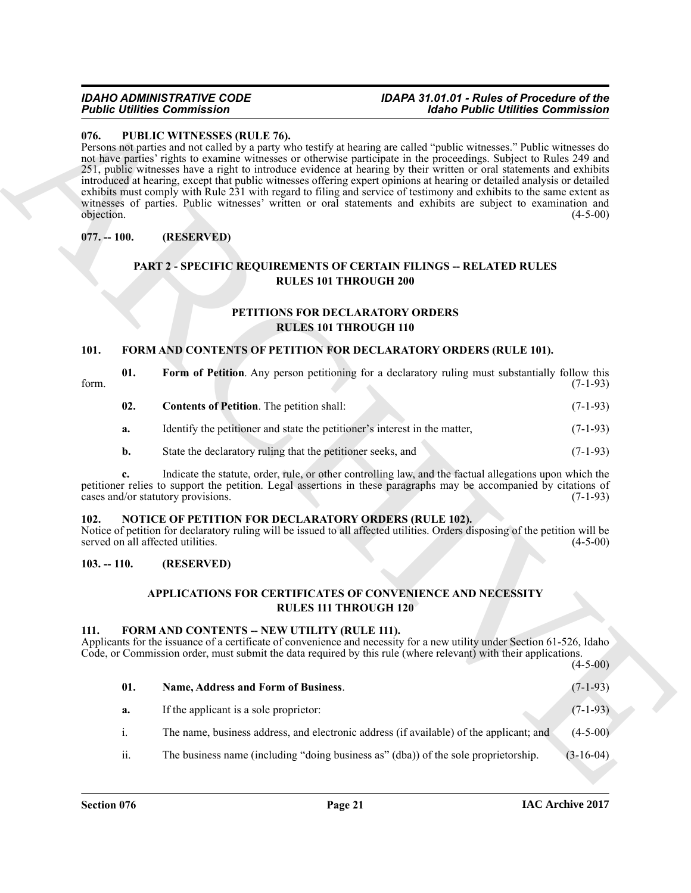#### <span id="page-20-14"></span><span id="page-20-0"></span>**076. PUBLIC WITNESSES (RULE 76).**

#### <span id="page-20-1"></span>**077. -- 100. (RESERVED)**

#### <span id="page-20-15"></span>**PART 2 - SPECIFIC REQUIREMENTS OF CERTAIN FILINGS -- RELATED RULES RULES 101 THROUGH 200**

### <span id="page-20-13"></span>**PETITIONS FOR DECLARATORY ORDERS RULES 101 THROUGH 110**

#### <span id="page-20-7"></span><span id="page-20-2"></span>**101. FORM AND CONTENTS OF PETITION FOR DECLARATORY ORDERS (RULE 101).**

<span id="page-20-9"></span><span id="page-20-8"></span>

| form. | 01. | Form of Petition. Any person petitioning for a declaratory ruling must substantially follow this | $(7-1-93)$ |
|-------|-----|--------------------------------------------------------------------------------------------------|------------|
|       | 02. | <b>Contents of Petition.</b> The petition shall:                                                 | $(7-1-93)$ |
|       | а.  | Identify the petitioner and state the petitioner's interest in the matter,                       | $(7-1-93)$ |
|       | b.  | State the declaratory ruling that the petitioner seeks, and                                      | $(7-1-93)$ |

#### <span id="page-20-12"></span><span id="page-20-3"></span>**102. NOTICE OF PETITION FOR DECLARATORY ORDERS (RULE 102).**

#### <span id="page-20-4"></span>**103. -- 110. (RESERVED)**

#### <span id="page-20-11"></span><span id="page-20-10"></span><span id="page-20-6"></span>**APPLICATIONS FOR CERTIFICATES OF CONVENIENCE AND NECESSITY RULES 111 THROUGH 120**

#### <span id="page-20-5"></span>111. FORM AND CONTENTS -- NEW UTILITY (RULE 111).

|                    | <b>Public Utilities Commission</b>                                                         | <b>Idaho Public Utilities Commission</b>                                                                                                                                                                                                                                                                                                                                                                                                                                                                                                                                                                                                                                                                                                     |            |
|--------------------|--------------------------------------------------------------------------------------------|----------------------------------------------------------------------------------------------------------------------------------------------------------------------------------------------------------------------------------------------------------------------------------------------------------------------------------------------------------------------------------------------------------------------------------------------------------------------------------------------------------------------------------------------------------------------------------------------------------------------------------------------------------------------------------------------------------------------------------------------|------------|
| 076.<br>objection. | PUBLIC WITNESSES (RULE 76).                                                                | Persons not parties and not called by a party who testify at hearing are called "public witnesses." Public witnesses do<br>not have parties' rights to examine witnesses or otherwise participate in the proceedings. Subject to Rules 249 and<br>251, public witnesses have a right to introduce evidence at hearing by their written or oral statements and exhibits<br>introduced at hearing, except that public witnesses offering expert opinions at hearing or detailed analysis or detailed<br>exhibits must comply with Rule 231 with regard to filing and service of testimony and exhibits to the same extent as<br>witnesses of parties. Public witnesses' written or oral statements and exhibits are subject to examination and | $(4-5-00)$ |
| $077. - 100.$      | (RESERVED)                                                                                 |                                                                                                                                                                                                                                                                                                                                                                                                                                                                                                                                                                                                                                                                                                                                              |            |
|                    |                                                                                            | <b>PART 2 - SPECIFIC REQUIREMENTS OF CERTAIN FILINGS -- RELATED RULES</b><br><b>RULES 101 THROUGH 200</b><br>PETITIONS FOR DECLARATORY ORDERS                                                                                                                                                                                                                                                                                                                                                                                                                                                                                                                                                                                                |            |
|                    |                                                                                            | <b>RULES 101 THROUGH 110</b>                                                                                                                                                                                                                                                                                                                                                                                                                                                                                                                                                                                                                                                                                                                 |            |
| 101.               |                                                                                            | <b>FORM AND CONTENTS OF PETITION FOR DECLARATORY ORDERS (RULE 101).</b>                                                                                                                                                                                                                                                                                                                                                                                                                                                                                                                                                                                                                                                                      |            |
| 01.<br>form.       |                                                                                            | Form of Petition. Any person petitioning for a declaratory ruling must substantially follow this                                                                                                                                                                                                                                                                                                                                                                                                                                                                                                                                                                                                                                             | $(7-1-93)$ |
| 02.                | <b>Contents of Petition.</b> The petition shall:                                           |                                                                                                                                                                                                                                                                                                                                                                                                                                                                                                                                                                                                                                                                                                                                              | $(7-1-93)$ |
| a.                 | Identify the petitioner and state the petitioner's interest in the matter,                 |                                                                                                                                                                                                                                                                                                                                                                                                                                                                                                                                                                                                                                                                                                                                              | $(7-1-93)$ |
| b.                 | State the declaratory ruling that the petitioner seeks, and                                |                                                                                                                                                                                                                                                                                                                                                                                                                                                                                                                                                                                                                                                                                                                                              | $(7-1-93)$ |
|                    | cases and/or statutory provisions.                                                         | Indicate the statute, order, rule, or other controlling law, and the factual allegations upon which the<br>petitioner relies to support the petition. Legal assertions in these paragraphs may be accompanied by citations of                                                                                                                                                                                                                                                                                                                                                                                                                                                                                                                | $(7-1-93)$ |
| 102.               | NOTICE OF PETITION FOR DECLARATORY ORDERS (RULE 102).<br>served on all affected utilities. | Notice of petition for declaratory ruling will be issued to all affected utilities. Orders disposing of the petition will be                                                                                                                                                                                                                                                                                                                                                                                                                                                                                                                                                                                                                 | $(4-5-00)$ |
| $103. - 110.$      | (RESERVED)                                                                                 |                                                                                                                                                                                                                                                                                                                                                                                                                                                                                                                                                                                                                                                                                                                                              |            |
|                    |                                                                                            | <b>APPLICATIONS FOR CERTIFICATES OF CONVENIENCE AND NECESSITY</b><br><b>RULES 111 THROUGH 120</b>                                                                                                                                                                                                                                                                                                                                                                                                                                                                                                                                                                                                                                            |            |
| 111.               | FORM AND CONTENTS -- NEW UTILITY (RULE 111).                                               | Applicants for the issuance of a certificate of convenience and necessity for a new utility under Section 61-526, Idaho<br>Code, or Commission order, must submit the data required by this rule (where relevant) with their applications.                                                                                                                                                                                                                                                                                                                                                                                                                                                                                                   | $(4-5-00)$ |
| 01.                | Name, Address and Form of Business.                                                        |                                                                                                                                                                                                                                                                                                                                                                                                                                                                                                                                                                                                                                                                                                                                              | $(7-1-93)$ |
| a.                 | If the applicant is a sole proprietor:                                                     |                                                                                                                                                                                                                                                                                                                                                                                                                                                                                                                                                                                                                                                                                                                                              | $(7-1-93)$ |
| i.                 |                                                                                            | The name, business address, and electronic address (if available) of the applicant; and                                                                                                                                                                                                                                                                                                                                                                                                                                                                                                                                                                                                                                                      | $(4-5-00)$ |
|                    |                                                                                            |                                                                                                                                                                                                                                                                                                                                                                                                                                                                                                                                                                                                                                                                                                                                              |            |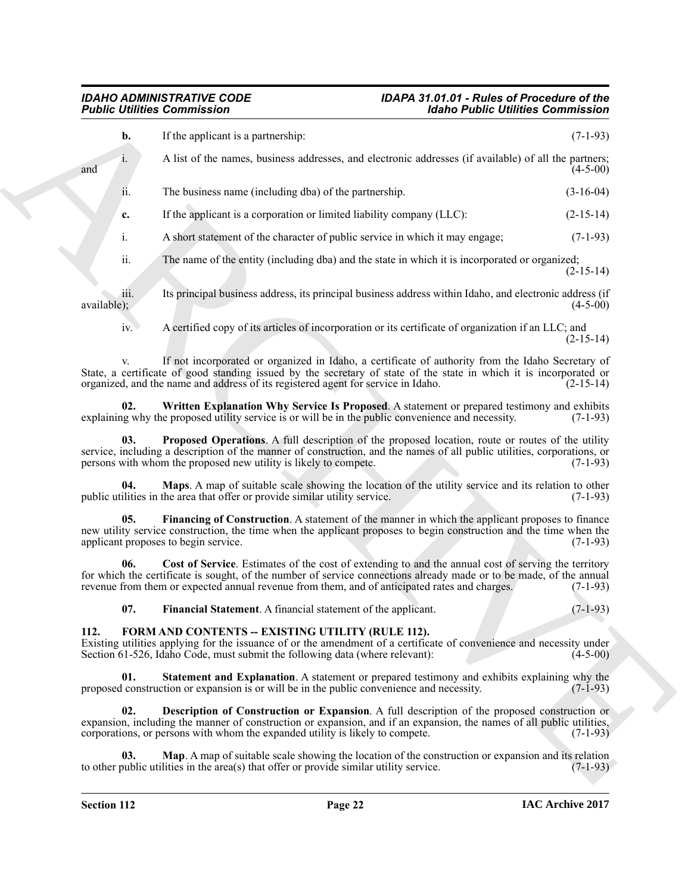| <b>Public Utilities Commission</b> |                                                                                                                                                                                                                                                                                                                             | <b>Idaho Public Utilities Commission</b> |
|------------------------------------|-----------------------------------------------------------------------------------------------------------------------------------------------------------------------------------------------------------------------------------------------------------------------------------------------------------------------------|------------------------------------------|
| b.                                 | If the applicant is a partnership:                                                                                                                                                                                                                                                                                          | $(7-1-93)$                               |
| 1.<br>and                          | A list of the names, business addresses, and electronic addresses (if available) of all the partners;                                                                                                                                                                                                                       | $(4-5-00)$                               |
| ii.                                | The business name (including dba) of the partnership.                                                                                                                                                                                                                                                                       | $(3-16-04)$                              |
| c.                                 | If the applicant is a corporation or limited liability company (LLC):                                                                                                                                                                                                                                                       | $(2-15-14)$                              |
| $\mathbf{i}$ .                     | A short statement of the character of public service in which it may engage;                                                                                                                                                                                                                                                | $(7-1-93)$                               |
| ii.                                | The name of the entity (including dba) and the state in which it is incorporated or organized;                                                                                                                                                                                                                              | $(2-15-14)$                              |
| iii.<br>available);                | Its principal business address, its principal business address within Idaho, and electronic address (if                                                                                                                                                                                                                     | $(4-5-00)$                               |
| iv.                                | A certified copy of its articles of incorporation or its certificate of organization if an LLC; and                                                                                                                                                                                                                         | $(2-15-14)$                              |
| V.                                 | If not incorporated or organized in Idaho, a certificate of authority from the Idaho Secretary of<br>State, a certificate of good standing issued by the secretary of state of the state in which it is incorporated or<br>organized, and the name and address of its registered agent for service in Idaho.                | $(2-15-14)$                              |
| 02.                                | Written Explanation Why Service Is Proposed. A statement or prepared testimony and exhibits<br>explaining why the proposed utility service is or will be in the public convenience and necessity.                                                                                                                           | $(7-1-93)$                               |
| 03.                                | <b>Proposed Operations.</b> A full description of the proposed location, route or routes of the utility<br>service, including a description of the manner of construction, and the names of all public utilities, corporations, or<br>persons with whom the proposed new utility is likely to compete.                      | $(7-1-93)$                               |
| 04.                                | Maps. A map of suitable scale showing the location of the utility service and its relation to other<br>public utilities in the area that offer or provide similar utility service.                                                                                                                                          | $(7-1-93)$                               |
| 05.                                | Financing of Construction. A statement of the manner in which the applicant proposes to finance<br>new utility service construction, the time when the applicant proposes to begin construction and the time when the<br>applicant proposes to begin service.                                                               | $(7-1-93)$                               |
| 06.                                | Cost of Service. Estimates of the cost of extending to and the annual cost of serving the territory<br>for which the certificate is sought, of the number of service connections already made or to be made, of the annual<br>revenue from them or expected annual revenue from them, and of anticipated rates and charges. | $(7-1-93)$                               |
| 07.                                | Financial Statement. A financial statement of the applicant.                                                                                                                                                                                                                                                                | $(7-1-93)$                               |
| 112.                               | FORM AND CONTENTS -- EXISTING UTILITY (RULE 112).<br>Existing utilities applying for the issuance of or the amendment of a certificate of convenience and necessity under<br>Section 61-526, Idaho Code, must submit the following data (where relevant):                                                                   | $(4-5-00)$                               |
| 01.                                | <b>Statement and Explanation.</b> A statement or prepared testimony and exhibits explaining why the<br>proposed construction or expansion is or will be in the public convenience and necessity.                                                                                                                            | $(7-1-93)$                               |
| 02.                                | <b>Description of Construction or Expansion.</b> A full description of the proposed construction or<br>expansion, including the manner of construction or expansion, and if an expansion, the names of all public utilities,<br>corporations, or persons with whom the expanded utility is likely to compete.               | $(7-1-93)$                               |
| 03.                                | Map. A map of suitable scale showing the location of the construction or expansion and its relation                                                                                                                                                                                                                         |                                          |

#### <span id="page-21-10"></span><span id="page-21-9"></span><span id="page-21-8"></span><span id="page-21-7"></span><span id="page-21-6"></span><span id="page-21-5"></span><span id="page-21-4"></span><span id="page-21-3"></span><span id="page-21-2"></span><span id="page-21-1"></span><span id="page-21-0"></span>**112. FORM AND CONTENTS -- EXISTING UTILITY (RULE 112).**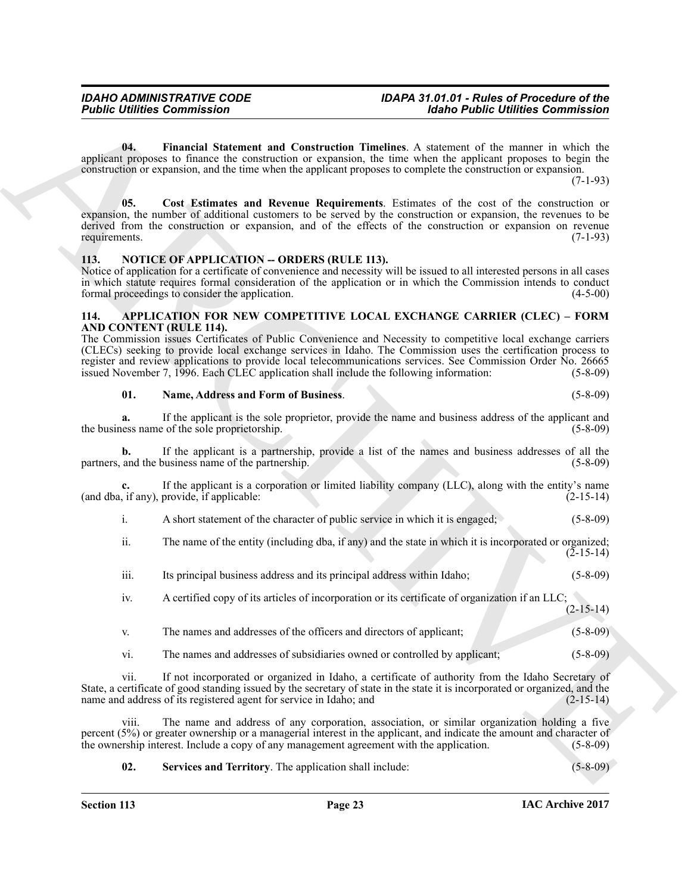<span id="page-22-6"></span><span id="page-22-5"></span>**04. Financial Statement and Construction Timelines**. A statement of the manner in which the applicant proposes to finance the construction or expansion, the time when the applicant proposes to begin the construction or expansion, and the time when the applicant proposes to complete the construction or expansion.

(7-1-93)

**Folding Commission 11.1**<br> **Column Commission 12.1**<br> **Column Commission 12.1**<br> **Column Commission 12.1**<br> **Column Commission 12.1**<br> **Column Commission 22.1**<br> **Column Commission 22.1**<br> **Column Commission 22.1**<br> **Column Comm 05. Cost Estimates and Revenue Requirements**. Estimates of the cost of the construction or expansion, the number of additional customers to be served by the construction or expansion, the revenues to be derived from the construction or expansion, and of the effects of the construction or expansion on revenue requirements. (7-1-93)

#### <span id="page-22-7"></span><span id="page-22-0"></span>113. NOTICE OF APPLICATION -- ORDERS (RULE 113).

Notice of application for a certificate of convenience and necessity will be issued to all interested persons in all cases in which statute requires formal consideration of the application or in which the Commission intends to conduct formal proceedings to consider the application. (4-5-00) (4-5-00)

#### <span id="page-22-2"></span><span id="page-22-1"></span>**114. APPLICATION FOR NEW COMPETITIVE LOCAL EXCHANGE CARRIER (CLEC) – FORM AND CONTENT (RULE 114).**

The Commission issues Certificates of Public Convenience and Necessity to competitive local exchange carriers (CLECs) seeking to provide local exchange services in Idaho. The Commission uses the certification process to register and review applications to provide local telecommunications services. See Commission Order No. 26665 issued November 7, 1996. Each CLEC application shall include the following information: (5-8-09) issued November 7, 1996. Each CLEC application shall include the following information:

#### <span id="page-22-3"></span>**01. Name, Address and Form of Business**. (5-8-09)

**a.** If the applicant is the sole proprietor, provide the name and business address of the applicant and the business name of the sole proprietorship. (5-8-09)

**b.** If the applicant is a partnership, provide a list of the names and business addresses of all the partners, and the business name of the partnership. (5-8-09) (5-8-09)

**c.** If the applicant is a corporation or limited liability company (LLC), along with the entity's name (and dba, if any), provide, if applicable: (2-15-14)

i. A short statement of the character of public service in which it is engaged; (5-8-09)

ii. The name of the entity (including dba, if any) and the state in which it is incorporated or organized;  $(2 - 15 - 14)$ 

iii. Its principal business address and its principal address within Idaho; (5-8-09)

iv. A certified copy of its articles of incorporation or its certificate of organization if an LLC;  $(2 - 15 - 14)$ 

- v. The names and addresses of the officers and directors of applicant; (5-8-09)
- vi. The names and addresses of subsidiaries owned or controlled by applicant; (5-8-09)

vii. If not incorporated or organized in Idaho, a certificate of authority from the Idaho Secretary of State, a certificate of good standing issued by the secretary of state in the state it is incorporated or organized, and the name and address of its registered agent for service in Idaho; and (2-15-14)

viii. The name and address of any corporation, association, or similar organization holding a five percent (5%) or greater ownership or a managerial interest in the applicant, and indicate the amount and character of the ownership interest. Include a copy of any management agreement with the application. (5-8-09) the ownership interest. Include a copy of any management agreement with the application.

<span id="page-22-4"></span>**02. Services and Territory**. The application shall include: (5-8-09)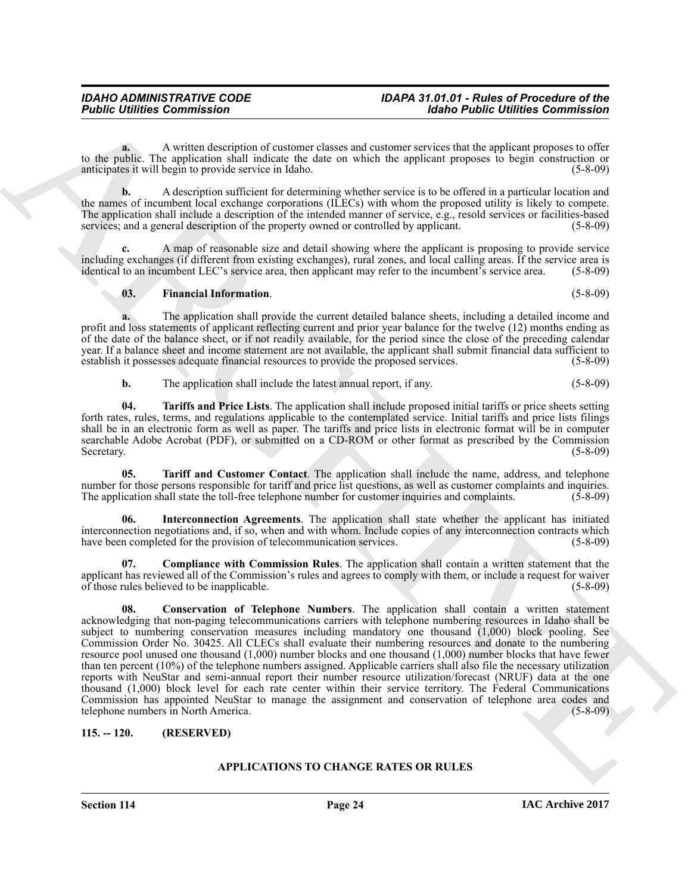**a.** A written description of customer classes and customer services that the applicant proposes to offer to the public. The application shall indicate the date on which the applicant proposes to begin construction or<br>anticipates it will begin to provide service in Idaho. (5-8-09) anticipates it will begin to provide service in Idaho.

**b.** A description sufficient for determining whether service is to be offered in a particular location and the names of incumbent local exchange corporations (ILECs) with whom the proposed utility is likely to compete. The application shall include a description of the intended manner of service, e.g., resold services or facilities-based services; and a general description of the property owned or controlled by applicant. (5-8-09)

**c.** A map of reasonable size and detail showing where the applicant is proposing to provide service including exchanges (if different from existing exchanges), rural zones, and local calling areas. If the service area is identical to an incumbent LEC's service area, then applicant may refer to the incumbent's service are identical to an incumbent LEC's service area, then applicant may refer to the incumbent's service area.

<span id="page-23-3"></span>**03. Financial Information**. (5-8-09)

**a.** The application shall provide the current detailed balance sheets, including a detailed income and profit and loss statements of applicant reflecting current and prior year balance for the twelve (12) months ending as of the date of the balance sheet, or if not readily available, for the period since the close of the preceding calendar year. If a balance sheet and income statement are not available, the applicant shall submit financial data sufficient to establish it possesses adequate financial resources to provide the proposed services. (5-8-09)

<span id="page-23-6"></span>**b.** The application shall include the latest annual report, if any. (5-8-09)

**04. Tariffs and Price Lists**. The application shall include proposed initial tariffs or price sheets setting forth rates, rules, terms, and regulations applicable to the contemplated service. Initial tariffs and price lists filings shall be in an electronic form as well as paper. The tariffs and price lists in electronic format will be in computer searchable Adobe Acrobat (PDF), or submitted on a CD-ROM or other format as prescribed by the Commission Secretary. (5-8-09)

<span id="page-23-5"></span>**05. Tariff and Customer Contact**. The application shall include the name, address, and telephone number for those persons responsible for tariff and price list questions, as well as customer complaints and inquiries. The application shall state the toll-free telephone number for customer inquiries and complaints. (5-8-09)

<span id="page-23-4"></span>**06. Interconnection Agreements**. The application shall state whether the applicant has initiated interconnection negotiations and, if so, when and with whom. Include copies of any interconnection contracts which have been completed for the provision of telecommunication services. (5-8-09)

<span id="page-23-2"></span><span id="page-23-1"></span>**07. Compliance with Commission Rules**. The application shall contain a written statement that the applicant has reviewed all of the Commission's rules and agrees to comply with them, or include a request for waiver of those rules believed to be inapplicable. (5-8-09)

**Former Communistics**<br>
we due that  $\frac{1}{2}$  a result control the computer of construct these and content there are described to the transformation of the computer species in the propose of the former content of the propo **08. Conservation of Telephone Numbers**. The application shall contain a written statement acknowledging that non-paging telecommunications carriers with telephone numbering resources in Idaho shall be subject to numbering conservation measures including mandatory one thousand (1,000) block pooling. See Commission Order No. 30425. All CLECs shall evaluate their numbering resources and donate to the numbering resource pool unused one thousand (1,000) number blocks and one thousand (1,000) number blocks that have fewer than ten percent (10%) of the telephone numbers assigned. Applicable carriers shall also file the necessary utilization reports with NeuStar and semi-annual report their number resource utilization/forecast (NRUF) data at the one thousand (1,000) block level for each rate center within their service territory. The Federal Communications Commission has appointed NeuStar to manage the assignment and conservation of telephone area codes and telephone numbers in North America. (5-8-09)

#### <span id="page-23-0"></span>**115. -- 120. (RESERVED)**

#### <span id="page-23-7"></span>**APPLICATIONS TO CHANGE RATES OR RULES**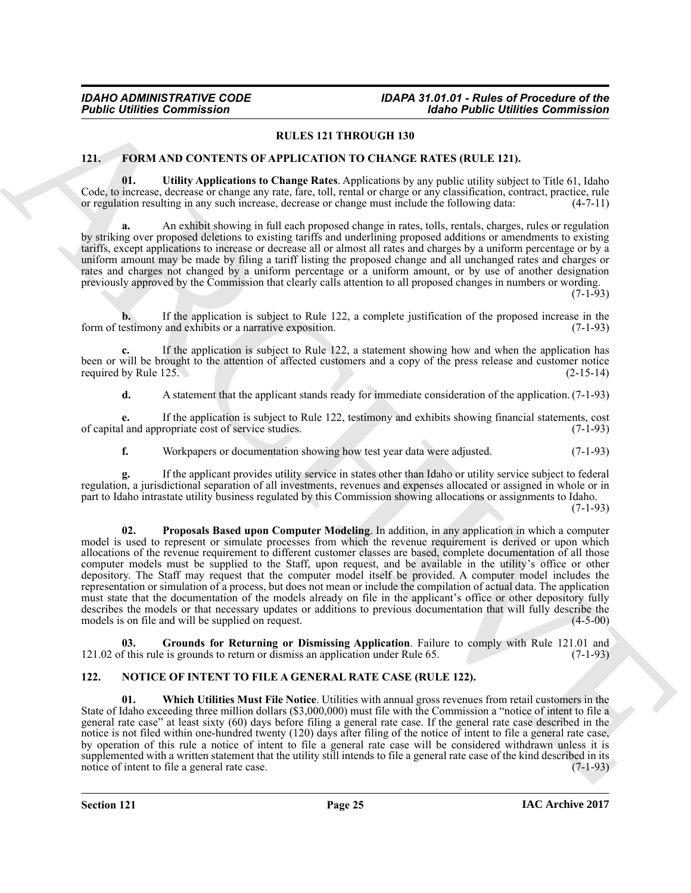#### **RULES 121 THROUGH 130**

#### <span id="page-24-2"></span><span id="page-24-0"></span>**121. FORM AND CONTENTS OF APPLICATION TO CHANGE RATES (RULE 121).**

<span id="page-24-5"></span>**01. Utility Applications to Change Rates**. Applications by any public utility subject to Title 61, Idaho Code, to increase, decrease or change any rate, fare, toll, rental or charge or any classification, contract, practice, rule or regulation resulting in any such increase, decrease or change must include the following data: or regulation resulting in any such increase, decrease or change must include the following data:

**a.** An exhibit showing in full each proposed change in rates, tolls, rentals, charges, rules or regulation by striking over proposed deletions to existing tariffs and underlining proposed additions or amendments to existing tariffs, except applications to increase or decrease all or almost all rates and charges by a uniform percentage or by a uniform amount may be made by filing a tariff listing the proposed change and all unchanged rates and charges or rates and charges not changed by a uniform percentage or a uniform amount, or by use of another designation previously approved by the Commission that clearly calls attention to all proposed changes in numbers or wording.

(7-1-93)

**b.** If the application is subject to Rule 122, a complete justification of the proposed increase in the form of testimony and exhibits or a narrative exposition. (7-1-93)

**c.** If the application is subject to Rule 122, a statement showing how and when the application has been or will be brought to the attention of affected customers and a copy of the press release and customer notice required by Rule 125. (2-15-14) required by Rule  $125.$ 

**d.** A statement that the applicant stands ready for immediate consideration of the application. (7-1-93)

**e.** If the application is subject to Rule 122, testimony and exhibits showing financial statements, cost of capital and appropriate cost of service studies. (7-1-93)

<span id="page-24-4"></span>**f.** Workpapers or documentation showing how test year data were adjusted. (7-1-93)

**g.** If the applicant provides utility service in states other than Idaho or utility service subject to federal regulation, a jurisdictional separation of all investments, revenues and expenses allocated or assigned in whole or in part to Idaho intrastate utility business regulated by this Commission showing allocations or assignments to Idaho.

(7-1-93)

**Fourier Communistics**<br> **REARCHIVE CONTENTS OF APPLICATION TO CHANGE RATE (REARCH)**<br> **REARCHIVE CONTENTS OF APPLICATION TO CHANGE RATE (REARCH)**<br> **REARCHIVE CONTENTS OF APPLICATION TO CHANGE RATE (REARCH)**<br> **REARCHIVE CON 02. Proposals Based upon Computer Modeling**. In addition, in any application in which a computer model is used to represent or simulate processes from which the revenue requirement is derived or upon which allocations of the revenue requirement to different customer classes are based, complete documentation of all those computer models must be supplied to the Staff, upon request, and be available in the utility's office or other depository. The Staff may request that the computer model itself be provided. A computer model includes the representation or simulation of a process, but does not mean or include the compilation of actual data. The application must state that the documentation of the models already on file in the applicant's office or other depository fully describes the models or that necessary updates or additions to previous documentation that will fully describe the models is on file and will be supplied on request. models is on file and will be supplied on request.

<span id="page-24-3"></span>**03. Grounds for Returning or Dismissing Application**. Failure to comply with Rule 121.01 and 121.02 of this rule is grounds to return or dismiss an application under Rule 65. (7-1-93)

#### <span id="page-24-6"></span><span id="page-24-1"></span>**122. NOTICE OF INTENT TO FILE A GENERAL RATE CASE (RULE 122).**

<span id="page-24-7"></span>**01. Which Utilities Must File Notice**. Utilities with annual gross revenues from retail customers in the State of Idaho exceeding three million dollars (\$3,000,000) must file with the Commission a "notice of intent to file a general rate case" at least sixty (60) days before filing a general rate case. If the general rate case described in the notice is not filed within one-hundred twenty (120) days after filing of the notice of intent to file a general rate case, by operation of this rule a notice of intent to file a general rate case will be considered withdrawn unless it is supplemented with a written statement that the utility still intends to file a general rate case of the kind described in its notice of intent to file a general rate case. (7-1-93)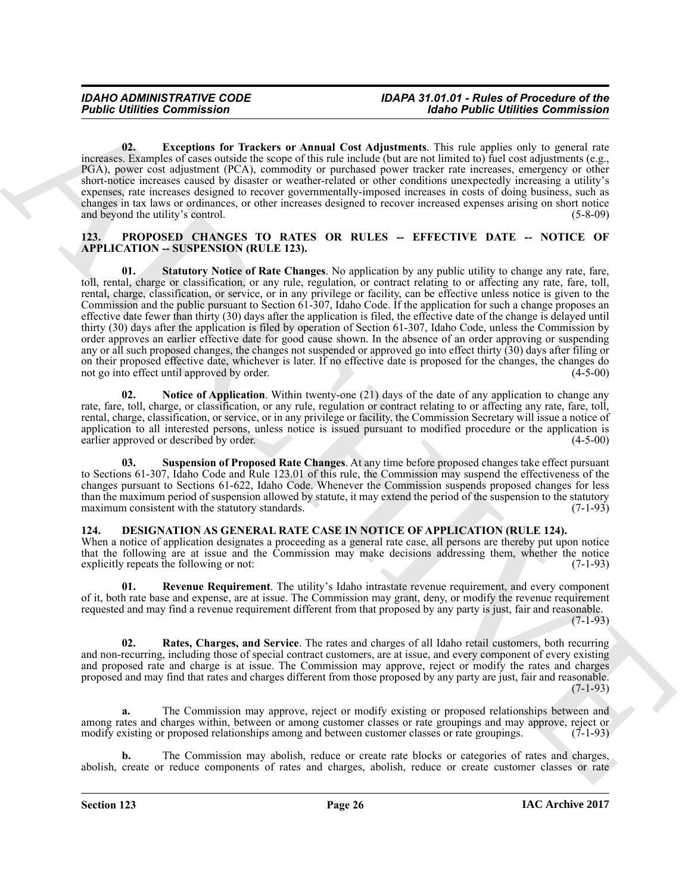<span id="page-25-5"></span>**02. Exceptions for Trackers or Annual Cost Adjustments**. This rule applies only to general rate increases. Examples of cases outside the scope of this rule include (but are not limited to) fuel cost adjustments (e.g., PGA), power cost adjustment (PCA), commodity or purchased power tracker rate increases, emergency or other short-notice increases caused by disaster or weather-related or other conditions unexpectedly increasing a utility's expenses, rate increases designed to recover governmentally-imposed increases in costs of doing business, such as changes in tax laws or ordinances, or other increases designed to recover increased expenses arising on short notice and beyond the utility's control. (5-8-09)

#### <span id="page-25-8"></span><span id="page-25-6"></span><span id="page-25-0"></span>**123. PROPOSED CHANGES TO RATES OR RULES -- EFFECTIVE DATE -- NOTICE OF APPLICATION -- SUSPENSION (RULE 123).**

For the Commutation<br>
U.S. Lacely the Commutation Commutation (1988) and the Commutation Case in the signal of the Commutation and the Commutation of the Commutation and the Commutation of the Commutation Case in the Commu **01. Statutory Notice of Rate Changes**. No application by any public utility to change any rate, fare, toll, rental, charge or classification, or any rule, regulation, or contract relating to or affecting any rate, fare, toll, rental, charge, classification, or service, or in any privilege or facility, can be effective unless notice is given to the Commission and the public pursuant to Section 61-307, Idaho Code. If the application for such a change proposes an effective date fewer than thirty (30) days after the application is filed, the effective date of the change is delayed until thirty (30) days after the application is filed by operation of Section 61-307, Idaho Code, unless the Commission by order approves an earlier effective date for good cause shown. In the absence of an order approving or suspending any or all such proposed changes, the changes not suspended or approved go into effect thirty (30) days after filing or on their proposed effective date, whichever is later. If no effective date is proposed for the changes, the changes do not go into effect until approved by order. (4-5-00) not go into effect until approved by order.

<span id="page-25-7"></span>**02. Notice of Application**. Within twenty-one (21) days of the date of any application to change any rate, fare, toll, charge, or classification, or any rule, regulation or contract relating to or affecting any rate, fare, toll, rental, charge, classification, or service, or in any privilege or facility, the Commission Secretary will issue a notice of application to all interested persons, unless notice is issued pursuant to modified procedure or the application is earlier approved or described by order. (4-5-00) earlier approved or described by order.

<span id="page-25-9"></span>**03. Suspension of Proposed Rate Changes**. At any time before proposed changes take effect pursuant to Sections 61-307, Idaho Code and Rule 123.01 of this rule, the Commission may suspend the effectiveness of the changes pursuant to Sections 61-622, Idaho Code. Whenever the Commission suspends proposed changes for less than the maximum period of suspension allowed by statute, it may extend the period of the suspension to the statutory maximum consistent with the statutory standards. (7-1-93)

#### <span id="page-25-2"></span><span id="page-25-1"></span>**124. DESIGNATION AS GENERAL RATE CASE IN NOTICE OF APPLICATION (RULE 124).**

When a notice of application designates a proceeding as a general rate case, all persons are thereby put upon notice that the following are at issue and the Commission may make decisions addressing them, whether the notice explicitly repeats the following or not: (7-1-93)

<span id="page-25-4"></span>**01. Revenue Requirement**. The utility's Idaho intrastate revenue requirement, and every component of it, both rate base and expense, are at issue. The Commission may grant, deny, or modify the revenue requirement requested and may find a revenue requirement different from that proposed by any party is just, fair and reasonable.

 $(7-1-93)$ 

<span id="page-25-3"></span>**02. Rates, Charges, and Service**. The rates and charges of all Idaho retail customers, both recurring and non-recurring, including those of special contract customers, are at issue, and every component of every existing and proposed rate and charge is at issue. The Commission may approve, reject or modify the rates and charges proposed and may find that rates and charges different from those proposed by any party are just, fair and reasonable. (7-1-93)

**a.** The Commission may approve, reject or modify existing or proposed relationships between and among rates and charges within, between or among customer classes or rate groupings and may approve, reject or modify existing or proposed relationships among and between customer classes or rate groupings. (7-1-93)

**b.** The Commission may abolish, reduce or create rate blocks or categories of rates and charges, abolish, create or reduce components of rates and charges, abolish, reduce or create customer classes or rate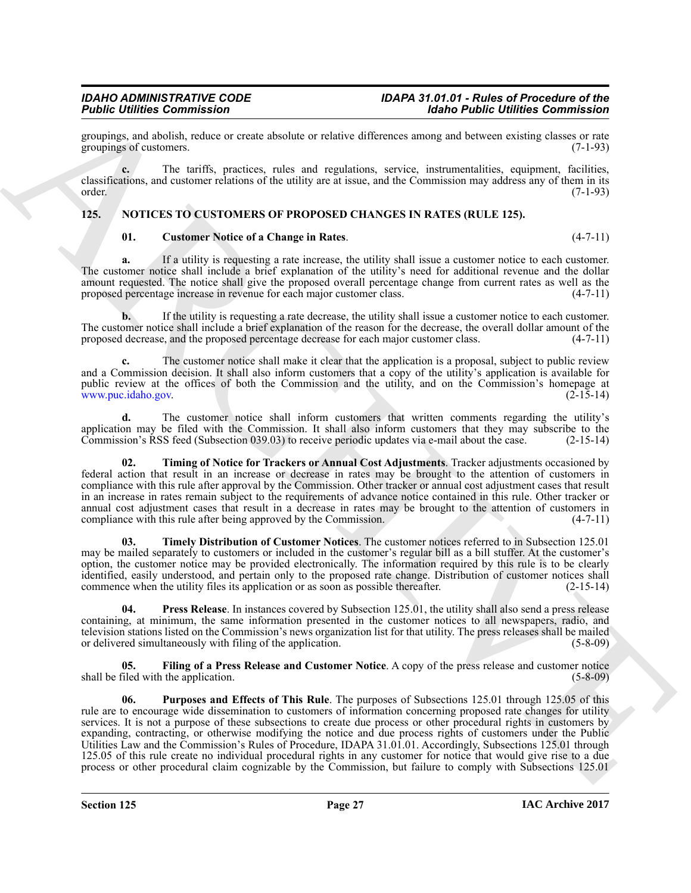groupings, and abolish, reduce or create absolute or relative differences among and between existing classes or rate groupings of customers. (7-1-93) groupings of customers.

**c.** The tariffs, practices, rules and regulations, service, instrumentalities, equipment, facilities, classifications, and customer relations of the utility are at issue, and the Commission may address any of them in its order. (7-1-93)

#### <span id="page-26-0"></span>**125. NOTICES TO CUSTOMERS OF PROPOSED CHANGES IN RATES (RULE 125).**

#### <span id="page-26-2"></span><span id="page-26-1"></span>**01. Customer Notice of a Change in Rates**. (4-7-11)

**a.** If a utility is requesting a rate increase, the utility shall issue a customer notice to each customer. The customer notice shall include a brief explanation of the utility's need for additional revenue and the dollar amount requested. The notice shall give the proposed overall percentage change from current rates as well as the proposed percentage increase in revenue for each major customer class. (4-7-11)

**b.** If the utility is requesting a rate decrease, the utility shall issue a customer notice to each customer. The customer notice shall include a brief explanation of the reason for the decrease, the overall dollar amount of the proposed decrease, and the proposed percentage decrease for each major customer class. (4-7-11)

**c.** The customer notice shall make it clear that the application is a proposal, subject to public review and a Commission decision. It shall also inform customers that a copy of the utility's application is available for public review at the offices of both the Commission and the utility, and on the Commission's homepage at www.puc.idaho.gov. (2-15-14)

**d.** The customer notice shall inform customers that written comments regarding the utility's application may be filed with the Commission. It shall also inform customers that they may subscribe to the Commission's RSS feed (Subsection 039.03) to receive periodic updates via e-mail about the case. (2-15-14) Commission's RSS feed (Subsection 039.03) to receive periodic updates via e-mail about the case.

<span id="page-26-7"></span>**02. Timing of Notice for Trackers or Annual Cost Adjustments**. Tracker adjustments occasioned by federal action that result in an increase or decrease in rates may be brought to the attention of customers in compliance with this rule after approval by the Commission. Other tracker or annual cost adjustment cases that result in an increase in rates remain subject to the requirements of advance notice contained in this rule. Other tracker or annual cost adjustment cases that result in a decrease in rates may be brought to the attention of customers in compliance with this rule after being approved by the Commission.  $(4-7-11)$ compliance with this rule after being approved by the Commission.

<span id="page-26-6"></span>**03. Timely Distribution of Customer Notices**. The customer notices referred to in Subsection 125.01 may be mailed separately to customers or included in the customer's regular bill as a bill stuffer. At the customer's option, the customer notice may be provided electronically. The information required by this rule is to be clearly identified, easily understood, and pertain only to the proposed rate change. Distribution of customer notices shall commence when the utility files its application or as soon as possible thereafter.  $(2-15-14)$ 

<span id="page-26-4"></span>**04. Press Release**. In instances covered by Subsection 125.01, the utility shall also send a press release containing, at minimum, the same information presented in the customer notices to all newspapers, radio, and television stations listed on the Commission's news organization list for that utility. The press releases shall be mailed<br>or delivered simultaneously with filing of the application. (5-8-09) or delivered simultaneously with filing of the application.

<span id="page-26-5"></span><span id="page-26-3"></span>**Filing of a Press Release and Customer Notice**. A copy of the press release and customer notice the application. (5-8-09) shall be filed with the application.

Figure 12 continues the proposition of the selection of the selection of the selection of the selection of the selection of the selection of the selection of the selection of the selection of the selection of the selectio **06. Purposes and Effects of This Rule**. The purposes of Subsections 125.01 through 125.05 of this rule are to encourage wide dissemination to customers of information concerning proposed rate changes for utility services. It is not a purpose of these subsections to create due process or other procedural rights in customers by expanding, contracting, or otherwise modifying the notice and due process rights of customers under the Public Utilities Law and the Commission's Rules of Procedure, IDAPA 31.01.01. Accordingly, Subsections 125.01 through 125.05 of this rule create no individual procedural rights in any customer for notice that would give rise to a due process or other procedural claim cognizable by the Commission, but failure to comply with Subsections 125.01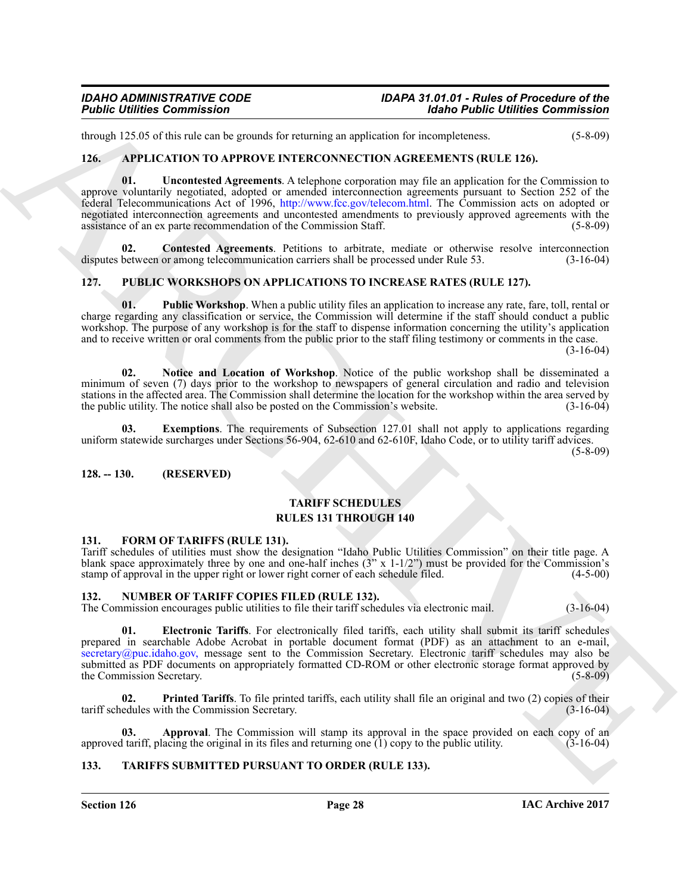through 125.05 of this rule can be grounds for returning an application for incompleteness. (5-8-09)

#### <span id="page-27-8"></span><span id="page-27-6"></span><span id="page-27-0"></span>**126. APPLICATION TO APPROVE INTERCONNECTION AGREEMENTS (RULE 126).**

**Foother Determination**<br>
Archive Commission<br>
1966 Public Collision Commission<br>
1966 Public Collision Commission<br>
1966 Public Collision Commission<br>
1966 Public Commission<br>
1966 Public Commission Commission<br>
1966 Public Com **01. Uncontested Agreements**. A telephone corporation may file an application for the Commission to approve voluntarily negotiated, adopted or amended interconnection agreements pursuant to Section 252 of the federal Telecommunications Act of 1996, http://www.fcc.gov/telecom.html. The Commission acts on adopted or negotiated interconnection agreements and uncontested amendments to previously approved agreements with the assistance of an ex parte recommendation of the Commission Staff. (5-8-09)

<span id="page-27-7"></span>**02. Contested Agreements**. Petitions to arbitrate, mediate or otherwise resolve interconnection disputes between or among telecommunication carriers shall be processed under Rule 53. (3-16-04)

#### <span id="page-27-14"></span><span id="page-27-1"></span>**127. PUBLIC WORKSHOPS ON APPLICATIONS TO INCREASE RATES (RULE 127).**

<span id="page-27-17"></span>**01. Public Workshop**. When a public utility files an application to increase any rate, fare, toll, rental or charge regarding any classification or service, the Commission will determine if the staff should conduct a public workshop. The purpose of any workshop is for the staff to dispense information concerning the utility's application and to receive written or oral comments from the public prior to the staff filing testimony or comments in the case. (3-16-04)

<span id="page-27-16"></span>**02. Notice and Location of Workshop**. Notice of the public workshop shall be disseminated a minimum of seven (7) days prior to the workshop to newspapers of general circulation and radio and television stations in the affected area. The Commission shall determine the location for the workshop within the area served by the public utility. The notice shall also be posted on the Commission's website. (3-16-04)

<span id="page-27-15"></span>**03. Exemptions**. The requirements of Subsection 127.01 shall not apply to applications regarding uniform statewide surcharges under Sections 56-904, 62-610 and 62-610F, Idaho Code, or to utility tariff advices.

(5-8-09)

#### <span id="page-27-2"></span>**128. -- 130. (RESERVED)**

#### <span id="page-27-18"></span>**TARIFF SCHEDULES RULES 131 THROUGH 140**

#### <span id="page-27-9"></span><span id="page-27-3"></span>**131. FORM OF TARIFFS (RULE 131).**

Tariff schedules of utilities must show the designation "Idaho Public Utilities Commission" on their title page. A blank space approximately three by one and one-half inches  $(3' x 1-1/2'')$  must be provided for the Commission's stamp of approval in the upper right or lower right corner of each schedule filed.  $(4-5-00)$ 

#### <span id="page-27-10"></span><span id="page-27-4"></span>**132. NUMBER OF TARIFF COPIES FILED (RULE 132).**

The Commission encourages public utilities to file their tariff schedules via electronic mail. (3-16-04)

<span id="page-27-12"></span>**01. Electronic Tariffs**. For electronically filed tariffs, each utility shall submit its tariff schedules prepared in searchable Adobe Acrobat in portable document format (PDF) as an attachment to an e-mail, secretary@puc.idaho.gov, message sent to the Commission Secretary. Electronic tariff schedules may also be submitted as PDF documents on appropriately formatted CD-ROM or other electronic storage format approved by the Commission Secretary. (5-8-09)

<span id="page-27-13"></span>**02. Printed Tariffs**. To file printed tariffs, each utility shall file an original and two (2) copies of their tariff schedules with the Commission Secretary. (3-16-04)

<span id="page-27-11"></span>Approval. The Commission will stamp its approval in the space provided on each copy of an approved tariff, placing the original in its files and returning one  $(1)$  copy to the public utility.  $(3-16-04)$ 

#### <span id="page-27-19"></span><span id="page-27-5"></span>**133. TARIFFS SUBMITTED PURSUANT TO ORDER (RULE 133).**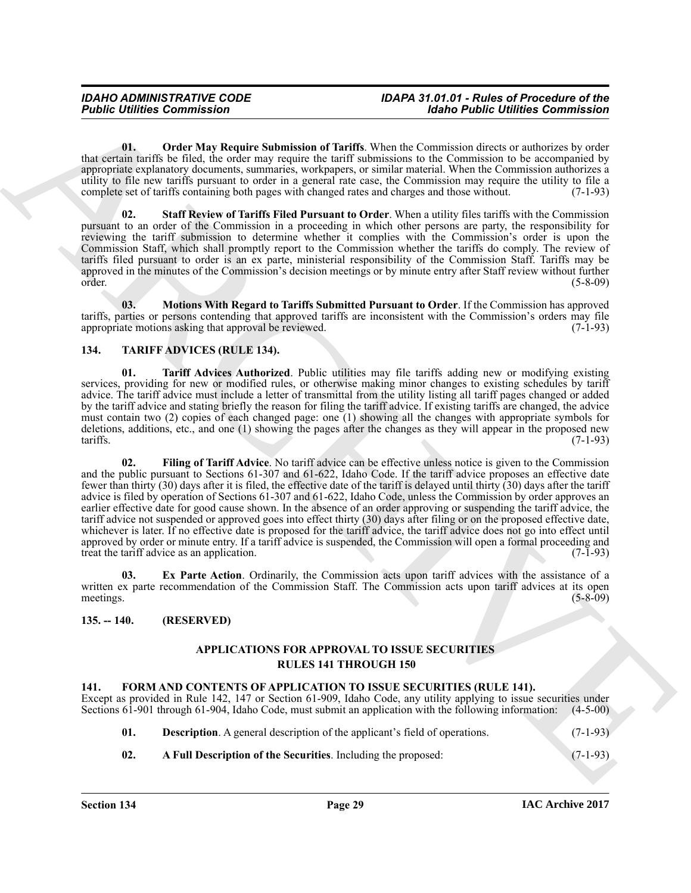<span id="page-28-12"></span>**01. Order May Require Submission of Tariffs**. When the Commission directs or authorizes by order that certain tariffs be filed, the order may require the tariff submissions to the Commission to be accompanied by appropriate explanatory documents, summaries, workpapers, or similar material. When the Commission authorizes a utility to file new tariffs pursuant to order in a general rate case, the Commission may require the utility to file a complete set of tariffs containing both pages with changed rates and charges and those without. (7-1-93)

<span id="page-28-13"></span>**02. Staff Review of Tariffs Filed Pursuant to Order**. When a utility files tariffs with the Commission pursuant to an order of the Commission in a proceeding in which other persons are party, the responsibility for reviewing the tariff submission to determine whether it complies with the Commission's order is upon the Commission Staff, which shall promptly report to the Commission whether the tariffs do comply. The review of tariffs filed pursuant to order is an ex parte, ministerial responsibility of the Commission Staff. Tariffs may be approved in the minutes of the Commission's decision meetings or by minute entry after Staff review without further order. (5-8-09)

<span id="page-28-11"></span>**03. Motions With Regard to Tariffs Submitted Pursuant to Order**. If the Commission has approved tariffs, parties or persons contending that approved tariffs are inconsistent with the Commission's orders may file appropriate motions asking that approval be reviewed. (7-1-93)

#### <span id="page-28-7"></span><span id="page-28-0"></span>**134. TARIFF ADVICES (RULE 134).**

<span id="page-28-10"></span><span id="page-28-9"></span>**01. Tariff Advices Authorized**. Public utilities may file tariffs adding new or modifying existing services, providing for new or modified rules, or otherwise making minor changes to existing schedules by tariff advice. The tariff advice must include a letter of transmittal from the utility listing all tariff pages changed or added by the tariff advice and stating briefly the reason for filing the tariff advice. If existing tariffs are changed, the advice must contain two (2) copies of each changed page: one (1) showing all the changes with appropriate symbols for deletions, additions, etc., and one (1) showing the pages after the changes as they will appear in the proposed new tariffs. (7-1-93)  $\arcsin(7-1-93)$ 

**Foodie Commission**<br>
U. (Dolby May Require Submission of Thefth. We<br>can be commission of the U. (Apple of the U. (Apple of the U. (Apple of the U. (Apple of the U. (Apple of the U. (Apple of the U. (Apple of the U. (Apple **02. Filing of Tariff Advice**. No tariff advice can be effective unless notice is given to the Commission and the public pursuant to Sections 61-307 and 61-622, Idaho Code. If the tariff advice proposes an effective date fewer than thirty (30) days after it is filed, the effective date of the tariff is delayed until thirty (30) days after the tariff advice is filed by operation of Sections 61-307 and 61-622, Idaho Code, unless the Commission by order approves an earlier effective date for good cause shown. In the absence of an order approving or suspending the tariff advice, the tariff advice not suspended or approved goes into effect thirty (30) days after filing or on the proposed effective date, whichever is later. If no effective date is proposed for the tariff advice, the tariff advice does not go into effect until approved by order or minute entry. If a tariff advice is suspended, the Commission will open a formal proceeding and treat the tariff advice as an application. (7-1-93)

<span id="page-28-8"></span>**03. Ex Parte Action**. Ordinarily, the Commission acts upon tariff advices with the assistance of a written ex parte recommendation of the Commission Staff. The Commission acts upon tariff advices at its open meetings.  $(5-8-09)$ 

#### <span id="page-28-1"></span>**135. -- 140. (RESERVED)**

#### <span id="page-28-3"></span>**APPLICATIONS FOR APPROVAL TO ISSUE SECURITIES RULES 141 THROUGH 150**

#### <span id="page-28-4"></span><span id="page-28-2"></span>**141. FORM AND CONTENTS OF APPLICATION TO ISSUE SECURITIES (RULE 141).**

Except as provided in Rule 142, 147 or Section 61-909, Idaho Code, any utility applying to issue securities under Sections 61-901 through 61-904, Idaho Code, must submit an application with the following information: (4-5-00)

- <span id="page-28-6"></span>**01. Description**. A general description of the applicant's field of operations. (7-1-93)
- <span id="page-28-5"></span>**02. A Full Description of the Securities**. Including the proposed: (7-1-93)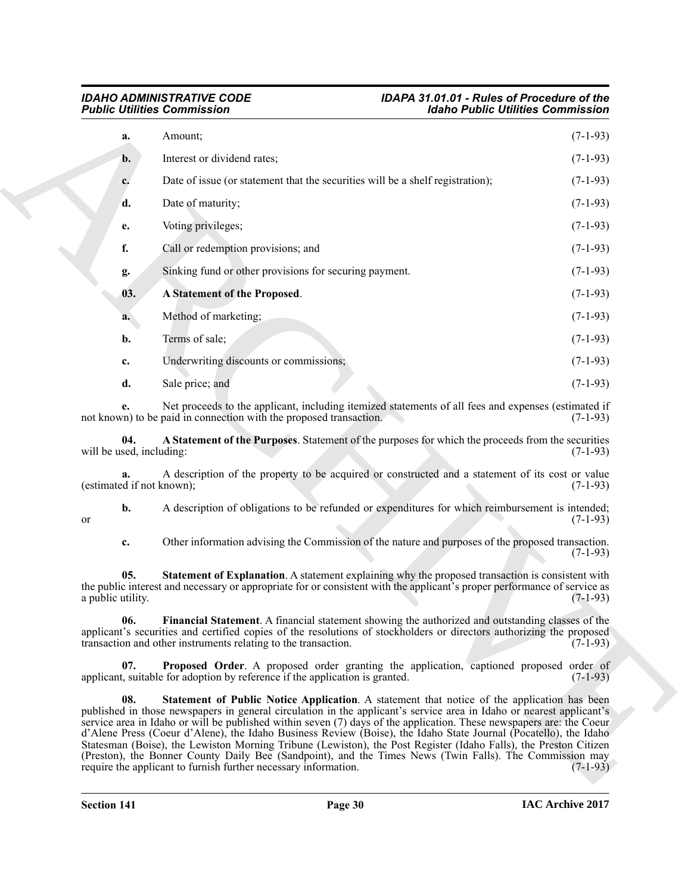<span id="page-29-5"></span><span id="page-29-4"></span><span id="page-29-3"></span><span id="page-29-2"></span><span id="page-29-1"></span><span id="page-29-0"></span>

| <b>Public Utilities Commission</b> |                                                                                                                                                                                                                                                                                                                                                    | <b>Idaho Public Utilities Commission</b> |
|------------------------------------|----------------------------------------------------------------------------------------------------------------------------------------------------------------------------------------------------------------------------------------------------------------------------------------------------------------------------------------------------|------------------------------------------|
| a.                                 | Amount;                                                                                                                                                                                                                                                                                                                                            | $(7-1-93)$                               |
| $\mathbf{b}$ .                     | Interest or dividend rates;                                                                                                                                                                                                                                                                                                                        | $(7-1-93)$                               |
| c.                                 | Date of issue (or statement that the securities will be a shelf registration);                                                                                                                                                                                                                                                                     | $(7-1-93)$                               |
| d.                                 | Date of maturity;                                                                                                                                                                                                                                                                                                                                  | $(7-1-93)$                               |
| e.                                 | Voting privileges;                                                                                                                                                                                                                                                                                                                                 | $(7-1-93)$                               |
| f.                                 | Call or redemption provisions; and                                                                                                                                                                                                                                                                                                                 | $(7-1-93)$                               |
| g.                                 | Sinking fund or other provisions for securing payment.                                                                                                                                                                                                                                                                                             | $(7-1-93)$                               |
| 03.                                | A Statement of the Proposed.                                                                                                                                                                                                                                                                                                                       | $(7-1-93)$                               |
| a.                                 | Method of marketing;                                                                                                                                                                                                                                                                                                                               | $(7-1-93)$                               |
| b.                                 | Terms of sale;                                                                                                                                                                                                                                                                                                                                     | $(7-1-93)$                               |
| c.                                 | Underwriting discounts or commissions;                                                                                                                                                                                                                                                                                                             | $(7-1-93)$                               |
| d.                                 | Sale price; and                                                                                                                                                                                                                                                                                                                                    | $(7-1-93)$                               |
|                                    | Net proceeds to the applicant, including itemized statements of all fees and expenses (estimated if<br>not known) to be paid in connection with the proposed transaction.                                                                                                                                                                          | $(7-1-93)$                               |
| 04.<br>will be used, including:    | A Statement of the Purposes. Statement of the purposes for which the proceeds from the securities                                                                                                                                                                                                                                                  | $(7-1-93)$                               |
| (estimated if not known);          | A description of the property to be acquired or constructed and a statement of its cost or value                                                                                                                                                                                                                                                   | $(7-1-93)$                               |
| b.<br>or                           | A description of obligations to be refunded or expenditures for which reimbursement is intended;                                                                                                                                                                                                                                                   | $(7-1-93)$                               |
| c.                                 | Other information advising the Commission of the nature and purposes of the proposed transaction.                                                                                                                                                                                                                                                  | $(7-1-93)$                               |
| 05.<br>a public utility.           | Statement of Explanation. A statement explaining why the proposed transaction is consistent with<br>the public interest and necessary or appropriate for or consistent with the applicant's proper performance of service as                                                                                                                       | $(7-1-93)$                               |
| 06.                                | Financial Statement. A financial statement showing the authorized and outstanding classes of the<br>applicant's securities and certified copies of the resolutions of stockholders or directors authorizing the proposed<br>transaction and other instruments relating to the transaction.                                                         | $(7-1-93)$                               |
| 07.                                | Proposed Order. A proposed order granting the application, captioned proposed order of<br>applicant, suitable for adoption by reference if the application is granted.                                                                                                                                                                             | $(7-1-93)$                               |
| 08.                                | <b>Statement of Public Notice Application.</b> A statement that notice of the application has been<br>published in those newspapers in general circulation in the applicant's service area in Idaho or nearest applicant's<br>service area in Idaho or will be published within seven (7) days of the application. These newspapers are: the Coeur |                                          |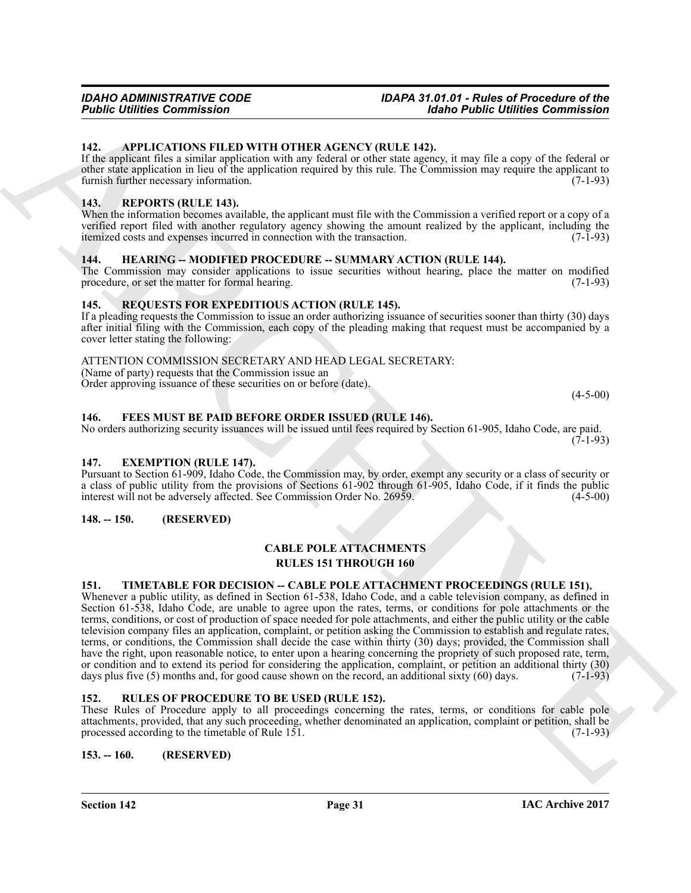### <span id="page-30-10"></span><span id="page-30-0"></span>**142. APPLICATIONS FILED WITH OTHER AGENCY (RULE 142).**

If the applicant files a similar application with any federal or other state agency, it may file a copy of the federal or other state application in lieu of the application required by this rule. The Commission may require the applicant to furnish further necessary information. (7-1-93)

### <span id="page-30-1"></span>**143. REPORTS (RULE 143).**

When the information becomes available, the applicant must file with the Commission a verified report or a copy of a verified report filed with another regulatory agency showing the amount realized by the applicant, including the itemized costs and expenses incurred in connection with the transaction. (7-1-93)

### <span id="page-30-14"></span><span id="page-30-2"></span>**144. HEARING -- MODIFIED PROCEDURE -- SUMMARY ACTION (RULE 144).**

The Commission may consider applications to issue securities without hearing, place the matter on modified procedure, or set the matter for formal hearing. (7-1-93)

### <span id="page-30-15"></span><span id="page-30-3"></span>**145. REQUESTS FOR EXPEDITIOUS ACTION (RULE 145).**

If a pleading requests the Commission to issue an order authorizing issuance of securities sooner than thirty (30) days after initial filing with the Commission, each copy of the pleading making that request must be accompanied by a cover letter stating the following:

### ATTENTION COMMISSION SECRETARY AND HEAD LEGAL SECRETARY:

(Name of party) requests that the Commission issue an

Order approving issuance of these securities on or before (date).

 $(4-5-00)$ 

#### <span id="page-30-13"></span><span id="page-30-4"></span>**146. FEES MUST BE PAID BEFORE ORDER ISSUED (RULE 146).**

No orders authorizing security issuances will be issued until fees required by Section 61-905, Idaho Code, are paid.  $(7-1-93)$ 

#### <span id="page-30-12"></span><span id="page-30-5"></span>**147. EXEMPTION (RULE 147).**

Pursuant to Section 61-909, Idaho Code, the Commission may, by order, exempt any security or a class of security or a class of public utility from the provisions of Sections 61-902 through 61-905, Idaho Code, if it finds the public interest will not be adversely affected. See Commission Order No. 26959. (4-5-00)

#### <span id="page-30-6"></span>**148. -- 150. (RESERVED)**

#### <span id="page-30-11"></span>**CABLE POLE ATTACHMENTS RULES 151 THROUGH 160**

#### <span id="page-30-17"></span><span id="page-30-7"></span>**151. TIMETABLE FOR DECISION -- CABLE POLE ATTACHMENT PROCEEDINGS (RULE 151).**

**Fourier Commission 1997**<br>
14. **APPLICATIONS INTERPRETATION CONTROLLY (IRENT)**<br>
14. **APPLICATIONS INTERPRETATION**<br>
14. **APPLICATIONS INTERPRETATION CONTROLLY (IRENT)**<br>
14. **APPLICATIONS INTERPRETATIONS INTO A CONTROLLY CO** Whenever a public utility, as defined in Section 61-538, Idaho Code, and a cable television company, as defined in Section 61-538, Idaho Code, are unable to agree upon the rates, terms, or conditions for pole attachments or the terms, conditions, or cost of production of space needed for pole attachments, and either the public utility or the cable television company files an application, complaint, or petition asking the Commission to establish and regulate rates, terms, or conditions, the Commission shall decide the case within thirty (30) days; provided, the Commission shall have the right, upon reasonable notice, to enter upon a hearing concerning the propriety of such proposed rate, term, or condition and to extend its period for considering the application, complaint, or petition an additional thirty (30) days plus five (5) months and, for good cause shown on the record, an additional sixty (60) days.  $(7$ days plus five  $(5)$  months and, for good cause shown on the record, an additional sixty  $(60)$  days.

#### <span id="page-30-16"></span><span id="page-30-8"></span>**152. RULES OF PROCEDURE TO BE USED (RULE 152).**

These Rules of Procedure apply to all proceedings concerning the rates, terms, or conditions for cable pole attachments, provided, that any such proceeding, whether denominated an application, complaint or petition, shall be processed according to the timetable of Rule 151. (7-1-93)

#### <span id="page-30-9"></span>**153. -- 160. (RESERVED)**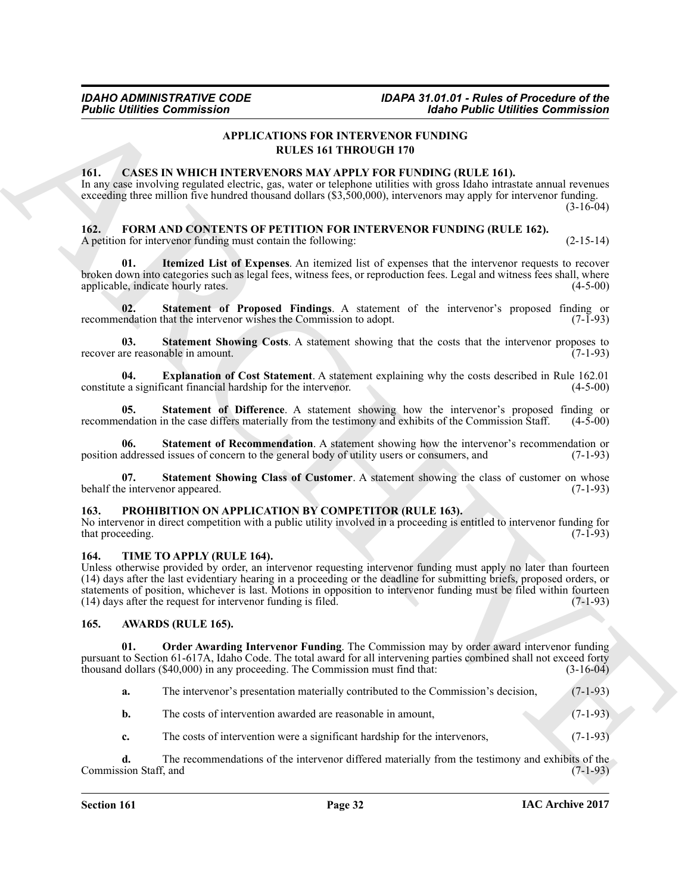### <span id="page-31-5"></span>**APPLICATIONS FOR INTERVENOR FUNDING RULES 161 THROUGH 170**

#### <span id="page-31-8"></span><span id="page-31-0"></span>**161. CASES IN WHICH INTERVENORS MAY APPLY FOR FUNDING (RULE 161).**

In any case involving regulated electric, gas, water or telephone utilities with gross Idaho intrastate annual revenues exceeding three million five hundred thousand dollars (\$3,500,000), intervenors may apply for intervenor funding.  $(3-16-04)$ 

### <span id="page-31-9"></span><span id="page-31-1"></span>**162. FORM AND CONTENTS OF PETITION FOR INTERVENOR FUNDING (RULE 162).**

<span id="page-31-11"></span>A petition for intervenor funding must contain the following: (2-15-14)

**01. Itemized List of Expenses**. An itemized list of expenses that the intervenor requests to recover broken down into categories such as legal fees, witness fees, or reproduction fees. Legal and witness fees shall, where applicable, indicate hourly rates.

<span id="page-31-13"></span>**Statement of Proposed Findings**. A statement of the intervenor's proposed finding or that the intervenor wishes the Commission to adopt. (7-1-93) recommendation that the intervenor wishes the Commission to adopt.

<span id="page-31-16"></span>**03.** Statement Showing Costs. A statement showing that the costs that the intervenor proposes to the reasonable in amount. (7-1-93) recover are reasonable in amount.

<span id="page-31-10"></span>**04. Explanation of Cost Statement**. A statement explaining why the costs described in Rule 162.01 constitute a significant financial hardship for the intervenor.

<span id="page-31-12"></span>**05.** Statement of Difference. A statement showing how the intervenor's proposed finding or endation in the case differs materially from the testimony and exhibits of the Commission Staff. (4-5-00) recommendation in the case differs materially from the testimony and exhibits of the Commission Staff.

<span id="page-31-14"></span>**06. Statement of Recommendation**. A statement showing how the intervenor's recommendation or position addressed issues of concern to the general body of utility users or consumers, and (7-1-93)

<span id="page-31-15"></span>**07.** Statement Showing Class of Customer. A statement showing the class of customer on whose e intervenor appeared. (7-1-93) behalf the intervenor appeared.

#### <span id="page-31-17"></span><span id="page-31-2"></span>**163. PROHIBITION ON APPLICATION BY COMPETITOR (RULE 163).**

No intervenor in direct competition with a public utility involved in a proceeding is entitled to intervenor funding for that proceeding. (7-1-93) (3-1-93)

#### <span id="page-31-18"></span><span id="page-31-3"></span>**164. TIME TO APPLY (RULE 164).**

**Fositic infinite Commission**<br>
APPLICATIONS FOR INTERVENOUS PLAYS FOR EXPRESSION (FIGURE 1616)<br>
16. CASES IN WHICH INTERVENOUS FOR INTERVENOUS PLAYS FOR INTERVENOUS PLAYS FOR INTERVENOUS PLAYS FOR INFINITE CRIMINAL CONTIN Unless otherwise provided by order, an intervenor requesting intervenor funding must apply no later than fourteen (14) days after the last evidentiary hearing in a proceeding or the deadline for submitting briefs, proposed orders, or statements of position, whichever is last. Motions in opposition to intervenor funding must be filed within fourteen (14) days after the request for intervenor funding is filed. (7-1-93)

#### <span id="page-31-6"></span><span id="page-31-4"></span>**165. AWARDS (RULE 165).**

**01. Order Awarding Intervenor Funding**. The Commission may by order award intervenor funding pursuant to Section 61-617A, Idaho Code. The total award for all intervening parties combined shall not exceed forty thousand dollars (\$40,000) in any proceeding. The Commission must find that: (3-16-04)

- <span id="page-31-7"></span>**a.** The intervenor's presentation materially contributed to the Commission's decision, (7-1-93)
- **b.** The costs of intervention awarded are reasonable in amount,  $(7-1-93)$
- **c.** The costs of intervention were a significant hardship for the intervenors, (7-1-93)

**d.** The recommendations of the intervenor differed materially from the testimony and exhibits of the Commission Staff, and (7-1-93)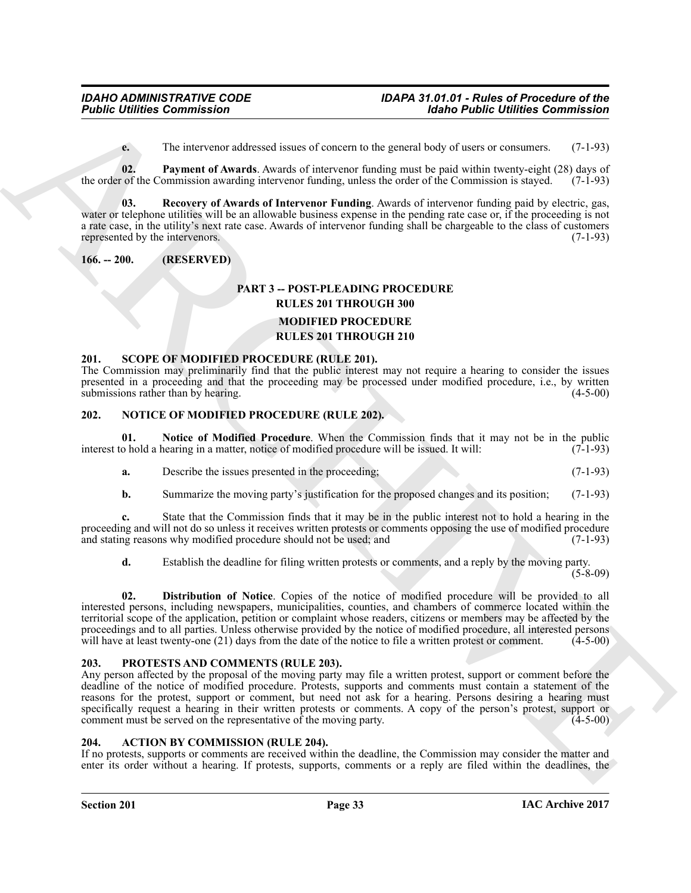<span id="page-32-7"></span><span id="page-32-6"></span>**e.** The intervenor addressed issues of concern to the general body of users or consumers. (7-1-93)

**02. Payment of Awards**. Awards of intervenor funding must be paid within twenty-eight (28) days of the order of the Commission awarding intervenor funding, unless the order of the Commission is stayed. (7-1-93)

**03. Recovery of Awards of Intervenor Funding**. Awards of intervenor funding paid by electric, gas, water or telephone utilities will be an allowable business expense in the pending rate case or, if the proceeding is not a rate case, in the utility's next rate case. Awards of intervenor funding shall be chargeable to the class of customers represented by the intervenors. (7-1-93)

#### <span id="page-32-0"></span>**166. -- 200. (RESERVED)**

### <span id="page-32-11"></span>**PART 3 -- POST-PLEADING PROCEDURE RULES 201 THROUGH 300 MODIFIED PROCEDURE RULES 201 THROUGH 210**

#### <span id="page-32-13"></span><span id="page-32-1"></span>**201. SCOPE OF MODIFIED PROCEDURE (RULE 201).**

The Commission may preliminarily find that the public interest may not require a hearing to consider the issues presented in a proceeding and that the proceeding may be processed under modified procedure, i.e., by written submissions rather than by hearing. (4-5-00) submissions rather than by hearing.

#### <span id="page-32-8"></span><span id="page-32-2"></span>**202. NOTICE OF MODIFIED PROCEDURE (RULE 202).**

**01. Notice of Modified Procedure**. When the Commission finds that it may not be in the public interest to hold a hearing in a matter, notice of modified procedure will be issued. It will: (7-1-93)

<span id="page-32-10"></span>

| Describe the issues presented in the proceeding: |  |  |
|--------------------------------------------------|--|--|
|                                                  |  |  |

**b.** Summarize the moving party's justification for the proposed changes and its position; (7-1-93)

**c.** State that the Commission finds that it may be in the public interest not to hold a hearing in the proceeding and will not do so unless it receives written protests or comments opposing the use of modified procedure and stating reasons why modified procedure should not be used; and  $(7-1-93)$ and stating reasons why modified procedure should not be used; and

<span id="page-32-9"></span>**d.** Establish the deadline for filing written protests or comments, and a reply by the moving party.  $(5-8-09)$ 

**02. Distribution of Notice**. Copies of the notice of modified procedure will be provided to all interested persons, including newspapers, municipalities, counties, and chambers of commerce located within the territorial scope of the application, petition or complaint whose readers, citizens or members may be affected by the proceedings and to all parties. Unless otherwise provided by the notice of modified procedure, all interested persons will have at least twenty-one (21) days from the date of the notice to file a written protest or comment will have at least twenty-one  $(21)$  days from the date of the notice to file a written protest or comment.

#### <span id="page-32-12"></span><span id="page-32-3"></span>**203. PROTESTS AND COMMENTS (RULE 203).**

**Folding Commission 1988**<br>
The intervention shares of sometimes of sometimes of sometimes of sometimes of sometimes of sometimes of sometimes of sometimes of sometimes of sometimes of sometimes of the commission of the co Any person affected by the proposal of the moving party may file a written protest, support or comment before the deadline of the notice of modified procedure. Protests, supports and comments must contain a statement of the reasons for the protest, support or comment, but need not ask for a hearing. Persons desiring a hearing must specifically request a hearing in their written protests or comments. A copy of the person's protest, support or comment must be served on the representative of the moving party. (4-5-00)

#### <span id="page-32-5"></span><span id="page-32-4"></span>**204. ACTION BY COMMISSION (RULE 204).**

If no protests, supports or comments are received within the deadline, the Commission may consider the matter and enter its order without a hearing. If protests, supports, comments or a reply are filed within the deadlines, the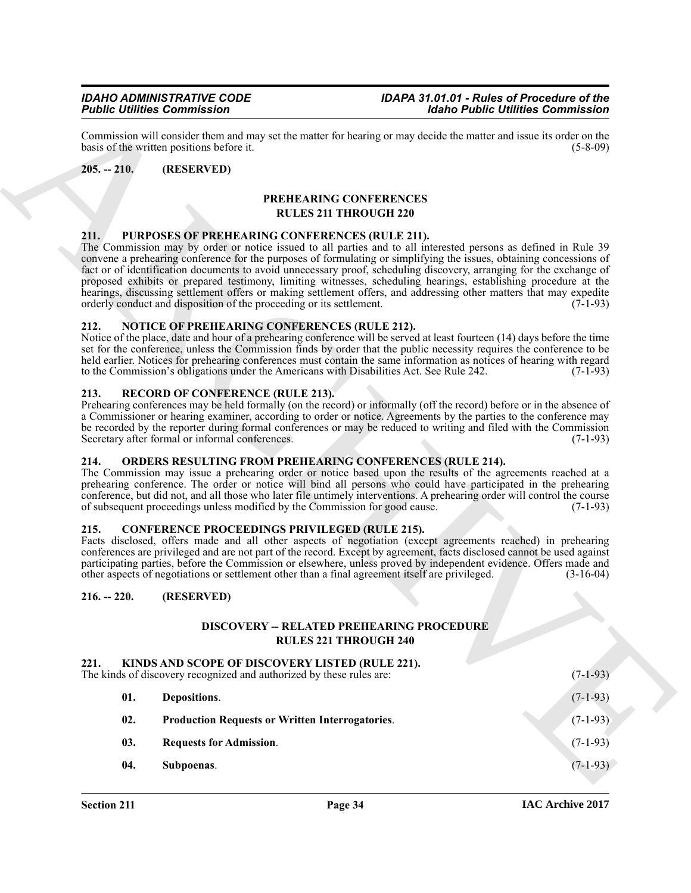#### <span id="page-33-0"></span>**205. -- 210. (RESERVED)**

#### <span id="page-33-17"></span>**PREHEARING CONFERENCES RULES 211 THROUGH 220**

#### <span id="page-33-18"></span><span id="page-33-1"></span>**211. PURPOSES OF PREHEARING CONFERENCES (RULE 211).**

#### <span id="page-33-15"></span><span id="page-33-2"></span>**212. NOTICE OF PREHEARING CONFERENCES (RULE 212).**

### <span id="page-33-19"></span><span id="page-33-3"></span>**213. RECORD OF CONFERENCE (RULE 213).**

#### <span id="page-33-16"></span><span id="page-33-4"></span>**214. ORDERS RESULTING FROM PREHEARING CONFERENCES (RULE 214).**

#### <span id="page-33-8"></span><span id="page-33-5"></span>**215. CONFERENCE PROCEEDINGS PRIVILEGED (RULE 215).**

#### <span id="page-33-6"></span>**216. -- 220. (RESERVED)**

#### <span id="page-33-12"></span><span id="page-33-11"></span><span id="page-33-9"></span>**DISCOVERY -- RELATED PREHEARING PROCEDURE RULES 221 THROUGH 240**

#### <span id="page-33-14"></span><span id="page-33-13"></span><span id="page-33-10"></span><span id="page-33-7"></span>**221. KINDS AND SCOPE OF DISCOVERY LISTED (RULE 221).**

|               | <b>Public Utilities Commission</b>                                                                                      |                                                                                                                                                                                                                                                                                                                                                                                                                                                                                                                                                                                                        | <b>Idaho Public Utilities Commission</b> |
|---------------|-------------------------------------------------------------------------------------------------------------------------|--------------------------------------------------------------------------------------------------------------------------------------------------------------------------------------------------------------------------------------------------------------------------------------------------------------------------------------------------------------------------------------------------------------------------------------------------------------------------------------------------------------------------------------------------------------------------------------------------------|------------------------------------------|
|               | basis of the written positions before it.                                                                               | Commission will consider them and may set the matter for hearing or may decide the matter and issue its order on the                                                                                                                                                                                                                                                                                                                                                                                                                                                                                   | $(5-8-09)$                               |
| $205. - 210.$ | (RESERVED)                                                                                                              |                                                                                                                                                                                                                                                                                                                                                                                                                                                                                                                                                                                                        |                                          |
|               |                                                                                                                         | PREHEARING CONFERENCES<br><b>RULES 211 THROUGH 220</b>                                                                                                                                                                                                                                                                                                                                                                                                                                                                                                                                                 |                                          |
|               |                                                                                                                         |                                                                                                                                                                                                                                                                                                                                                                                                                                                                                                                                                                                                        |                                          |
| 211.          | PURPOSES OF PREHEARING CONFERENCES (RULE 211).<br>orderly conduct and disposition of the proceeding or its settlement.  | The Commission may by order or notice issued to all parties and to all interested persons as defined in Rule 39<br>convene a prehearing conference for the purposes of formulating or simplifying the issues, obtaining concessions of<br>fact or of identification documents to avoid unnecessary proof, scheduling discovery, arranging for the exchange of<br>proposed exhibits or prepared testimony, limiting witnesses, scheduling hearings, establishing procedure at the<br>hearings, discussing settlement offers or making settlement offers, and addressing other matters that may expedite | $(7-1-93)$                               |
| 212.          | <b>NOTICE OF PREHEARING CONFERENCES (RULE 212).</b>                                                                     |                                                                                                                                                                                                                                                                                                                                                                                                                                                                                                                                                                                                        |                                          |
|               |                                                                                                                         | Notice of the place, date and hour of a prehearing conference will be served at least fourteen (14) days before the time<br>set for the conference, unless the Commission finds by order that the public necessity requires the conference to be<br>held earlier. Notices for prehearing conferences must contain the same information as notices of hearing with regard<br>to the Commission's obligations under the Americans with Disabilities Act. See Rule 242.                                                                                                                                   | $(7-1-93)$                               |
| 213.          | <b>RECORD OF CONFERENCE (RULE 213).</b>                                                                                 |                                                                                                                                                                                                                                                                                                                                                                                                                                                                                                                                                                                                        |                                          |
|               | Secretary after formal or informal conferences.                                                                         | Prehearing conferences may be held formally (on the record) or informally (off the record) before or in the absence of<br>a Commissioner or hearing examiner, according to order or notice. Agreements by the parties to the conference may<br>be recorded by the reporter during formal conferences or may be reduced to writing and filed with the Commission                                                                                                                                                                                                                                        | $(7-1-93)$                               |
| 214.          | of subsequent proceedings unless modified by the Commission for good cause.                                             | <b>ORDERS RESULTING FROM PREHEARING CONFERENCES (RULE 214).</b><br>The Commission may issue a prehearing order or notice based upon the results of the agreements reached at a<br>prehearing conference. The order or notice will bind all persons who could have participated in the prehearing<br>conference, but did not, and all those who later file untimely interventions. A prehearing order will control the course                                                                                                                                                                           | $(7-1-93)$                               |
| 215.          | <b>CONFERENCE PROCEEDINGS PRIVILEGED (RULE 215).</b>                                                                    | Facts disclosed, offers made and all other aspects of negotiation (except agreements reached) in prehearing<br>conferences are privileged and are not part of the record. Except by agreement, facts disclosed cannot be used against<br>participating parties, before the Commission or elsewhere, unless proved by independent evidence. Offers made and<br>other aspects of negotiations or settlement other than a final agreement itself are privileged.                                                                                                                                          | $(3-16-04)$                              |
| $216. - 220.$ | (RESERVED)                                                                                                              |                                                                                                                                                                                                                                                                                                                                                                                                                                                                                                                                                                                                        |                                          |
|               |                                                                                                                         | DISCOVERY -- RELATED PREHEARING PROCEDURE                                                                                                                                                                                                                                                                                                                                                                                                                                                                                                                                                              |                                          |
|               |                                                                                                                         | <b>RULES 221 THROUGH 240</b>                                                                                                                                                                                                                                                                                                                                                                                                                                                                                                                                                                           |                                          |
| 221.          | KINDS AND SCOPE OF DISCOVERY LISTED (RULE 221).<br>The kinds of discovery recognized and authorized by these rules are: |                                                                                                                                                                                                                                                                                                                                                                                                                                                                                                                                                                                                        | $(7-1-93)$                               |
| 01.           | Depositions.                                                                                                            |                                                                                                                                                                                                                                                                                                                                                                                                                                                                                                                                                                                                        | $(7-1-93)$                               |
| 02.           | <b>Production Requests or Written Interrogatories.</b>                                                                  |                                                                                                                                                                                                                                                                                                                                                                                                                                                                                                                                                                                                        | $(7-1-93)$                               |
| 03.           | <b>Requests for Admission.</b>                                                                                          |                                                                                                                                                                                                                                                                                                                                                                                                                                                                                                                                                                                                        | $(7-1-93)$                               |
| 04.           | Subpoenas.                                                                                                              |                                                                                                                                                                                                                                                                                                                                                                                                                                                                                                                                                                                                        | $(7-1-93)$                               |
|               |                                                                                                                         |                                                                                                                                                                                                                                                                                                                                                                                                                                                                                                                                                                                                        |                                          |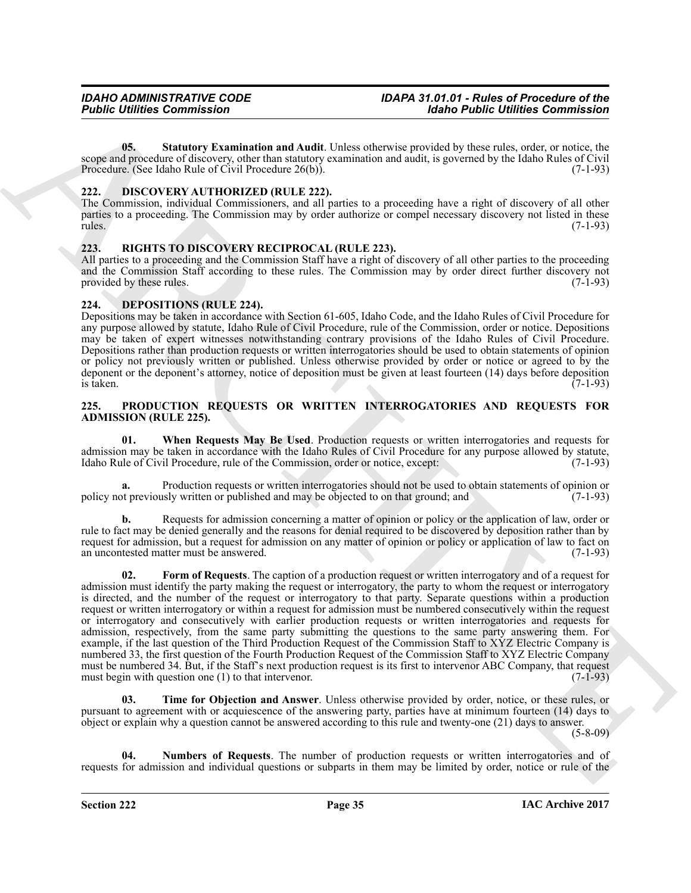<span id="page-34-6"></span>**05. Statutory Examination and Audit**. Unless otherwise provided by these rules, order, or notice, the scope and procedure of discovery, other than statutory examination and audit, is governed by the Idaho Rules of Civil Procedure. (See Idaho Rule of Civil Procedure 26(b)). (7-1-93)

#### <span id="page-34-5"></span><span id="page-34-0"></span>**222. DISCOVERY AUTHORIZED (RULE 222).**

The Commission, individual Commissioners, and all parties to a proceeding have a right of discovery of all other parties to a proceeding. The Commission may by order authorize or compel necessary discovery not listed in these rules. (7-1-93)

#### <span id="page-34-12"></span><span id="page-34-1"></span>**223. RIGHTS TO DISCOVERY RECIPROCAL (RULE 223).**

All parties to a proceeding and the Commission Staff have a right of discovery of all other parties to the proceeding and the Commission Staff according to these rules. The Commission may by order direct further discovery not provided by these rules. (7-1-93)

#### <span id="page-34-4"></span><span id="page-34-2"></span>**224. DEPOSITIONS (RULE 224).**

Depositions may be taken in accordance with Section 61-605, Idaho Code, and the Idaho Rules of Civil Procedure for any purpose allowed by statute, Idaho Rule of Civil Procedure, rule of the Commission, order or notice. Depositions may be taken of expert witnesses notwithstanding contrary provisions of the Idaho Rules of Civil Procedure. Depositions rather than production requests or written interrogatories should be used to obtain statements of opinion or policy not previously written or published. Unless otherwise provided by order or notice or agreed to by the deponent or the deponent's attorney, notice of deposition must be given at least fourteen (14) days before deposition is taken.  $\frac{1}{7-1-93}$  is taken.

#### <span id="page-34-7"></span><span id="page-34-3"></span>**225. PRODUCTION REQUESTS OR WRITTEN INTERROGATORIES AND REQUESTS FOR ADMISSION (RULE 225).**

<span id="page-34-11"></span>**01. When Requests May Be Used**. Production requests or written interrogatories and requests for admission may be taken in accordance with the Idaho Rules of Civil Procedure for any purpose allowed by statute, Idaho Rule of Civil Procedure, rule of the Commission, order or notice, except: (7-1-93)

**a.** Production requests or written interrogatories should not be used to obtain statements of opinion or policy not previously written or published and may be objected to on that ground; and (7-1-93)

<span id="page-34-8"></span>**b.** Requests for admission concerning a matter of opinion or policy or the application of law, order or rule to fact may be denied generally and the reasons for denial required to be discovered by deposition rather than by request for admission, but a request for admission on any matter of opinion or policy or application of law to fact on an uncontested matter must be answered. (7-1-93)

**Fourier Commission**<br>
16. Matter Commission (1988)<br>
2016 Commission (1988) Advise to the commission and Andil Union of the commission (1988) about the commission<br>
2022 Commission (1988) Advise to the commission of the com **02. Form of Requests**. The caption of a production request or written interrogatory and of a request for admission must identify the party making the request or interrogatory, the party to whom the request or interrogatory is directed, and the number of the request or interrogatory to that party. Separate questions within a production request or written interrogatory or within a request for admission must be numbered consecutively within the request or interrogatory and consecutively with earlier production requests or written interrogatories and requests for admission, respectively, from the same party submitting the questions to the same party answering them. For example, if the last question of the Third Production Request of the Commission Staff to XYZ Electric Company is numbered 33, the first question of the Fourth Production Request of the Commission Staff to XYZ Electric Company must be numbered 34. But, if the Staff's next production request is its first to intervenor ABC Company, that request must begin with question one (1) to that intervenor.  $(7-1-93)$ 

<span id="page-34-10"></span>**03. Time for Objection and Answer**. Unless otherwise provided by order, notice, or these rules, or pursuant to agreement with or acquiescence of the answering party, parties have at minimum fourteen (14) days to object or explain why a question cannot be answered according to this rule and twenty-one (21) days to answer.

(5-8-09)

<span id="page-34-9"></span>**04. Numbers of Requests**. The number of production requests or written interrogatories and of requests for admission and individual questions or subparts in them may be limited by order, notice or rule of the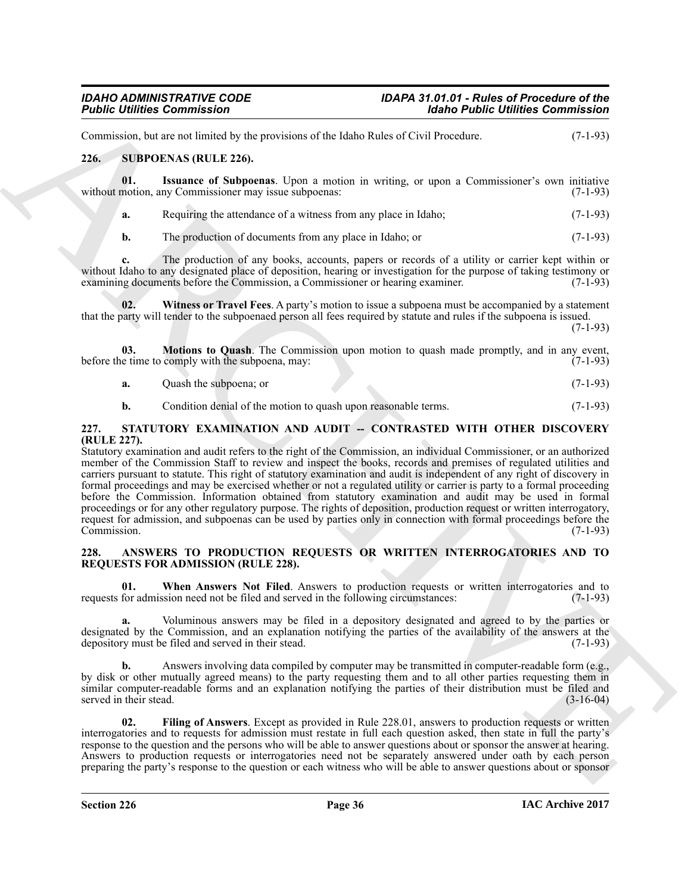<span id="page-35-7"></span><span id="page-35-0"></span>

| Commission, but are not limited by the provisions of the Idaho Rules of Civil Procedure. | $(7-1-93)$ |
|------------------------------------------------------------------------------------------|------------|
| 226.<br>SUBPOENAS (RULE 226).                                                            |            |

**01. Issuance of Subpoenas**. Upon a motion in writing, or upon a Commissioner's own initiative without motion, any Commissioner may issue subpoenas: (7-1-93)

- <span id="page-35-8"></span>**a.** Requiring the attendance of a witness from any place in Idaho; (7-1-93)
- <span id="page-35-10"></span>**b.** The production of documents from any place in Idaho; or (7-1-93)

**c.** The production of any books, accounts, papers or records of a utility or carrier kept within or without Idaho to any designated place of deposition, hearing or investigation for the purpose of taking testimony or examining documents before the Commission, a Commissioner or hearing examiner. (7-1-93)

**02. Witness or Travel Fees**. A party's motion to issue a subpoena must be accompanied by a statement that the party will tender to the subpoenaed person all fees required by statute and rules if the subpoena is issued.

(7-1-93)

**03. Motions to Quash**. The Commission upon motion to quash made promptly, and in any event, before the time to comply with the subpoena, may: (7-1-93)

- <span id="page-35-9"></span>**a.** Quash the subpoena; or (7-1-93)
- <span id="page-35-6"></span>**b.** Condition denial of the motion to quash upon reasonable terms. (7-1-93)

#### <span id="page-35-1"></span>**227. STATUTORY EXAMINATION AND AUDIT -- CONTRASTED WITH OTHER DISCOVERY (RULE 227).**

**Folding Commission**<br>
Commission  $\pi$ <br>
Commission Case of the state field of the state field of the state field of the state field of the state field<br>
21. Support of Northern Commission of the block fields of Commission c Statutory examination and audit refers to the right of the Commission, an individual Commissioner, or an authorized member of the Commission Staff to review and inspect the books, records and premises of regulated utilities and carriers pursuant to statute. This right of statutory examination and audit is independent of any right of discovery in formal proceedings and may be exercised whether or not a regulated utility or carrier is party to a formal proceeding before the Commission. Information obtained from statutory examination and audit may be used in formal proceedings or for any other regulatory purpose. The rights of deposition, production request or written interrogatory, request for admission, and subpoenas can be used by parties only in connection with formal proceedings before the Commission. (7-1-93)

#### <span id="page-35-3"></span><span id="page-35-2"></span>**228. ANSWERS TO PRODUCTION REQUESTS OR WRITTEN INTERROGATORIES AND TO REQUESTS FOR ADMISSION (RULE 228).**

<span id="page-35-5"></span>**01. When Answers Not Filed**. Answers to production requests or written interrogatories and to requests for admission need not be filed and served in the following circumstances: (7-1-93)

**a.** Voluminous answers may be filed in a depository designated and agreed to by the parties or designated by the Commission, and an explanation notifying the parties of the availability of the answers at the depository must be filed and served in their stead. (7-1-93) depository must be filed and served in their stead.

**b.** Answers involving data compiled by computer may be transmitted in computer-readable form (e.g., by disk or other mutually agreed means) to the party requesting them and to all other parties requesting them in similar computer-readable forms and an explanation notifying the parties of their distribution must be filed and served in their stead. (3-16-04)

<span id="page-35-4"></span>**02. Filing of Answers**. Except as provided in Rule 228.01, answers to production requests or written interrogatories and to requests for admission must restate in full each question asked, then state in full the party's response to the question and the persons who will be able to answer questions about or sponsor the answer at hearing. Answers to production requests or interrogatories need not be separately answered under oath by each person preparing the party's response to the question or each witness who will be able to answer questions about or sponsor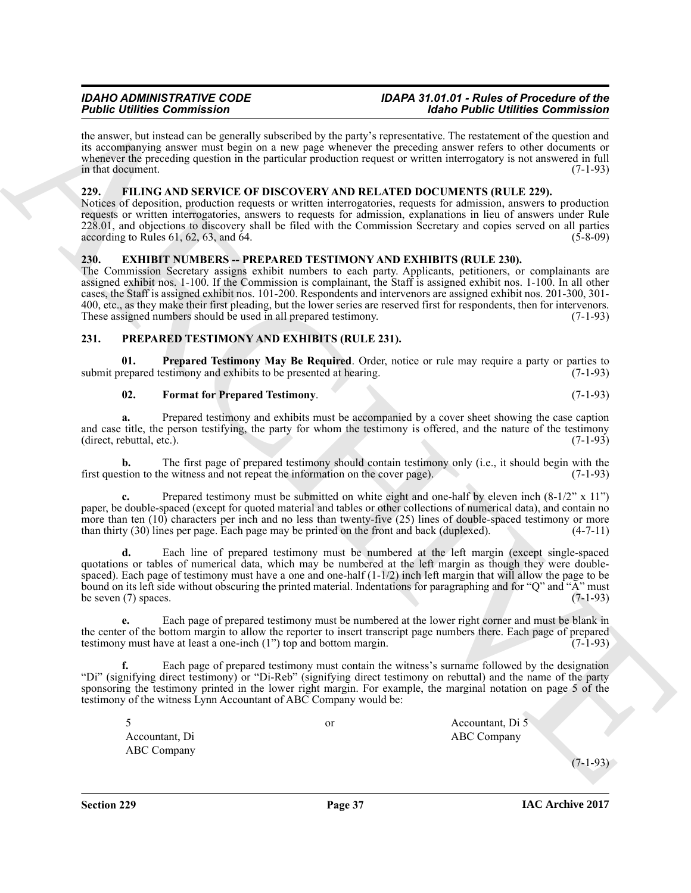the answer, but instead can be generally subscribed by the party's representative. The restatement of the question and its accompanying answer must begin on a new page whenever the preceding answer refers to other documents or whenever the preceding question in the particular production request or written interrogatory is not answered in full in that document. (7-1-93)

#### <span id="page-36-4"></span><span id="page-36-0"></span>**229. FILING AND SERVICE OF DISCOVERY AND RELATED DOCUMENTS (RULE 229).**

Notices of deposition, production requests or written interrogatories, requests for admission, answers to production requests or written interrogatories, answers to requests for admission, explanations in lieu of answers under Rule 228.01, and objections to discovery shall be filed with the Commission Secretary and copies served on all parties  $\alpha$  according to Rules 61, 62, 63, and 64. (5-8-09)

#### <span id="page-36-3"></span><span id="page-36-1"></span>**230. EXHIBIT NUMBERS -- PREPARED TESTIMONY AND EXHIBITS (RULE 230).**

The Commission Secretary assigns exhibit numbers to each party. Applicants, petitioners, or complainants are assigned exhibit nos. 1-100. If the Commission is complainant, the Staff is assigned exhibit nos. 1-100. In all other cases, the Staff is assigned exhibit nos. 101-200. Respondents and intervenors are assigned exhibit nos. 201-300, 301- 400, etc., as they make their first pleading, but the lower series are reserved first for respondents, then for intervenors.<br>These assigned numbers should be used in all prepared testimony. (7-1-93) These assigned numbers should be used in all prepared testimony.

#### <span id="page-36-5"></span><span id="page-36-2"></span>**231. PREPARED TESTIMONY AND EXHIBITS (RULE 231).**

**01. Prepared Testimony May Be Required**. Order, notice or rule may require a party or parties to repared testimony and exhibits to be presented at hearing. (7-1-93) submit prepared testimony and exhibits to be presented at hearing.

#### <span id="page-36-7"></span><span id="page-36-6"></span>**02. Format for Prepared Testimony**. (7-1-93)

**a.** Prepared testimony and exhibits must be accompanied by a cover sheet showing the case caption and case title, the person testifying, the party for whom the testimony is offered, and the nature of the testimony (direct. rebuttal, etc.).  $(direct,$  rebuttal, etc.).

**b.** The first page of prepared testimony should contain testimony only (i.e., it should begin with the stion to the witness and not repeat the information on the cover page). (7-1-93) first question to the witness and not repeat the information on the cover page).

**c.** Prepared testimony must be submitted on white eight and one-half by eleven inch  $(8-1/2)$ <sup>"</sup> x 11") paper, be double-spaced (except for quoted material and tables or other collections of numerical data), and contain no more than ten (10) characters per inch and no less than twenty-five (25) lines of double-spaced testimony or more than thirty (30) lines per page. Each page may be printed on the front and back (duplexed). (4-7-11)

For Confirmer Commutes of the system of the system of the for Collinson Commute Commute Commute Confirmed the system of the system of the system of the system of the system of the system of the system of the system of the **d.** Each line of prepared testimony must be numbered at the left margin (except single-spaced quotations or tables of numerical data, which may be numbered at the left margin as though they were doublespaced). Each page of testimony must have a one and one-half  $(1-1/2)$  inch left margin that will allow the page to be bound on its left side without obscuring the printed material. Indentations for paragraphing and for "Q" and "A" must be seven (7) spaces.  $(7-1-93)$ 

**e.** Each page of prepared testimony must be numbered at the lower right corner and must be blank in the center of the bottom margin to allow the reporter to insert transcript page numbers there. Each page of prepared testimony must have at least a one-inch  $(1)$  top and bottom margin.  $(7-1-93)$ testimony must have at least a one-inch  $(1")$  top and bottom margin.

**f.** Each page of prepared testimony must contain the witness's surname followed by the designation "Di" (signifying direct testimony) or "Di-Reb" (signifying direct testimony on rebuttal) and the name of the party sponsoring the testimony printed in the lower right margin. For example, the marginal notation on page 5 of the testimony of the witness Lynn Accountant of ABC Company would be:

Accountant, Di ABC Company ABC Company

5 or Accountant, Di 5

 $(7 - 1 - 93)$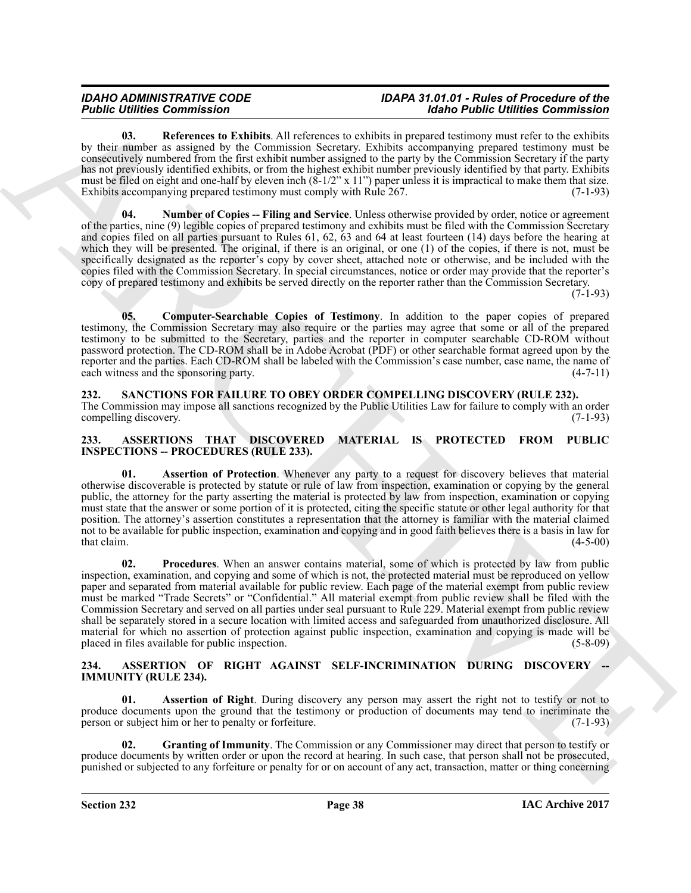<span id="page-37-11"></span>**03. References to Exhibits**. All references to exhibits in prepared testimony must refer to the exhibits by their number as assigned by the Commission Secretary. Exhibits accompanying prepared testimony must be consecutively numbered from the first exhibit number assigned to the party by the Commission Secretary if the party has not previously identified exhibits, or from the highest exhibit number previously identified by that party. Exhibits must be filed on eight and one-half by eleven inch  $(8-1/2" \times 11")$  paper unless it is impractical to make them that size. Exhibits accompanying prepared testimony must comply with Rule 267. (7-1-93)

<span id="page-37-10"></span>**04. Number of Copies -- Filing and Service**. Unless otherwise provided by order, notice or agreement of the parties, nine (9) legible copies of prepared testimony and exhibits must be filed with the Commission Secretary and copies filed on all parties pursuant to Rules 61, 62, 63 and 64 at least fourteen (14) days before the hearing at which they will be presented. The original, if there is an original, or one (1) of the copies, if there is not, must be specifically designated as the reporter's copy by cover sheet, attached note or otherwise, and be included with the copies filed with the Commission Secretary. In special circumstances, notice or order may provide that the reporter's copy of prepared testimony and exhibits be served directly on the reporter rather than the Commission Secretary.

(7-1-93)

<span id="page-37-9"></span>**05. Computer-Searchable Copies of Testimony**. In addition to the paper copies of prepared testimony, the Commission Secretary may also require or the parties may agree that some or all of the prepared testimony to be submitted to the Secretary, parties and the reporter in computer searchable CD-ROM without password protection. The CD-ROM shall be in Adobe Acrobat (PDF) or other searchable format agreed upon by the reporter and the parties. Each CD-ROM shall be labeled with the Commission's case number, case name, the name of each witness and the sponsoring party. (4-7-11) each witness and the sponsoring party.

<span id="page-37-12"></span><span id="page-37-0"></span>**232. SANCTIONS FOR FAILURE TO OBEY ORDER COMPELLING DISCOVERY (RULE 232).** The Commission may impose all sanctions recognized by the Public Utilities Law for failure to comply with an order compelling discovery. (7-1-93)

#### <span id="page-37-6"></span><span id="page-37-1"></span>**233. ASSERTIONS THAT DISCOVERED MATERIAL IS PROTECTED FROM PUBLIC INSPECTIONS -- PROCEDURES (RULE 233).**

<span id="page-37-8"></span><span id="page-37-7"></span>Assertion of Protection. Whenever any party to a request for discovery believes that material otherwise discoverable is protected by statute or rule of law from inspection, examination or copying by the general public, the attorney for the party asserting the material is protected by law from inspection, examination or copying must state that the answer or some portion of it is protected, citing the specific statute or other legal authority for that position. The attorney's assertion constitutes a representation that the attorney is familiar with the material claimed not to be available for public inspection, examination and copying and in good faith believes there is a basis in law for  $\text{that claim.}$  (4-5-00)

For the matter is not applied to the binder of the state of the state of the binder control of the control of the state of the state of the state of the state of the state of the state of the state of the state of the sta **02.** Procedures. When an answer contains material, some of which is protected by law from public inspection, examination, and copying and some of which is not, the protected material must be reproduced on yellow paper and separated from material available for public review. Each page of the material exempt from public review must be marked "Trade Secrets" or "Confidential." All material exempt from public review shall be filed with the Commission Secretary and served on all parties under seal pursuant to Rule 229. Material exempt from public review shall be separately stored in a secure location with limited access and safeguarded from unauthorized disclosure. All material for which no assertion of protection against public inspection, examination and copying is made will be placed in files available for public inspection. (5-8-09) placed in files available for public inspection.

#### <span id="page-37-3"></span><span id="page-37-2"></span>**234. ASSERTION OF RIGHT AGAINST SELF-INCRIMINATION DURING DISCOVERY IMMUNITY (RULE 234).**

<span id="page-37-4"></span>**01.** Assertion of Right. During discovery any person may assert the right not to testify or not to produce documents upon the ground that the testimony or production of documents may tend to incriminate the person or subject him or her to penalty or forfeiture. (7-1-93)

<span id="page-37-5"></span>**02. Granting of Immunity**. The Commission or any Commissioner may direct that person to testify or produce documents by written order or upon the record at hearing. In such case, that person shall not be prosecuted, punished or subjected to any forfeiture or penalty for or on account of any act, transaction, matter or thing concerning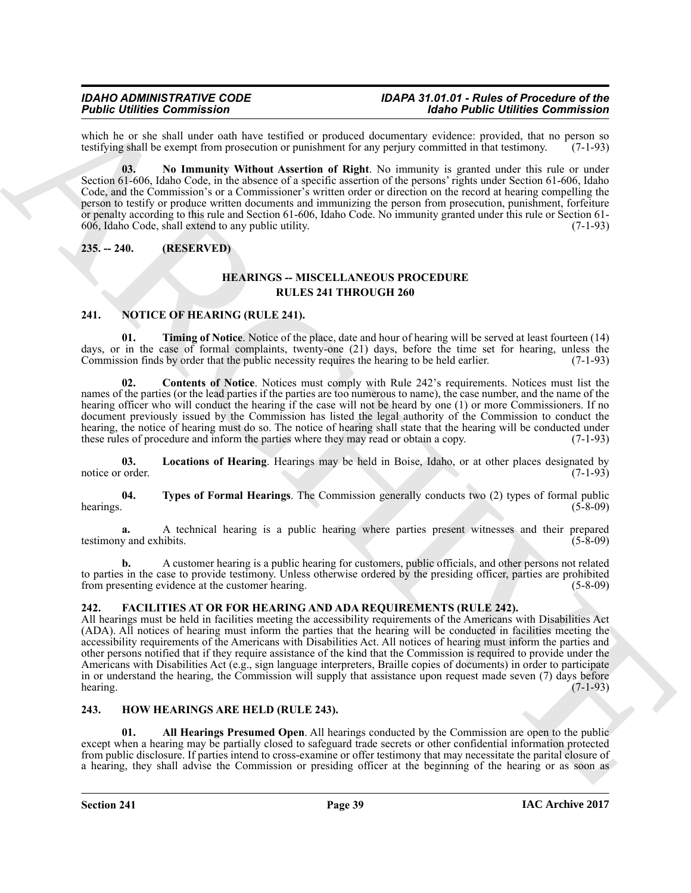which he or she shall under oath have testified or produced documentary evidence: provided, that no person so testifying shall be exempt from prosecution or punishment for any periury committed in that testimony. (7-1-93) testifying shall be exempt from prosecution or punishment for any perjury committed in that testimony.

<span id="page-38-4"></span>**03. No Immunity Without Assertion of Right**. No immunity is granted under this rule or under Section 61-606, Idaho Code, in the absence of a specific assertion of the persons' rights under Section 61-606, Idaho Code, and the Commission's or a Commissioner's written order or direction on the record at hearing compelling the person to testify or produce written documents and immunizing the person from prosecution, punishment, forfeiture or penalty according to this rule and Section 61-606, Idaho Code. No immunity granted under this rule or Section 61- 606, Idaho Code, shall extend to any public utility. (7-1-93)

<span id="page-38-0"></span>**235. -- 240. (RESERVED)**

### <span id="page-38-11"></span><span id="page-38-6"></span>**HEARINGS -- MISCELLANEOUS PROCEDURE RULES 241 THROUGH 260**

#### <span id="page-38-9"></span><span id="page-38-1"></span>**241. NOTICE OF HEARING (RULE 241).**

**01.** Timing of Notice. Notice of the place, date and hour of hearing will be served at least fourteen (14) days, or in the case of formal complaints, twenty-one (21) days, before the time set for hearing, unless the Commission finds by order that the public necessity requires the hearing to be held earlier. (7-1-93)

<span id="page-38-10"></span>**02. Contents of Notice**. Notices must comply with Rule 242's requirements. Notices must list the names of the parties (or the lead parties if the parties are too numerous to name), the case number, and the name of the hearing officer who will conduct the hearing if the case will not be heard by one (1) or more Commissioners. If no document previously issued by the Commission has listed the legal authority of the Commission to conduct the hearing, the notice of hearing must do so. The notice of hearing shall state that the hearing will be conducted under these rules of procedure and inform the parties where they may read or obtain a copy. (7-1-93)

**03. Locations of Hearing**. Hearings may be held in Boise, Idaho, or at other places designated by notice or order. (7-1-93)

<span id="page-38-12"></span>**04. Types of Formal Hearings**. The Commission generally conducts two (2) types of formal public hearings.  $(5-8-09)$ 

**a.** A technical hearing is a public hearing where parties present witnesses and their prepared testimony and exhibits. (5-8-09) (5-8-09)

**b.** A customer hearing is a public hearing for customers, public officials, and other persons not related to parties in the case to provide testimony. Unless otherwise ordered by the presiding officer, parties are prohibited from presenting evidence at the customer hearing. (5-8-09)

#### <span id="page-38-5"></span><span id="page-38-2"></span>**242. FACILITIES AT OR FOR HEARING AND ADA REQUIREMENTS (RULE 242).**

Fold continue Commission<br>
Collider Commission Continue Continue Continue Continue Continue Continue Continue Continue Continue Continue Continue Continue Continue Continue Continue Continue Continue Continue Continue Cont All hearings must be held in facilities meeting the accessibility requirements of the Americans with Disabilities Act (ADA). All notices of hearing must inform the parties that the hearing will be conducted in facilities meeting the accessibility requirements of the Americans with Disabilities Act. All notices of hearing must inform the parties and other persons notified that if they require assistance of the kind that the Commission is required to provide under the Americans with Disabilities Act (e.g., sign language interpreters, Braille copies of documents) in order to participate in or understand the hearing, the Commission will supply that assistance upon request made seven (7) days before hearing. (7-1-93) hearing. (7-1-93)

#### <span id="page-38-7"></span><span id="page-38-3"></span>**243. HOW HEARINGS ARE HELD (RULE 243).**

<span id="page-38-8"></span>**01. All Hearings Presumed Open**. All hearings conducted by the Commission are open to the public except when a hearing may be partially closed to safeguard trade secrets or other confidential information protected from public disclosure. If parties intend to cross-examine or offer testimony that may necessitate the parital closure of a hearing, they shall advise the Commission or presiding officer at the beginning of the hearing or as soon as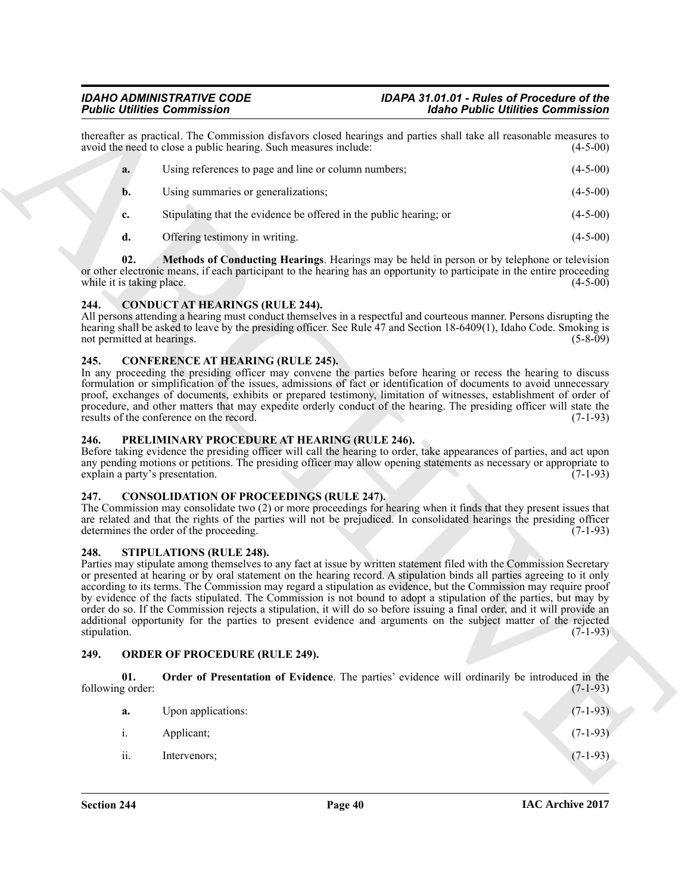thereafter as practical. The Commission disfavors closed hearings and parties shall take all reasonable measures to avoid the need to close a public hearing. Such measures include: (4-5-00) avoid the need to close a public hearing. Such measures include:

| a. | Using references to page and line or column numbers;               | $(4-5-00)$ |
|----|--------------------------------------------------------------------|------------|
| b. | Using summaries or generalizations;                                | $(4-5-00)$ |
| c. | Stipulating that the evidence be offered in the public hearing; or | $(4-5-00)$ |
|    | Offering testimony in writing.                                     | $(4-5-00)$ |

<span id="page-39-9"></span>**02. Methods of Conducting Hearings**. Hearings may be held in person or by telephone or television or other electronic means, if each participant to the hearing has an opportunity to participate in the entire proceeding while it is taking place. (4-5-00)

#### <span id="page-39-6"></span><span id="page-39-0"></span>**244. CONDUCT AT HEARINGS (RULE 244).**

All persons attending a hearing must conduct themselves in a respectful and courteous manner. Persons disrupting the hearing shall be asked to leave by the presiding officer. See Rule 47 and Section 18-6409(1), Idaho Code. Smoking is not permitted at hearings. (5-8-09) (5-8-09)

#### <span id="page-39-7"></span><span id="page-39-1"></span>**245. CONFERENCE AT HEARING (RULE 245).**

In any proceeding the presiding officer may convene the parties before hearing or recess the hearing to discuss formulation or simplification of the issues, admissions of fact or identification of documents to avoid unnecessary proof, exchanges of documents, exhibits or prepared testimony, limitation of witnesses, establishment of order of procedure, and other matters that may expedite orderly conduct of the hearing. The presiding officer will state the results of the conference on the record. (7-1-93) results of the conference on the record.

#### <span id="page-39-12"></span><span id="page-39-2"></span>**246. PRELIMINARY PROCEDURE AT HEARING (RULE 246).**

Before taking evidence the presiding officer will call the hearing to order, take appearances of parties, and act upon any pending motions or petitions. The presiding officer may allow opening statements as necessary or appropriate to explain a party's presentation. (7-1-93) explain a party's presentation.

#### <span id="page-39-8"></span><span id="page-39-3"></span>**247. CONSOLIDATION OF PROCEEDINGS (RULE 247).**

The Commission may consolidate two (2) or more proceedings for hearing when it finds that they present issues that are related and that the rights of the parties will not be prejudiced. In consolidated hearings the presiding officer determines the order of the proceeding. (7-1-93)

#### <span id="page-39-13"></span><span id="page-39-4"></span>**248. STIPULATIONS (RULE 248).**

Folio Point Forming the Communication of the state of the state of the state of the state of the state of the state of the state of the state of the state of the state of the state of the state of the state of the state o Parties may stipulate among themselves to any fact at issue by written statement filed with the Commission Secretary or presented at hearing or by oral statement on the hearing record. A stipulation binds all parties agreeing to it only according to its terms. The Commission may regard a stipulation as evidence, but the Commission may require proof by evidence of the facts stipulated. The Commission is not bound to adopt a stipulation of the parties, but may by order do so. If the Commission rejects a stipulation, it will do so before issuing a final order, and it will provide an additional opportunity for the parties to present evidence and arguments on the subject matter of the rejected stipulation. (7-1-93)

#### <span id="page-39-10"></span><span id="page-39-5"></span>**249. ORDER OF PROCEDURE (RULE 249).**

**01. Order of Presentation of Evidence**. The parties' evidence will ordinarily be introduced in the g order: (7-1-93) following order:

<span id="page-39-11"></span>

| a.  | Upon applications: | $(7-1-93)$ |
|-----|--------------------|------------|
| 1.  | Applicant;         | $(7-1-93)$ |
| ii. | Intervenors;       | $(7-1-93)$ |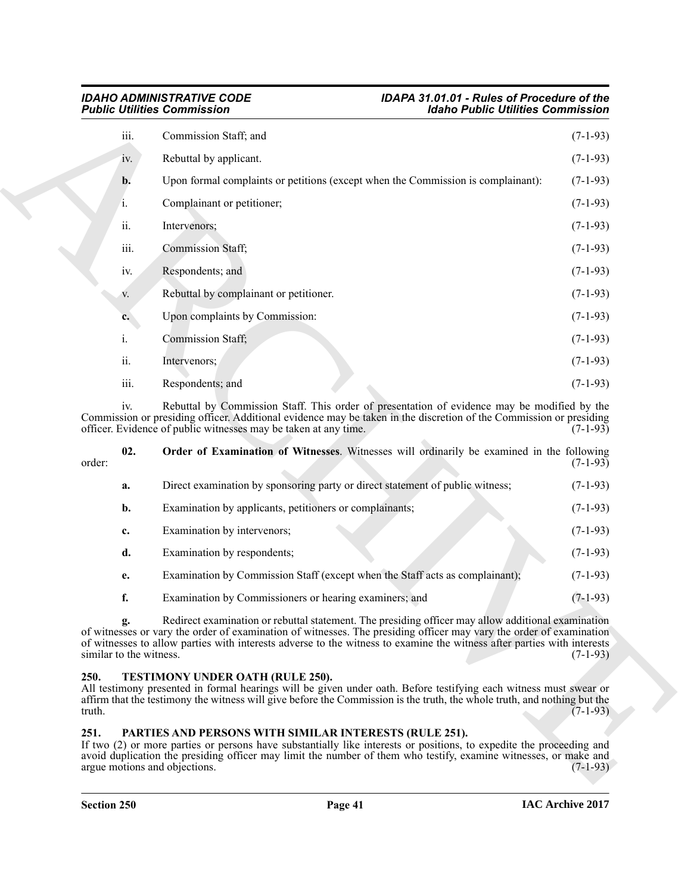| <b>Public Utilities Commission</b>    | <b>Idaho Public Utilities Commission</b>                                                                                                                                                                                                                                                                                                             |            |
|---------------------------------------|------------------------------------------------------------------------------------------------------------------------------------------------------------------------------------------------------------------------------------------------------------------------------------------------------------------------------------------------------|------------|
| iii.                                  | Commission Staff; and                                                                                                                                                                                                                                                                                                                                | $(7-1-93)$ |
| iv.                                   | Rebuttal by applicant.                                                                                                                                                                                                                                                                                                                               | $(7-1-93)$ |
| b.                                    | Upon formal complaints or petitions (except when the Commission is complainant):                                                                                                                                                                                                                                                                     | $(7-1-93)$ |
| i.                                    | Complainant or petitioner;                                                                                                                                                                                                                                                                                                                           | $(7-1-93)$ |
| ii.                                   | Intervenors;                                                                                                                                                                                                                                                                                                                                         | $(7-1-93)$ |
| iii.                                  | Commission Staff;                                                                                                                                                                                                                                                                                                                                    | $(7-1-93)$ |
| iv.                                   | Respondents; and                                                                                                                                                                                                                                                                                                                                     | $(7-1-93)$ |
| V.                                    | Rebuttal by complainant or petitioner.                                                                                                                                                                                                                                                                                                               | $(7-1-93)$ |
| $c_{\cdot}$                           | Upon complaints by Commission:                                                                                                                                                                                                                                                                                                                       | $(7-1-93)$ |
| i.                                    | Commission Staff;                                                                                                                                                                                                                                                                                                                                    | $(7-1-93)$ |
| ii.                                   | Intervenors;                                                                                                                                                                                                                                                                                                                                         | $(7-1-93)$ |
| iii.                                  | Respondents; and                                                                                                                                                                                                                                                                                                                                     | $(7-1-93)$ |
| iv.                                   | Rebuttal by Commission Staff. This order of presentation of evidence may be modified by the<br>Commission or presiding officer. Additional evidence may be taken in the discretion of the Commission or presiding<br>officer. Evidence of public witnesses may be taken at any time.                                                                 | $(7-1-93)$ |
| 02.<br>order:                         | Order of Examination of Witnesses. Witnesses will ordinarily be examined in the following                                                                                                                                                                                                                                                            | $(7-1-93)$ |
| a.                                    | Direct examination by sponsoring party or direct statement of public witness;                                                                                                                                                                                                                                                                        | $(7-1-93)$ |
| b.                                    | Examination by applicants, petitioners or complainants;                                                                                                                                                                                                                                                                                              | $(7-1-93)$ |
| c.                                    | Examination by intervenors;                                                                                                                                                                                                                                                                                                                          | $(7-1-93)$ |
| d.                                    | Examination by respondents;                                                                                                                                                                                                                                                                                                                          | $(7-1-93)$ |
| e.                                    | Examination by Commission Staff (except when the Staff acts as complainant);                                                                                                                                                                                                                                                                         | $(7-1-93)$ |
| f.                                    | Examination by Commissioners or hearing examiners; and                                                                                                                                                                                                                                                                                               | $(7-1-93)$ |
| g.<br>similar to the witness.         | Redirect examination or rebuttal statement. The presiding officer may allow additional examination<br>of witnesses or vary the order of examination of witnesses. The presiding officer may vary the order of examination<br>of witnesses to allow parties with interests adverse to the witness to examine the witness after parties with interests | $(7-1-93)$ |
| 250.<br>truth.                        | TESTIMONY UNDER OATH (RULE 250).<br>All testimony presented in formal hearings will be given under oath. Before testifying each witness must swear or<br>affirm that the testimony the witness will give before the Commission is the truth, the whole truth, and nothing but the                                                                    | $(7-1-93)$ |
| 251.<br>argue motions and objections. | PARTIES AND PERSONS WITH SIMILAR INTERESTS (RULE 251).<br>If two (2) or more parties or persons have substantially like interests or positions, to expedite the proceeding and<br>avoid duplication the presiding officer may limit the number of them who testify, examine witnesses, or make and                                                   | $(7-1-93)$ |

<span id="page-40-2"></span>

| order: | 02. | Order of Examination of Witnesses. Witnesses will ordinarily be examined in the following | $(7-1-93)$ |
|--------|-----|-------------------------------------------------------------------------------------------|------------|
|        | a.  | Direct examination by sponsoring party or direct statement of public witness;             | $(7-1-93)$ |
|        | b.  | Examination by applicants, petitioners or complainants;                                   | $(7-1-93)$ |
|        | c.  | Examination by intervenors;                                                               | $(7-1-93)$ |
|        | d.  | Examination by respondents;                                                               | $(7-1-93)$ |
|        | e.  | Examination by Commission Staff (except when the Staff acts as complainant);              | $(7-1-93)$ |
|        | f.  | Examination by Commissioners or hearing examiners; and                                    | $(7-1-93)$ |

#### <span id="page-40-3"></span><span id="page-40-0"></span>**250. TESTIMONY UNDER OATH (RULE 250).**

#### <span id="page-40-1"></span>**251. PARTIES AND PERSONS WITH SIMILAR INTERESTS (RULE 251).**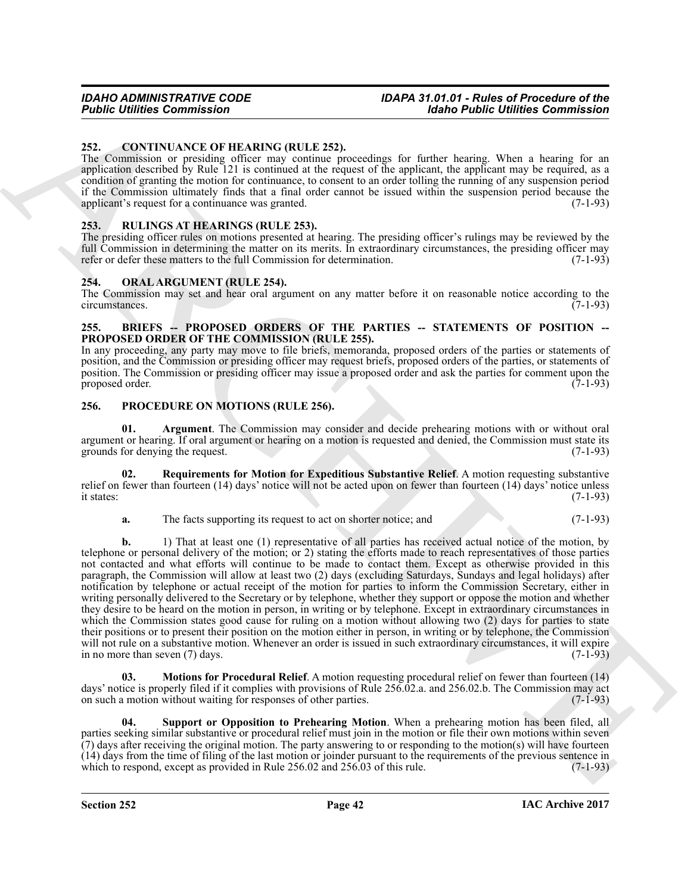#### <span id="page-41-6"></span><span id="page-41-0"></span>**252. CONTINUANCE OF HEARING (RULE 252).**

The Commission or presiding officer may continue proceedings for further hearing. When a hearing for an application described by Rule 121 is continued at the request of the applicant, the applicant may be required, as a condition of granting the motion for continuance, to consent to an order tolling the running of any suspension period if the Commission ultimately finds that a final order cannot be issued within the suspension period because the applicant's request for a continuance was granted. (7-1-93) applicant's request for a continuance was granted.

#### <span id="page-41-13"></span><span id="page-41-1"></span>**253. RULINGS AT HEARINGS (RULE 253).**

The presiding officer rules on motions presented at hearing. The presiding officer's rulings may be reviewed by the full Commission in determining the matter on its merits. In extraordinary circumstances, the presiding officer may refer or defer these matters to the full Commission for determination. (7-1-93)

#### <span id="page-41-7"></span><span id="page-41-2"></span>**254. ORAL ARGUMENT (RULE 254).**

The Commission may set and hear oral argument on any matter before it on reasonable notice according to the circumstances. (7-1-93)

#### <span id="page-41-5"></span><span id="page-41-3"></span>**255. BRIEFS -- PROPOSED ORDERS OF THE PARTIES -- STATEMENTS OF POSITION -- PROPOSED ORDER OF THE COMMISSION (RULE 255).**

In any proceeding, any party may move to file briefs, memoranda, proposed orders of the parties or statements of position, and the Commission or presiding officer may request briefs, proposed orders of the parties, or statements of position. The Commission or presiding officer may issue a proposed order and ask the parties for comment upon the proposed order. (7-1-93)

#### <span id="page-41-8"></span><span id="page-41-4"></span>**256. PROCEDURE ON MOTIONS (RULE 256).**

<span id="page-41-9"></span>**01. Argument**. The Commission may consider and decide prehearing motions with or without oral argument or hearing. If oral argument or hearing on a motion is requested and denied, the Commission must state its grounds for denying the request. (7-1-93)

**02. Requirements for Motion for Expeditious Substantive Relief**. A motion requesting substantive relief on fewer than fourteen (14) days' notice will not be acted upon on fewer than fourteen (14) days' notice unless it states:  $(7-1-93)$ 

<span id="page-41-11"></span>**a.** The facts supporting its request to act on shorter notice; and  $(7-1-93)$ 

**Foother Communistics**<br>
252. CONTRIBUTE CONTRAINT CONTRAINT 2521. The first of the first of the first of the state of the state of the state of the state of the state of the state of the state of the state of the state of **b.** 1) That at least one (1) representative of all parties has received actual notice of the motion, by telephone or personal delivery of the motion; or 2) stating the efforts made to reach representatives of those parties not contacted and what efforts will continue to be made to contact them. Except as otherwise provided in this paragraph, the Commission will allow at least two (2) days (excluding Saturdays, Sundays and legal holidays) after notification by telephone or actual receipt of the motion for parties to inform the Commission Secretary, either in writing personally delivered to the Secretary or by telephone, whether they support or oppose the motion and whether they desire to be heard on the motion in person, in writing or by telephone. Except in extraordinary circumstances in which the Commission states good cause for ruling on a motion without allowing two (2) days for parties to state their positions or to present their position on the motion either in person, in writing or by telephone, the Commission will not rule on a substantive motion. Whenever an order is issued in such extraordinary circumstances, it will expire in no more than seven  $(7)$  days.  $(7-1-93)$ 

<span id="page-41-10"></span>**03. Motions for Procedural Relief**. A motion requesting procedural relief on fewer than fourteen (14) days' notice is properly filed if it complies with provisions of Rule 256.02.a. and 256.02.b. The Commission may act on such a motion without waiting for responses of other parties. (7-1-93)

<span id="page-41-12"></span>**04. Support or Opposition to Prehearing Motion**. When a prehearing motion has been filed, all parties seeking similar substantive or procedural relief must join in the motion or file their own motions within seven (7) days after receiving the original motion. The party answering to or responding to the motion(s) will have fourteen (14) days from the time of filing of the last motion or joinder pursuant to the requirements of the previous sentence in which to respond, except as provided in Rule 256.02 and 256.03 of this rule. (7-1-93)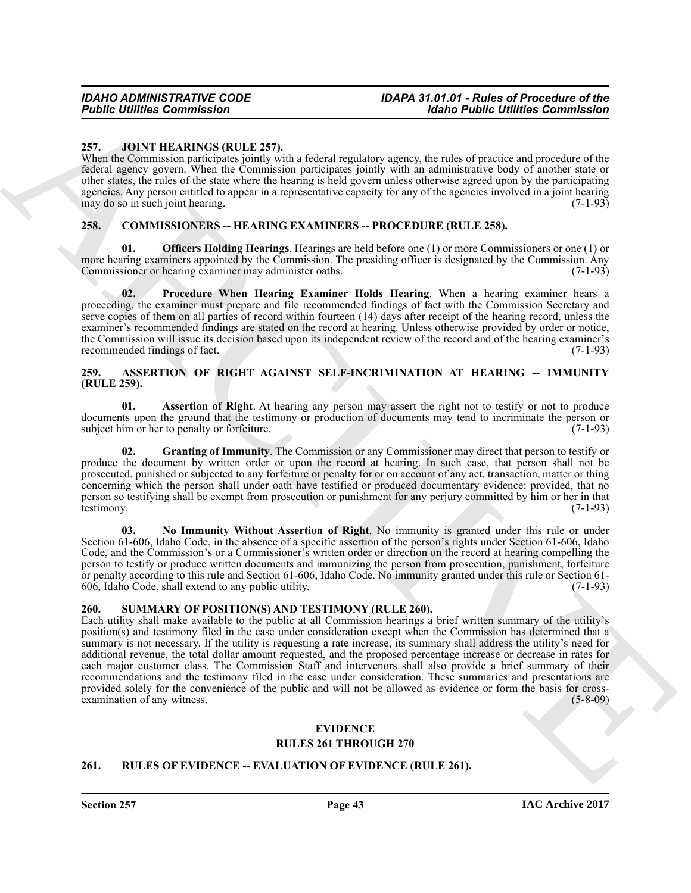#### <span id="page-42-13"></span><span id="page-42-0"></span>**257. JOINT HEARINGS (RULE 257).**

When the Commission participates jointly with a federal regulatory agency, the rules of practice and procedure of the federal agency govern. When the Commission participates jointly with an administrative body of another state or other states, the rules of the state where the hearing is held govern unless otherwise agreed upon by the participating agencies. Any person entitled to appear in a representative capacity for any of the agencies involved in a joint hearing may do so in such joint hearing. may do so in such joint hearing.

#### <span id="page-42-9"></span><span id="page-42-1"></span>**258. COMMISSIONERS -- HEARING EXAMINERS -- PROCEDURE (RULE 258).**

<span id="page-42-10"></span>**01. Officers Holding Hearings**. Hearings are held before one (1) or more Commissioners or one (1) or more hearing examiners appointed by the Commission. The presiding officer is designated by the Commission. Any<br>Commissioner or hearing examiner may administer oaths. (7-1-93) Commissioner or hearing examiner may administer oaths.

<span id="page-42-11"></span>**02. Procedure When Hearing Examiner Holds Hearing**. When a hearing examiner hears a proceeding, the examiner must prepare and file recommended findings of fact with the Commission Secretary and serve copies of them on all parties of record within fourteen (14) days after receipt of the hearing record, unless the examiner's recommended findings are stated on the record at hearing. Unless otherwise provided by order or notice, the Commission will issue its decision based upon its independent review of the record and of the hearing examiner's recommended findings of fact. (7-1-93)

#### <span id="page-42-5"></span><span id="page-42-2"></span>**259. ASSERTION OF RIGHT AGAINST SELF-INCRIMINATION AT HEARING -- IMMUNITY (RULE 259).**

<span id="page-42-6"></span>**01. Assertion of Right**. At hearing any person may assert the right not to testify or not to produce documents upon the ground that the testimony or production of documents may tend to incriminate the person or subject him or her to penalty or forfeiture. (7-1-93)

<span id="page-42-7"></span>**02. Granting of Immunity**. The Commission or any Commissioner may direct that person to testify or produce the document by written order or upon the record at hearing. In such case, that person shall not be prosecuted, punished or subjected to any forfeiture or penalty for or on account of any act, transaction, matter or thing concerning which the person shall under oath have testified or produced documentary evidence: provided, that no person so testifying shall be exempt from prosecution or punishment for any perjury committed by him or her in that testimony. (7-1-93) testimony. (7-1-93)

<span id="page-42-8"></span>**03. No Immunity Without Assertion of Right**. No immunity is granted under this rule or under Section 61-606, Idaho Code, in the absence of a specific assertion of the person's rights under Section 61-606, Idaho Code, and the Commission's or a Commissioner's written order or direction on the record at hearing compelling the person to testify or produce written documents and immunizing the person from prosecution, punishment, forfeiture or penalty according to this rule and Section 61-606, Idaho Code. No immunity granted under this rule or Section 61- 606, Idaho Code, shall extend to any public utility. (7-1-93)

#### <span id="page-42-15"></span><span id="page-42-3"></span>**260. SUMMARY OF POSITION(S) AND TESTIMONY (RULE 260).**

**Folding Communistics**<br>
25. July T. HAIMSC (RULL 25), a detection agents of the significant procedure and the significant of the significant of the significant of the significant of the significant of the significant of t Each utility shall make available to the public at all Commission hearings a brief written summary of the utility's position(s) and testimony filed in the case under consideration except when the Commission has determined that a summary is not necessary. If the utility is requesting a rate increase, its summary shall address the utility's need for additional revenue, the total dollar amount requested, and the proposed percentage increase or decrease in rates for each major customer class. The Commission Staff and intervenors shall also provide a brief summary of their recommendations and the testimony filed in the case under consideration. These summaries and presentations are provided solely for the convenience of the public and will not be allowed as evidence or form the basis for crossexamination of any witness. (5-8-09)

#### <span id="page-42-12"></span>**EVIDENCE RULES 261 THROUGH 270**

#### <span id="page-42-14"></span><span id="page-42-4"></span>**261. RULES OF EVIDENCE -- EVALUATION OF EVIDENCE (RULE 261).**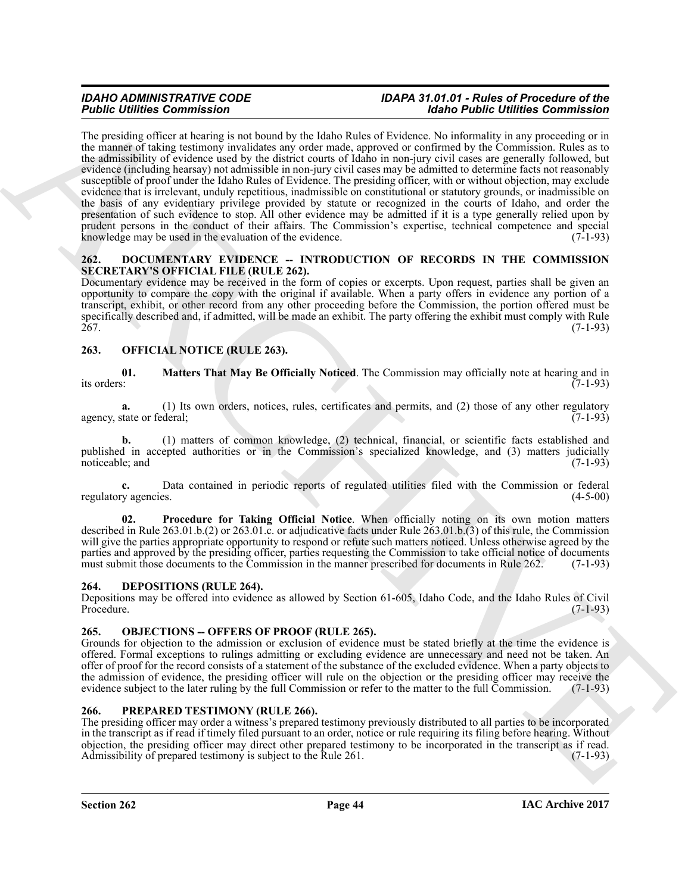For the transmission of the state of the state of the state of the both Collinson Commutation in the state of the state of the state of the state of the state of the state of the state of the state of the state of the sta The presiding officer at hearing is not bound by the Idaho Rules of Evidence. No informality in any proceeding or in the manner of taking testimony invalidates any order made, approved or confirmed by the Commission. Rules as to the admissibility of evidence used by the district courts of Idaho in non-jury civil cases are generally followed, but evidence (including hearsay) not admissible in non-jury civil cases may be admitted to determine facts not reasonably susceptible of proof under the Idaho Rules of Evidence. The presiding officer, with or without objection, may exclude evidence that is irrelevant, unduly repetitious, inadmissible on constitutional or statutory grounds, or inadmissible on the basis of any evidentiary privilege provided by statute or recognized in the courts of Idaho, and order the presentation of such evidence to stop. All other evidence may be admitted if it is a type generally relied upon by prudent persons in the conduct of their affairs. The Commission's expertise, technical competence and special knowledge may be used in the evaluation of the evidence.  $(7-1-93)$ 

#### <span id="page-43-6"></span><span id="page-43-0"></span>**262. DOCUMENTARY EVIDENCE -- INTRODUCTION OF RECORDS IN THE COMMISSION SECRETARY'S OFFICIAL FILE (RULE 262).**

Documentary evidence may be received in the form of copies or excerpts. Upon request, parties shall be given an opportunity to compare the copy with the original if available. When a party offers in evidence any portion of a transcript, exhibit, or other record from any other proceeding before the Commission, the portion offered must be specifically described and, if admitted, will be made an exhibit. The party offering the exhibit must comply with Rule 267. (7-1-93)

### <span id="page-43-8"></span><span id="page-43-1"></span>**263. OFFICIAL NOTICE (RULE 263).**

<span id="page-43-9"></span>**01. Matters That May Be Officially Noticed**. The Commission may officially note at hearing and in its orders:  $(7-1-93)$ 

**a.** (1) Its own orders, notices, rules, certificates and permits, and (2) those of any other regulatory (7-1-93) agency, state or federal;

**b.** (1) matters of common knowledge, (2) technical, financial, or scientific facts established and published in accepted authorities or in the Commission's specialized knowledge, and (3) matters judicially noticeable; and (7-1-93) (3-1-93)

**c.** Data contained in periodic reports of regulated utilities filed with the Commission or federal regulatory agencies. (4-5-00)

<span id="page-43-10"></span>**02. Procedure for Taking Official Notice**. When officially noting on its own motion matters described in Rule 263.01.b.(2) or 263.01.c. or adjudicative facts under Rule 263.01.b.(3) of this rule, the Commission will give the parties appropriate opportunity to respond or refute such matters noticed. Unless otherwise agreed by the parties and approved by the presiding officer, parties requesting the Commission to take official notice of documents must submit those documents to the Commission in the manner prescribed for documents in Rule 262. (7-1-93)

#### <span id="page-43-5"></span><span id="page-43-2"></span>**264. DEPOSITIONS (RULE 264).**

Depositions may be offered into evidence as allowed by Section 61-605, Idaho Code, and the Idaho Rules of Civil Procedure. (7-1-93)

#### <span id="page-43-7"></span><span id="page-43-3"></span>265. OBJECTIONS -- OFFERS OF PROOF (RULE 265).

Grounds for objection to the admission or exclusion of evidence must be stated briefly at the time the evidence is offered. Formal exceptions to rulings admitting or excluding evidence are unnecessary and need not be taken. An offer of proof for the record consists of a statement of the substance of the excluded evidence. When a party objects to the admission of evidence, the presiding officer will rule on the objection or the presiding officer may receive the evidence subject to the later ruling by the full Commission or refer to the matter to the full Commission evidence subject to the later ruling by the full Commission or refer to the matter to the full Commission.

#### <span id="page-43-11"></span><span id="page-43-4"></span>**266. PREPARED TESTIMONY (RULE 266).**

The presiding officer may order a witness's prepared testimony previously distributed to all parties to be incorporated in the transcript as if read if timely filed pursuant to an order, notice or rule requiring its filing before hearing. Without objection, the presiding officer may direct other prepared testimony to be incorporated in the transcript as if read. Admissibility of prepared testimony is subject to the Rule 261. (7-1-93)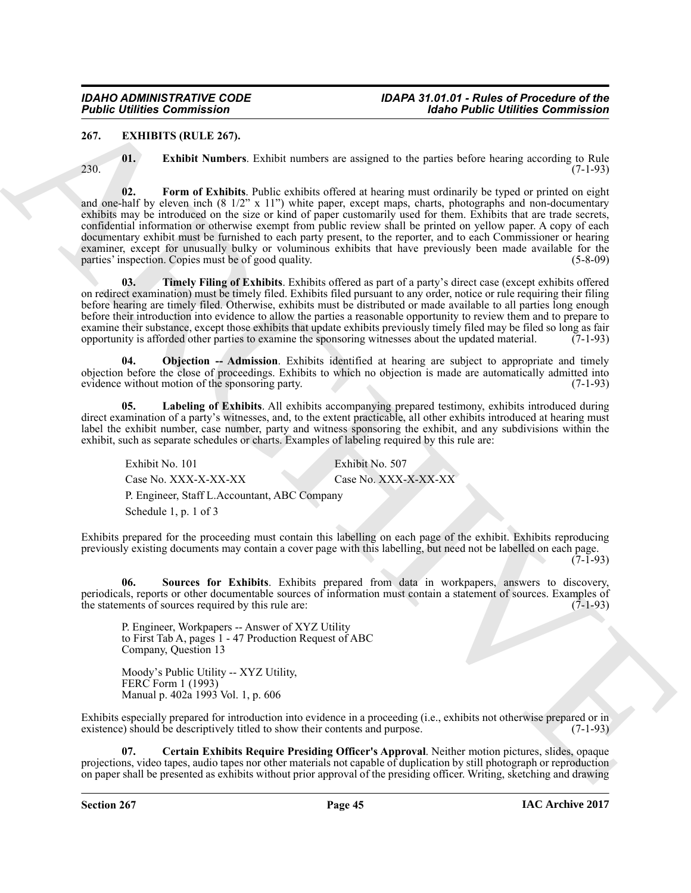#### <span id="page-44-1"></span><span id="page-44-0"></span>**267. EXHIBITS (RULE 267).**

<span id="page-44-4"></span>

<span id="page-44-3"></span>**01. Exhibit Numbers**. Exhibit numbers are assigned to the parties before hearing according to Rule  $230.$  (7-1-93)

**Folding Commission**<br>
24. **Example 12.** The state of the state of the state of the state of the state of the state of the state of the state of the state of the state of the state of the state of the state of the state of **02. Form of Exhibits**. Public exhibits offered at hearing must ordinarily be typed or printed on eight and one-half by eleven inch (8 1/2" x 11") white paper, except maps, charts, photographs and non-documentary exhibits may be introduced on the size or kind of paper customarily used for them. Exhibits that are trade secrets, confidential information or otherwise exempt from public review shall be printed on yellow paper. A copy of each documentary exhibit must be furnished to each party present, to the reporter, and to each Commissioner or hearing examiner, except for unusually bulky or voluminous exhibits that have previously been made available for the parties' inspection. Copies must be of good quality. (5-8-09) (5-8-09)

<span id="page-44-8"></span>**03. Timely Filing of Exhibits**. Exhibits offered as part of a party's direct case (except exhibits offered on redirect examination) must be timely filed. Exhibits filed pursuant to any order, notice or rule requiring their filing before hearing are timely filed. Otherwise, exhibits must be distributed or made available to all parties long enough before their introduction into evidence to allow the parties a reasonable opportunity to review them and to prepare to examine their substance, except those exhibits that update exhibits previously timely filed may be filed so long as fair opportunity is afforded other parties to examine the sponsoring witnesses about the updated material. (7-1-93)

<span id="page-44-6"></span>**04. Objection -- Admission**. Exhibits identified at hearing are subject to appropriate and timely objection before the close of proceedings. Exhibits to which no objection is made are automatically admitted into evidence without motion of the sponsoring party. (7-1-93) evidence without motion of the sponsoring party.

**05. Labeling of Exhibits**. All exhibits accompanying prepared testimony, exhibits introduced during direct examination of a party's witnesses, and, to the extent practicable, all other exhibits introduced at hearing must label the exhibit number, case number, party and witness sponsoring the exhibit, and any subdivisions within the exhibit, such as separate schedules or charts. Examples of labeling required by this rule are:

<span id="page-44-5"></span>Exhibit No. 101 Exhibit No. 507 Case No. XXX-X-XX-XX-XX<br>Case No. XXX-X-XX-XX P. Engineer, Staff L.Accountant, ABC Company Schedule 1, p. 1 of 3

Exhibits prepared for the proceeding must contain this labelling on each page of the exhibit. Exhibits reproducing previously existing documents may contain a cover page with this labelling, but need not be labelled on each page.  $(7-I-93)$ 

**06. Sources for Exhibits**. Exhibits prepared from data in workpapers, answers to discovery, periodicals, reports or other documentable sources of information must contain a statement of sources. Examples of the statements of sources required by this rule are: (7-1-93)

<span id="page-44-7"></span>P. Engineer, Workpapers -- Answer of XYZ Utility to First Tab A, pages 1 - 47 Production Request of ABC Company, Question 13

<span id="page-44-2"></span>Moody's Public Utility -- XYZ Utility, FERC Form 1 (1993) Manual p. 402a 1993 Vol. 1, p. 606

Exhibits especially prepared for introduction into evidence in a proceeding (i.e., exhibits not otherwise prepared or in existence) should be descriptively titled to show their contents and purpose. (7-1-93)

**07. Certain Exhibits Require Presiding Officer's Approval**. Neither motion pictures, slides, opaque projections, video tapes, audio tapes nor other materials not capable of duplication by still photograph or reproduction on paper shall be presented as exhibits without prior approval of the presiding officer. Writing, sketching and drawing

**Section 267 Page 45**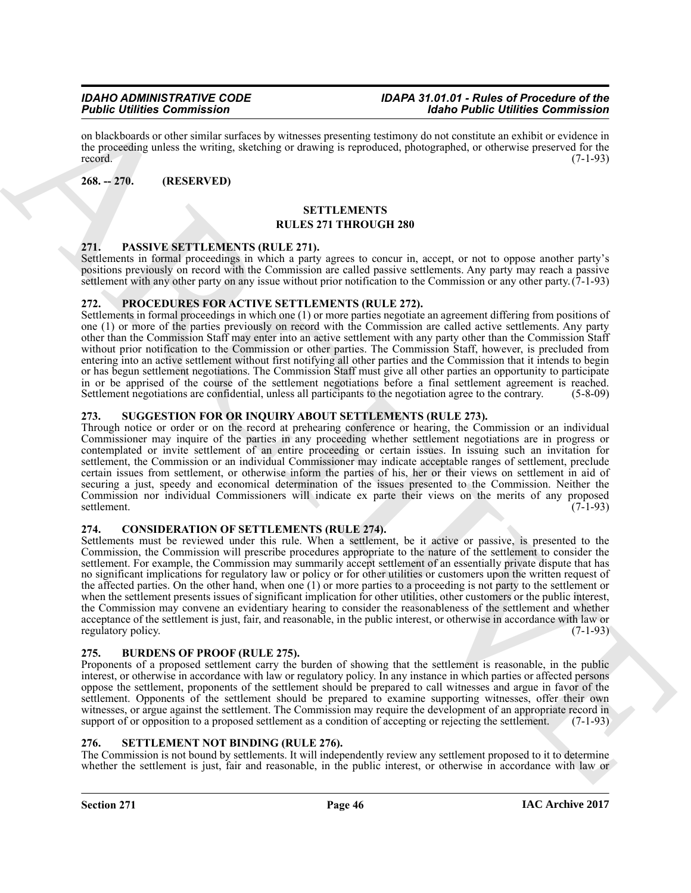on blackboards or other similar surfaces by witnesses presenting testimony do not constitute an exhibit or evidence in the proceeding unless the writing, sketching or drawing is reproduced, photographed, or otherwise preserved for the record. (7-1-93) record.  $(7-1-93)$ 

#### <span id="page-45-0"></span>**268. -- 270. (RESERVED)**

#### <span id="page-45-12"></span>**SETTLEMENTS RULES 271 THROUGH 280**

#### <span id="page-45-9"></span><span id="page-45-1"></span>**271. PASSIVE SETTLEMENTS (RULE 271).**

Settlements in formal proceedings in which a party agrees to concur in, accept, or not to oppose another party's positions previously on record with the Commission are called passive settlements. Any party may reach a passive settlement with any other party on any issue without prior notification to the Commission or any other party.(7-1-93)

#### <span id="page-45-10"></span><span id="page-45-2"></span>**272. PROCEDURES FOR ACTIVE SETTLEMENTS (RULE 272).**

Settlements in formal proceedings in which one (1) or more parties negotiate an agreement differing from positions of one (1) or more of the parties previously on record with the Commission are called active settlements. Any party other than the Commission Staff may enter into an active settlement with any party other than the Commission Staff without prior notification to the Commission or other parties. The Commission Staff, however, is precluded from entering into an active settlement without first notifying all other parties and the Commission that it intends to begin or has begun settlement negotiations. The Commission Staff must give all other parties an opportunity to participate in or be apprised of the course of the settlement negotiations before a final settlement agreement is reached. Settlement negotiations are confidential, unless all participants to the negotiation agree to the contrary. (5-8-09)

#### <span id="page-45-13"></span><span id="page-45-3"></span>**273. SUGGESTION FOR OR INQUIRY ABOUT SETTLEMENTS (RULE 273).**

Through notice or order or on the record at prehearing conference or hearing, the Commission or an individual Commissioner may inquire of the parties in any proceeding whether settlement negotiations are in progress or contemplated or invite settlement of an entire proceeding or certain issues. In issuing such an invitation for settlement, the Commission or an individual Commissioner may indicate acceptable ranges of settlement, preclude certain issues from settlement, or otherwise inform the parties of his, her or their views on settlement in aid of securing a just, speedy and economical determination of the issues presented to the Commission. Neither the Commission nor individual Commissioners will indicate ex parte their views on the merits of any proposed settlement. (7-1-93)

#### <span id="page-45-8"></span><span id="page-45-4"></span>**274. CONSIDERATION OF SETTLEMENTS (RULE 274).**

For contribute Commute and the state of the state of the state of the state of the state of the state of the state of the state of the state of the state of the state of the state of the state of the state of the state of Settlements must be reviewed under this rule. When a settlement, be it active or passive, is presented to the Commission, the Commission will prescribe procedures appropriate to the nature of the settlement to consider the settlement. For example, the Commission may summarily accept settlement of an essentially private dispute that has no significant implications for regulatory law or policy or for other utilities or customers upon the written request of the affected parties. On the other hand, when one (1) or more parties to a proceeding is not party to the settlement or when the settlement presents issues of significant implication for other utilities, other customers or the public interest, the Commission may convene an evidentiary hearing to consider the reasonableness of the settlement and whether acceptance of the settlement is just, fair, and reasonable, in the public interest, or otherwise in accordance with law or regulatory policy.

#### <span id="page-45-7"></span><span id="page-45-5"></span>**275. BURDENS OF PROOF (RULE 275).**

Proponents of a proposed settlement carry the burden of showing that the settlement is reasonable, in the public interest, or otherwise in accordance with law or regulatory policy. In any instance in which parties or affected persons oppose the settlement, proponents of the settlement should be prepared to call witnesses and argue in favor of the settlement. Opponents of the settlement should be prepared to examine supporting witnesses, offer their own witnesses, or argue against the settlement. The Commission may require the development of an appropriate record in support of or opposition to a proposed settlement as a condition of accepting or rejecting the settlement. support of or opposition to a proposed settlement as a condition of accepting or rejecting the settlement.

#### <span id="page-45-11"></span><span id="page-45-6"></span>**276. SETTLEMENT NOT BINDING (RULE 276).**

The Commission is not bound by settlements. It will independently review any settlement proposed to it to determine whether the settlement is just, fair and reasonable, in the public interest, or otherwise in accordance with law or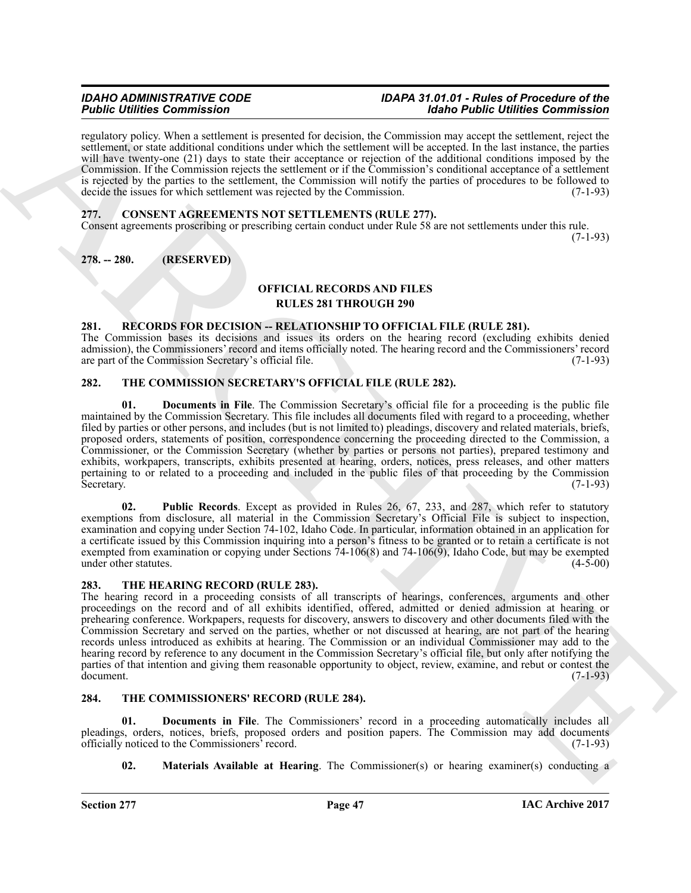regulatory policy. When a settlement is presented for decision, the Commission may accept the settlement, reject the settlement, or state additional conditions under which the settlement will be accepted. In the last instance, the parties will have twenty-one (21) days to state their acceptance or rejection of the additional conditions imposed by the Commission. If the Commission rejects the settlement or if the Commission's conditional acceptance of a settlement is rejected by the parties to the settlement, the Commission will notify the parties of procedures to be followed to decide the issues for which settlement was rejected by the Commission. (7-1-93)

#### <span id="page-46-6"></span><span id="page-46-0"></span>**277. CONSENT AGREEMENTS NOT SETTLEMENTS (RULE 277).**

Consent agreements proscribing or prescribing certain conduct under Rule 58 are not settlements under this rule. (7-1-93)

#### <span id="page-46-1"></span>**278. -- 280. (RESERVED)**

#### <span id="page-46-7"></span>**OFFICIAL RECORDS AND FILES RULES 281 THROUGH 290**

#### <span id="page-46-8"></span><span id="page-46-2"></span>**281. RECORDS FOR DECISION -- RELATIONSHIP TO OFFICIAL FILE (RULE 281).**

The Commission bases its decisions and issues its orders on the hearing record (excluding exhibits denied admission), the Commissioners' record and items officially noted. The hearing record and the Commissioners' record are part of the Commission Secretary's official file.

#### <span id="page-46-9"></span><span id="page-46-3"></span>**282. THE COMMISSION SECRETARY'S OFFICIAL FILE (RULE 282).**

<span id="page-46-10"></span>**01. Documents in File**. The Commission Secretary's official file for a proceeding is the public file maintained by the Commission Secretary. This file includes all documents filed with regard to a proceeding, whether filed by parties or other persons, and includes (but is not limited to) pleadings, discovery and related materials, briefs, proposed orders, statements of position, correspondence concerning the proceeding directed to the Commission, a Commissioner, or the Commission Secretary (whether by parties or persons not parties), prepared testimony and exhibits, workpapers, transcripts, exhibits presented at hearing, orders, notices, press releases, and other matters pertaining to or related to a proceeding and included in the public files of that proceeding by the Commission Secretary. (7-1-93)

<span id="page-46-11"></span>**02. Public Records**. Except as provided in Rules 26, 67, 233, and 287, which refer to statutory exemptions from disclosure, all material in the Commission Secretary's Official File is subject to inspection, examination and copying under Section 74-102, Idaho Code. In particular, information obtained in an application for a certificate issued by this Commission inquiring into a person's fitness to be granted or to retain a certificate is not exempted from examination or copying under Sections  $74-106(8)$  and  $74-106(9)$ , Idaho Code, but may be exempted under other statutes. under other statutes.

#### <span id="page-46-15"></span><span id="page-46-4"></span>**283. THE HEARING RECORD (RULE 283).**

For Commission Commission Commission (Action Commission Commission Commission Commission Commission Commission Commission Commission Commission Commission (Action Commission Commission Commission Commission Commission Com The hearing record in a proceeding consists of all transcripts of hearings, conferences, arguments and other proceedings on the record and of all exhibits identified, offered, admitted or denied admission at hearing or prehearing conference. Workpapers, requests for discovery, answers to discovery and other documents filed with the Commission Secretary and served on the parties, whether or not discussed at hearing, are not part of the hearing records unless introduced as exhibits at hearing. The Commission or an individual Commissioner may add to the hearing record by reference to any document in the Commission Secretary's official file, but only after notifying the parties of that intention and giving them reasonable opportunity to object, review, examine, and rebut or contest the document. (7-1-93)

#### <span id="page-46-12"></span><span id="page-46-5"></span>**284. THE COMMISSIONERS' RECORD (RULE 284).**

**01. Documents in File**. The Commissioners' record in a proceeding automatically includes all pleadings, orders, notices, briefs, proposed orders and position papers. The Commission may add documents officially noticed to the Commissioners' record. (7-1-93)

<span id="page-46-14"></span><span id="page-46-13"></span>**02. Materials Available at Hearing**. The Commissioner(s) or hearing examiner(s) conducting a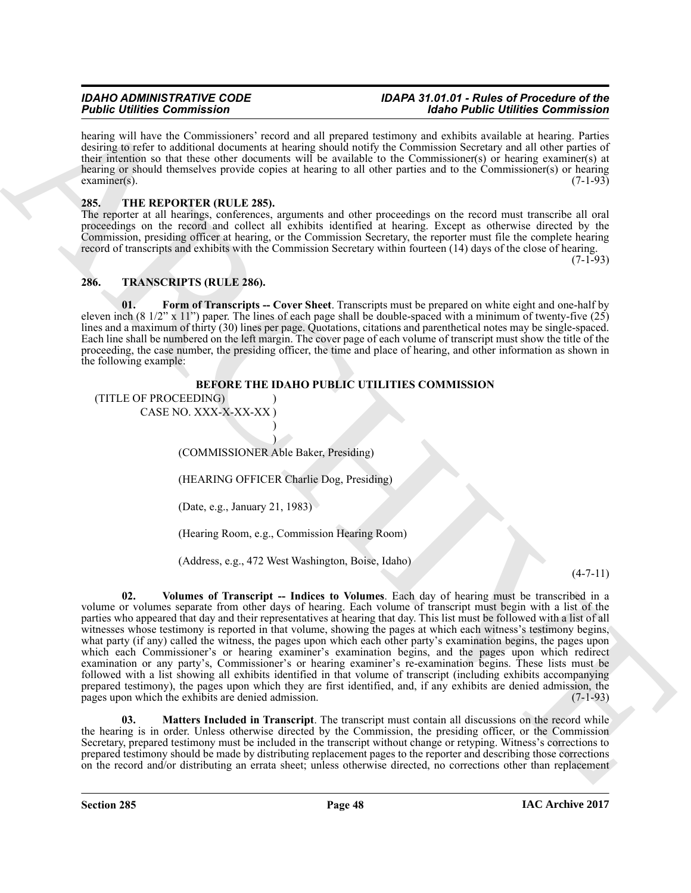hearing will have the Commissioners' record and all prepared testimony and exhibits available at hearing. Parties desiring to refer to additional documents at hearing should notify the Commission Secretary and all other parties of their intention so that these other documents will be available to the Commissioner(s) or hearing examiner(s) at hearing or should themselves provide copies at hearing to all other parties and to the Commissioner(s) or hearing  $\alpha$  examiner(s). (7-1-93)

#### <span id="page-47-2"></span><span id="page-47-0"></span>**285. THE REPORTER (RULE 285).**

The reporter at all hearings, conferences, arguments and other proceedings on the record must transcribe all oral proceedings on the record and collect all exhibits identified at hearing. Except as otherwise directed by the Commission, presiding officer at hearing, or the Commission Secretary, the reporter must file the complete hearing record of transcripts and exhibits with the Commission Secretary within fourteen (14) days of the close of hearing.

(7-1-93)

#### <span id="page-47-3"></span><span id="page-47-1"></span>**286. TRANSCRIPTS (RULE 286).**

<span id="page-47-4"></span>**01. Form of Transcripts -- Cover Sheet**. Transcripts must be prepared on white eight and one-half by eleven inch (8 1/2" x 11") paper. The lines of each page shall be double-spaced with a minimum of twenty-five (25) lines and a maximum of thirty (30) lines per page. Quotations, citations and parenthetical notes may be single-spaced. Each line shall be numbered on the left margin. The cover page of each volume of transcript must show the title of the proceeding, the case number, the presiding officer, the time and place of hearing, and other information as shown in the following example:

### **BEFORE THE IDAHO PUBLIC UTILITIES COMMISSION**

(TITLE OF PROCEEDING) )

CASE NO. XXX-X-XX-XX ) )

> ) (COMMISSIONER Able Baker, Presiding)

(HEARING OFFICER Charlie Dog, Presiding)

(Date, e.g., January 21, 1983)

(Hearing Room, e.g., Commission Hearing Room)

<span id="page-47-6"></span>(Address, e.g., 472 West Washington, Boise, Idaho)

#### (4-7-11)

For Contribution Commute and Theoretical Contribution Contribution Commute and the specific different of the contribution contribution of the specific different of the specific different of the specific different of the s **02. Volumes of Transcript -- Indices to Volumes**. Each day of hearing must be transcribed in a volume or volumes separate from other days of hearing. Each volume of transcript must begin with a list of the parties who appeared that day and their representatives at hearing that day. This list must be followed with a list of all witnesses whose testimony is reported in that volume, showing the pages at which each witness's testimony begins, what party (if any) called the witness, the pages upon which each other party's examination begins, the pages upon which each Commissioner's or hearing examiner's examination begins, and the pages upon which redirect examination or any party's, Commissioner's or hearing examiner's re-examination begins. These lists must be followed with a list showing all exhibits identified in that volume of transcript (including exhibits accompanying prepared testimony), the pages upon which they are first identified, and, if any exhibits are denied admission, the pages upon which the exhibits are denied admission. (7-1-93) pages upon which the exhibits are denied admission.

<span id="page-47-5"></span>**03. Matters Included in Transcript**. The transcript must contain all discussions on the record while the hearing is in order. Unless otherwise directed by the Commission, the presiding officer, or the Commission Secretary, prepared testimony must be included in the transcript without change or retyping. Witness's corrections to prepared testimony should be made by distributing replacement pages to the reporter and describing those corrections on the record and/or distributing an errata sheet; unless otherwise directed, no corrections other than replacement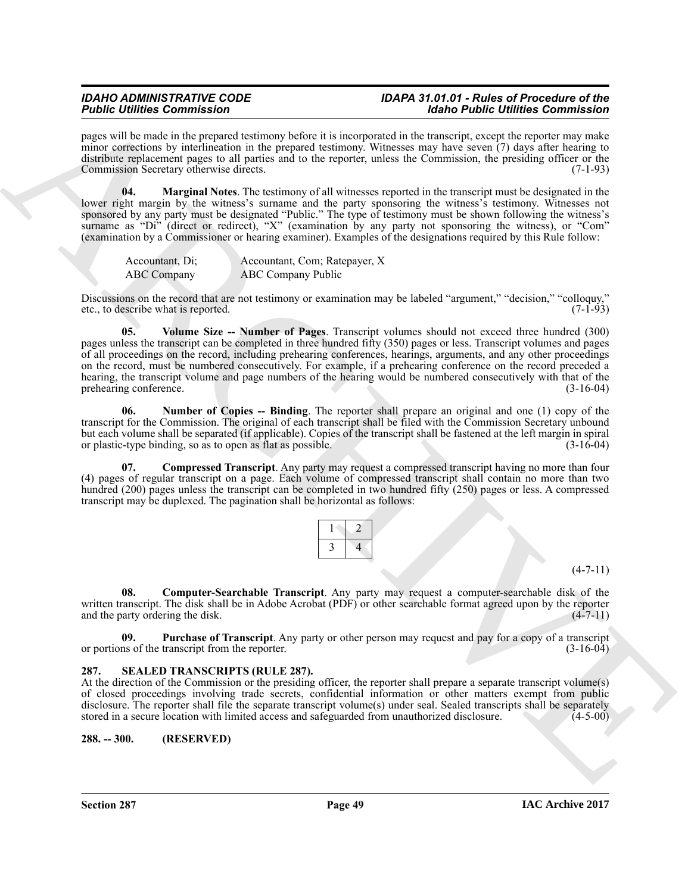pages will be made in the prepared testimony before it is incorporated in the transcript, except the reporter may make minor corrections by interlineation in the prepared testimony. Witnesses may have seven (7) days after hearing to distribute replacement pages to all parties and to the reporter, unless the Commission, the presiding officer or the Commission Secretary otherwise directs. (7-1-93)

<span id="page-48-5"></span>**04. Marginal Notes**. The testimony of all witnesses reported in the transcript must be designated in the lower right margin by the witness's surname and the party sponsoring the witness's testimony. Witnesses not sponsored by any party must be designated "Public." The type of testimony must be shown following the witness's surname as "Di" (direct or redirect), "X" (examination by any party not sponsoring the witness), or "Com" (examination by a Commissioner or hearing examiner). Examples of the designations required by this Rule follow:

<span id="page-48-8"></span>

| Accountant, Di; | Accountant, Com; Ratepayer, X |
|-----------------|-------------------------------|
| ABC Company     | ABC Company Public            |

Discussions on the record that are not testimony or examination may be labeled "argument," "decision," "colloquy," etc., to describe what is reported. (7-1-93) etc., to describe what is reported.

**Finding Example Commutes and the system of the system of the finding Example Commute and the system of the system of the system of the system of the system of the system of the system of the system of the system of the s 05. Volume Size -- Number of Pages**. Transcript volumes should not exceed three hundred (300) pages unless the transcript can be completed in three hundred fifty (350) pages or less. Transcript volumes and pages of all proceedings on the record, including prehearing conferences, hearings, arguments, and any other proceedings on the record, must be numbered consecutively. For example, if a prehearing conference on the record preceded a hearing, the transcript volume and page numbers of the hearing would be numbered consecutively with that of the prehearing conference. (3-16-04)

<span id="page-48-6"></span>**06. Number of Copies -- Binding**. The reporter shall prepare an original and one (1) copy of the transcript for the Commission. The original of each transcript shall be filed with the Commission Secretary unbound but each volume shall be separated (if applicable). Copies of the transcript shall be fastened at the left margin in spiral<br>or plastic-type binding, so as to open as flat as possible. or plastic-type binding, so as to open as flat as possible.

<span id="page-48-3"></span>**07. Compressed Transcript**. Any party may request a compressed transcript having no more than four (4) pages of regular transcript on a page. Each volume of compressed transcript shall contain no more than two hundred (200) pages unless the transcript can be completed in two hundred fifty (250) pages or less. A compressed transcript may be duplexed. The pagination shall be horizontal as follows:

 $(4 - 7 - 11)$ 

<span id="page-48-4"></span>**08. Computer-Searchable Transcript**. Any party may request a computer-searchable disk of the written transcript. The disk shall be in Adobe Acrobat (PDF) or other searchable format agreed upon by the reporter and the party ordering the disk. (4-7-11)

<span id="page-48-7"></span>**09. Purchase of Transcript**. Any party or other person may request and pay for a copy of a transcript or portions of the transcript from the reporter. (3-16-04)

#### <span id="page-48-2"></span><span id="page-48-0"></span>**287. SEALED TRANSCRIPTS (RULE 287).**

At the direction of the Commission or the presiding officer, the reporter shall prepare a separate transcript volume(s) of closed proceedings involving trade secrets, confidential information or other matters exempt from public disclosure. The reporter shall file the separate transcript volume(s) under seal. Sealed transcripts shall be separately stored in a secure location with limited access and safeguarded from unauthorized disclosure. (4-5-00)

#### <span id="page-48-1"></span>**288. -- 300. (RESERVED)**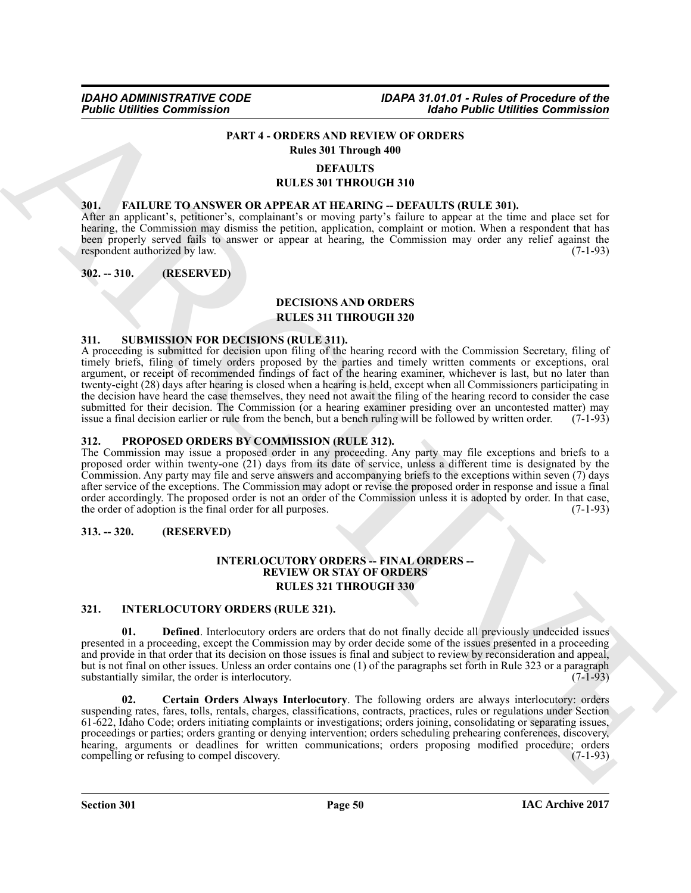#### <span id="page-49-11"></span>**PART 4 - ORDERS AND REVIEW OF ORDERS Rules 301 Through 400**

#### **DEFAULTS**

#### **RULES 301 THROUGH 310**

#### <span id="page-49-7"></span><span id="page-49-0"></span>**301. FAILURE TO ANSWER OR APPEAR AT HEARING -- DEFAULTS (RULE 301).**

After an applicant's, petitioner's, complainant's or moving party's failure to appear at the time and place set for hearing, the Commission may dismiss the petition, application, complaint or motion. When a respondent that has been properly served fails to answer or appear at hearing, the Commission may order any relief against the respondent authorized by law. (7-1-93) respondent authorized by law.

#### <span id="page-49-1"></span>**302. -- 310. (RESERVED)**

#### <span id="page-49-6"></span>**DECISIONS AND ORDERS**

#### **RULES 311 THROUGH 320**

#### <span id="page-49-13"></span><span id="page-49-2"></span>**311. SUBMISSION FOR DECISIONS (RULE 311).**

**Folding Commission**<br> **PART 4 - ORDER SAD HAVEVE OF ORDER SAD EVALUE OF THE SECTION CONDUCTS (FOR APPEAR AT THE ARCHIVES COMMISSION CONDUCTS)**<br> **PART 4 - ORDER SAD HAVEVE OF ORDER SAD PROVIDED AND ARCHIVES (FOR APPEAR AT** A proceeding is submitted for decision upon filing of the hearing record with the Commission Secretary, filing of timely briefs, filing of timely orders proposed by the parties and timely written comments or exceptions, oral argument, or receipt of recommended findings of fact of the hearing examiner, whichever is last, but no later than twenty-eight (28) days after hearing is closed when a hearing is held, except when all Commissioners participating in the decision have heard the case themselves, they need not await the filing of the hearing record to consider the case submitted for their decision. The Commission (or a hearing examiner presiding over an uncontested matter) may issue a final decision earlier or rule from the bench, but a bench ruling will be followed by written order. (7-1-93)

#### <span id="page-49-12"></span><span id="page-49-3"></span>**312. PROPOSED ORDERS BY COMMISSION (RULE 312).**

The Commission may issue a proposed order in any proceeding. Any party may file exceptions and briefs to a proposed order within twenty-one (21) days from its date of service, unless a different time is designated by the Commission. Any party may file and serve answers and accompanying briefs to the exceptions within seven (7) days after service of the exceptions. The Commission may adopt or revise the proposed order in response and issue a final order accordingly. The proposed order is not an order of the Commission unless it is adopted by order. In that case, the order of adoption is the final order for all purposes. (7-1-93)

#### <span id="page-49-4"></span>**313. -- 320. (RESERVED)**

#### <span id="page-49-10"></span>**INTERLOCUTORY ORDERS -- FINAL ORDERS -- REVIEW OR STAY OF ORDERS RULES 321 THROUGH 330**

#### <span id="page-49-8"></span><span id="page-49-5"></span>**321. INTERLOCUTORY ORDERS (RULE 321).**

**01. Defined**. Interlocutory orders are orders that do not finally decide all previously undecided issues presented in a proceeding, except the Commission may by order decide some of the issues presented in a proceeding and provide in that order that its decision on those issues is final and subject to review by reconsideration and appeal, but is not final on other issues. Unless an order contains one (1) of the paragraphs set forth in Rule 323 or a paragraph<br>(7-1-93) substantially similar, the order is interlocutory.

<span id="page-49-9"></span>**02. Certain Orders Always Interlocutory**. The following orders are always interlocutory: orders suspending rates, fares, tolls, rentals, charges, classifications, contracts, practices, rules or regulations under Section 61-622, Idaho Code; orders initiating complaints or investigations; orders joining, consolidating or separating issues, proceedings or parties; orders granting or denying intervention; orders scheduling prehearing conferences, discovery, hearing, arguments or deadlines for written communications; orders proposing modified procedure; orders compelling or refusing to compel discovery. (7-1-93)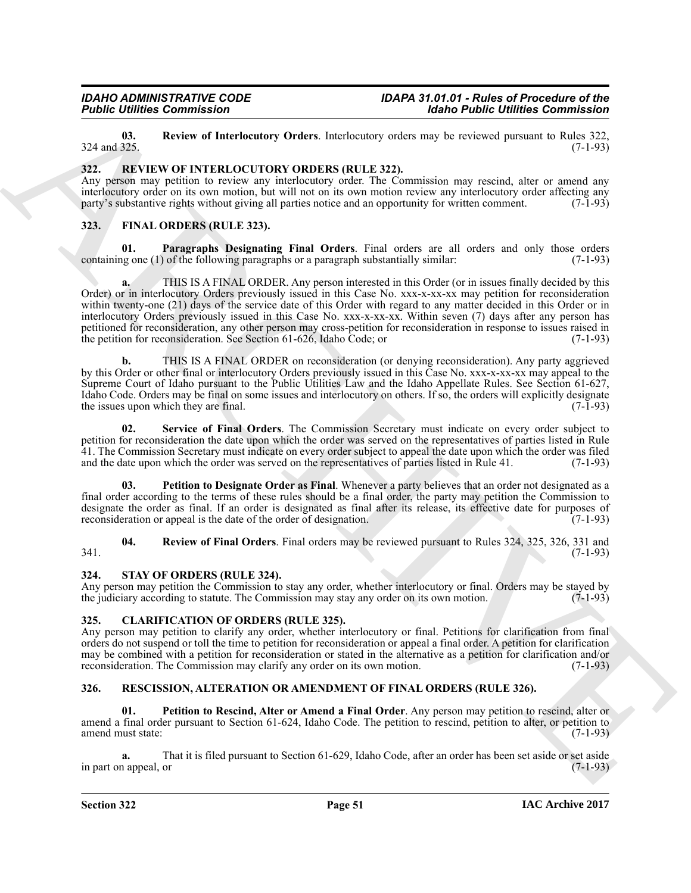<span id="page-50-11"></span>**03. Review of Interlocutory Orders**. Interlocutory orders may be reviewed pursuant to Rules 322,  $324$  and  $325.$  (7-1-93)

#### <span id="page-50-14"></span><span id="page-50-0"></span>**322. REVIEW OF INTERLOCUTORY ORDERS (RULE 322).**

Any person may petition to review any interlocutory order. The Commission may rescind, alter or amend any interlocutory order on its own motion, but will not on its own motion review any interlocutory order affecting any party's substantive rights without giving all parties notice and an opportunity for written comment. (7-1-9 party's substantive rights without giving all parties notice and an opportunity for written comment.

#### <span id="page-50-6"></span><span id="page-50-1"></span>**323. FINAL ORDERS (RULE 323).**

<span id="page-50-7"></span>**01. Paragraphs Designating Final Orders**. Final orders are all orders and only those orders containing one (1) of the following paragraphs or a paragraph substantially similar: (7-1-93)

**Folding Commission**<br>
22.1 **EVALUATION COMMISSION** (Eds.) **Commission** (The Commission Control of the Commission Commission Commission (Eds.) 22.<br>
22.1 **EVALUATION COMMISSION (ELE 232)**<br>
23.2 **EVALUATION CONTROL COMMODERS a.** THIS IS A FINAL ORDER. Any person interested in this Order (or in issues finally decided by this Order) or in interlocutory Orders previously issued in this Case No. xxx-x-xx-xx may petition for reconsideration within twenty-one (21) days of the service date of this Order with regard to any matter decided in this Order or in interlocutory Orders previously issued in this Case No. xxx-x-xx-xx. Within seven (7) days after any person has petitioned for reconsideration, any other person may cross-petition for reconsideration in response to issues raised in the petition for reconsideration. See Section 61-626, Idaho Code; or (7-1-93)

**b.** THIS IS A FINAL ORDER on reconsideration (or denying reconsideration). Any party aggrieved by this Order or other final or interlocutory Orders previously issued in this Case No. xxx-x-xx-xx may appeal to the Supreme Court of Idaho pursuant to the Public Utilities Law and the Idaho Appellate Rules. See Section 61-627, Idaho Code. Orders may be final on some issues and interlocutory on others. If so, the orders will explicitly designate the issues upon which they are final.  $(7-1-93)$ 

<span id="page-50-10"></span>**02. Service of Final Orders**. The Commission Secretary must indicate on every order subject to petition for reconsideration the date upon which the order was served on the representatives of parties listed in Rule 41. The Commission Secretary must indicate on every order subject to appeal the date upon which the order was filed and the date upon which the order was served on the representatives of parties listed in Rule 41. (7-1-93)

<span id="page-50-8"></span>**03. Petition to Designate Order as Final**. Whenever a party believes that an order not designated as a final order according to the terms of these rules should be a final order, the party may petition the Commission to designate the order as final. If an order is designated as final after its release, its effective date for purposes of reconsideration or appeal is the date of the order of designation. (7-1-93) reconsideration or appeal is the date of the order of designation.

<span id="page-50-9"></span>**04. Review of Final Orders**. Final orders may be reviewed pursuant to Rules 324, 325, 326, 331 and  $341.$  (7-1-93)

#### <span id="page-50-15"></span><span id="page-50-2"></span>**324. STAY OF ORDERS (RULE 324).**

Any person may petition the Commission to stay any order, whether interlocutory or final. Orders may be stayed by the judiciary according to statute. The Commission may stay any order on its own motion. (7-1-93)

#### <span id="page-50-5"></span><span id="page-50-3"></span>**325. CLARIFICATION OF ORDERS (RULE 325).**

Any person may petition to clarify any order, whether interlocutory or final. Petitions for clarification from final orders do not suspend or toll the time to petition for reconsideration or appeal a final order. A petition for clarification may be combined with a petition for reconsideration or stated in the alternative as a petition for clarification and/or reconsideration. The Commission may clarify any order on its own motion. (7-1-93)

#### <span id="page-50-12"></span><span id="page-50-4"></span>**326. RESCISSION, ALTERATION OR AMENDMENT OF FINAL ORDERS (RULE 326).**

<span id="page-50-13"></span>**01. Petition to Rescind, Alter or Amend a Final Order**. Any person may petition to rescind, alter or amend a final order pursuant to Section 61-624, Idaho Code. The petition to rescind, petition to alter, or petition to amend must state: (7-1-93)

**a.** That it is filed pursuant to Section 61-629, Idaho Code, after an order has been set aside or set aside in part on appeal, or (7-1-93)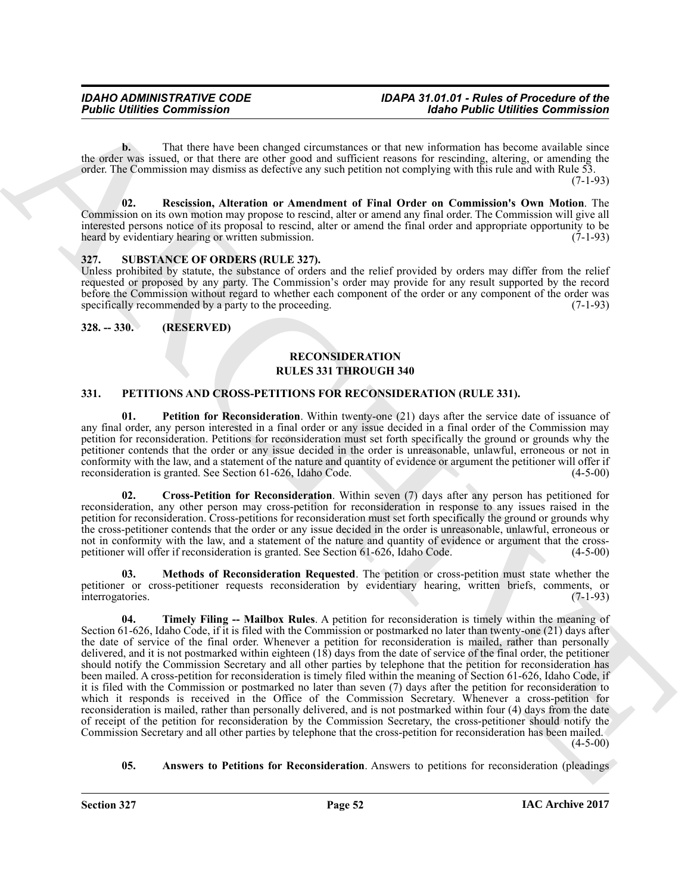**b.** That there have been changed circumstances or that new information has become available since the order was issued, or that there are other good and sufficient reasons for rescinding, altering, or amending the order. The Commission may dismiss as defective any such petition not complying with this rule and with Rule 53. (7-1-93)

<span id="page-51-10"></span>**02. Rescission, Alteration or Amendment of Final Order on Commission's Own Motion**. The Commission on its own motion may propose to rescind, alter or amend any final order. The Commission will give all interested persons notice of its proposal to rescind, alter or amend the final order and appropriate opportunity to be heard by evidentiary hearing or written submission. (7-1-93)

#### <span id="page-51-11"></span><span id="page-51-0"></span>**327. SUBSTANCE OF ORDERS (RULE 327).**

Unless prohibited by statute, the substance of orders and the relief provided by orders may differ from the relief requested or proposed by any party. The Commission's order may provide for any result supported by the record before the Commission without regard to whether each component of the order or any component of the order was specifically recommended by a party to the proceeding. (7-1-93)

#### <span id="page-51-1"></span>**328. -- 330. (RESERVED)**

#### <span id="page-51-9"></span>**RECONSIDERATION RULES 331 THROUGH 340**

#### <span id="page-51-3"></span><span id="page-51-2"></span>**331. PETITIONS AND CROSS-PETITIONS FOR RECONSIDERATION (RULE 331).**

<span id="page-51-7"></span>**01. Petition for Reconsideration**. Within twenty-one (21) days after the service date of issuance of any final order, any person interested in a final order or any issue decided in a final order of the Commission may petition for reconsideration. Petitions for reconsideration must set forth specifically the ground or grounds why the petitioner contends that the order or any issue decided in the order is unreasonable, unlawful, erroneous or not in conformity with the law, and a statement of the nature and quantity of evidence or argument the petitioner will offer if reconsideration is granted. See Section 61-626, Idaho Code. (4-5-00)

<span id="page-51-5"></span>**02. Cross-Petition for Reconsideration**. Within seven (7) days after any person has petitioned for reconsideration, any other person may cross-petition for reconsideration in response to any issues raised in the petition for reconsideration. Cross-petitions for reconsideration must set forth specifically the ground or grounds why the cross-petitioner contends that the order or any issue decided in the order is unreasonable, unlawful, erroneous or not in conformity with the law, and a statement of the nature and quantity of evidence or argument that the cross-<br>petitioner will offer if reconsideration is granted. See Section 61-626, Idaho Code. (4-5-00) petitioner will offer if reconsideration is granted. See Section 61-626, Idaho Code.

<span id="page-51-8"></span><span id="page-51-6"></span>**03. Methods of Reconsideration Requested**. The petition or cross-petition must state whether the petitioner or cross-petitioner requests reconsideration by evidentiary hearing, written briefs, comments, or interrogatories. (7-1-93) interrogatories.

**Former Communistics**<br> **Former Communistics**<br>
The flucture of the sign of the control interesting the control interesting and the sign of the sign of the sign of the sign of the sign of the sign of the sign of the sign of **04. Timely Filing -- Mailbox Rules**. A petition for reconsideration is timely within the meaning of Section 61-626, Idaho Code, if it is filed with the Commission or postmarked no later than twenty-one (21) days after the date of service of the final order. Whenever a petition for reconsideration is mailed, rather than personally delivered, and it is not postmarked within eighteen  $(18)$  days from the date of service of the final order, the petitioner should notify the Commission Secretary and all other parties by telephone that the petition for reconsideration has been mailed. A cross-petition for reconsideration is timely filed within the meaning of Section 61-626, Idaho Code, if it is filed with the Commission or postmarked no later than seven (7) days after the petition for reconsideration to which it responds is received in the Office of the Commission Secretary. Whenever a cross-petition for reconsideration is mailed, rather than personally delivered, and is not postmarked within four (4) days from the date of receipt of the petition for reconsideration by the Commission Secretary, the cross-petitioner should notify the Commission Secretary and all other parties by telephone that the cross-petition for reconsideration has been mailed. (4-5-00)

<span id="page-51-4"></span>**05. Answers to Petitions for Reconsideration**. Answers to petitions for reconsideration (pleadings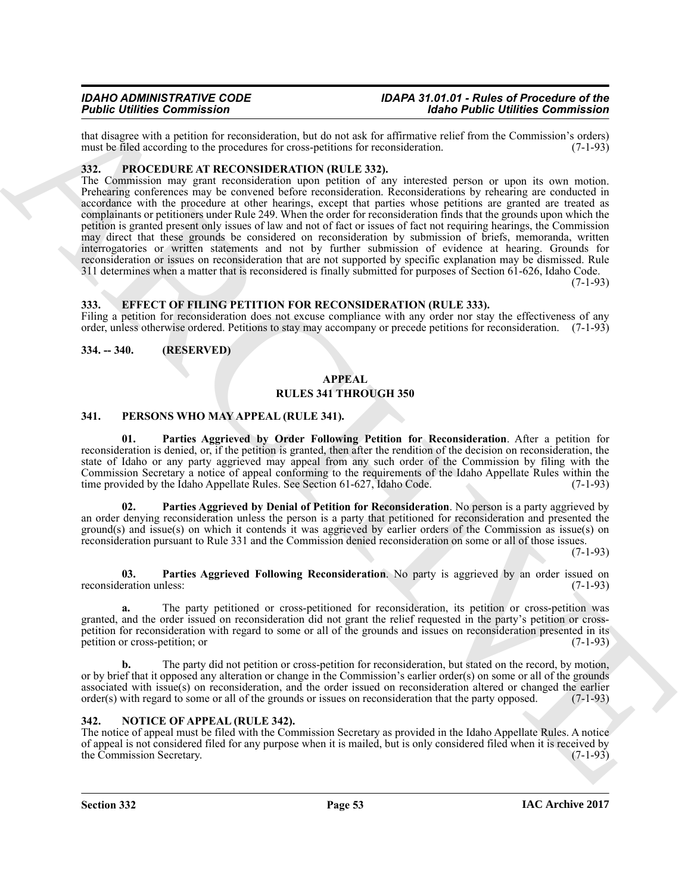that disagree with a petition for reconsideration, but do not ask for affirmative relief from the Commission's orders) must be filed according to the procedures for cross-petitions for reconsideration. (7-1-93) must be filed according to the procedures for cross-petitions for reconsideration.

#### <span id="page-52-11"></span><span id="page-52-0"></span>**332. PROCEDURE AT RECONSIDERATION (RULE 332).**

**Fig. Contribute Commission**<br>
And the party stills a provide the state of the state of the state of the state of the state of the state of the state of the state of the state of the state of the state of the state of the The Commission may grant reconsideration upon petition of any interested person or upon its own motion. Prehearing conferences may be convened before reconsideration. Reconsiderations by rehearing are conducted in accordance with the procedure at other hearings, except that parties whose petitions are granted are treated as complainants or petitioners under Rule 249. When the order for reconsideration finds that the grounds upon which the petition is granted present only issues of law and not of fact or issues of fact not requiring hearings, the Commission may direct that these grounds be considered on reconsideration by submission of briefs, memoranda, written interrogatories or written statements and not by further submission of evidence at hearing. Grounds for reconsideration or issues on reconsideration that are not supported by specific explanation may be dismissed. Rule 311 determines when a matter that is reconsidered is finally submitted for purposes of Section 61-626, Idaho Code.

 $(7-1-93)$ 

#### <span id="page-52-6"></span><span id="page-52-1"></span>**333. EFFECT OF FILING PETITION FOR RECONSIDERATION (RULE 333).**

Filing a petition for reconsideration does not excuse compliance with any order nor stay the effectiveness of any order, unless otherwise ordered. Petitions to stay may accompany or precede petitions for reconsideration. (7-1-93)

<span id="page-52-2"></span>**334. -- 340. (RESERVED)**

#### <span id="page-52-5"></span>**APPEAL RULES 341 THROUGH 350**

#### <span id="page-52-7"></span><span id="page-52-3"></span>**341. PERSONS WHO MAY APPEAL (RULE 341).**

<span id="page-52-9"></span>**01. Parties Aggrieved by Order Following Petition for Reconsideration**. After a petition for reconsideration is denied, or, if the petition is granted, then after the rendition of the decision on reconsideration, the state of Idaho or any party aggrieved may appeal from any such order of the Commission by filing with the Commission Secretary a notice of appeal conforming to the requirements of the Idaho Appellate Rules within the time provided by the Idaho Appellate Rules. See Section 61-627, Idaho Code. (7-1-93)

<span id="page-52-8"></span>**02. Parties Aggrieved by Denial of Petition for Reconsideration**. No person is a party aggrieved by an order denying reconsideration unless the person is a party that petitioned for reconsideration and presented the ground(s) and issue(s) on which it contends it was aggrieved by earlier orders of the Commission as issue(s) on reconsideration pursuant to Rule 331 and the Commission denied reconsideration on some or all of those issues.

(7-1-93)

<span id="page-52-10"></span>**03. Parties Aggrieved Following Reconsideration**. No party is aggrieved by an order issued on reconsideration unless: (7-1-93)

**a.** The party petitioned or cross-petitioned for reconsideration, its petition or cross-petition was granted, and the order issued on reconsideration did not grant the relief requested in the party's petition or crosspetition for reconsideration with regard to some or all of the grounds and issues on reconsideration presented in its petition or cross-petition; or  $(7-1-93)$ 

**b.** The party did not petition or cross-petition for reconsideration, but stated on the record, by motion, or by brief that it opposed any alteration or change in the Commission's earlier order(s) on some or all of the grounds associated with issue(s) on reconsideration, and the order issued on reconsideration altered or changed the earlier order(s) with regard to some or all of the grounds or issues on reconsideration that the party opposed. (7-1-93)

#### <span id="page-52-4"></span>**342. NOTICE OF APPEAL (RULE 342).**

The notice of appeal must be filed with the Commission Secretary as provided in the Idaho Appellate Rules. A notice of appeal is not considered filed for any purpose when it is mailed, but is only considered filed when it is received by the Commission Secretary. (7-1-93)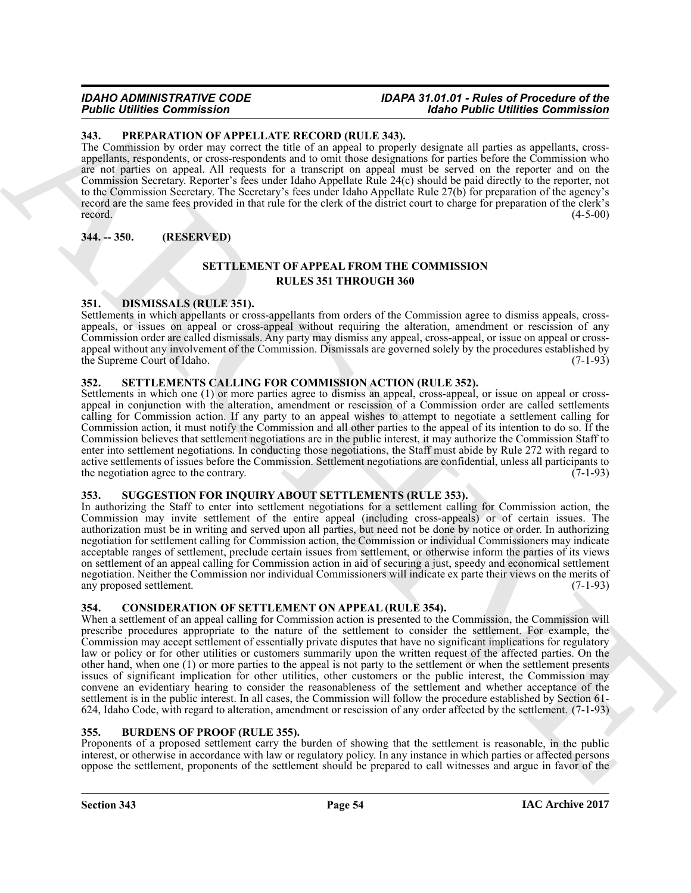#### <span id="page-53-10"></span><span id="page-53-0"></span>**343. PREPARATION OF APPELLATE RECORD (RULE 343).**

The Commission by order may correct the title of an appeal to properly designate all parties as appellants, crossappellants, respondents, or cross-respondents and to omit those designations for parties before the Commission who are not parties on appeal. All requests for a transcript on appeal must be served on the reporter and on the Commission Secretary. Reporter's fees under Idaho Appellate Rule 24(c) should be paid directly to the reporter, not to the Commission Secretary. The Secretary's fees under Idaho Appellate Rule 27(b) for preparation of the agency's record are the same fees provided in that rule for the clerk of the district court to charge for preparation of the clerk's record.  $(4-5-00)$ 

<span id="page-53-1"></span>**344. -- 350. (RESERVED)**

#### <span id="page-53-11"></span>**SETTLEMENT OF APPEAL FROM THE COMMISSION RULES 351 THROUGH 360**

#### <span id="page-53-9"></span><span id="page-53-2"></span>**351. DISMISSALS (RULE 351).**

Settlements in which appellants or cross-appellants from orders of the Commission agree to dismiss appeals, crossappeals, or issues on appeal or cross-appeal without requiring the alteration, amendment or rescission of any Commission order are called dismissals. Any party may dismiss any appeal, cross-appeal, or issue on appeal or crossappeal without any involvement of the Commission. Dismissals are governed solely by the procedures established by the Supreme Court of Idaho. (7-1-93)

#### <span id="page-53-12"></span><span id="page-53-3"></span>**352. SETTLEMENTS CALLING FOR COMMISSION ACTION (RULE 352).**

Settlements in which one (1) or more parties agree to dismiss an appeal, cross-appeal, or issue on appeal or crossappeal in conjunction with the alteration, amendment or rescission of a Commission order are called settlements calling for Commission action. If any party to an appeal wishes to attempt to negotiate a settlement calling for Commission action, it must notify the Commission and all other parties to the appeal of its intention to do so. If the Commission believes that settlement negotiations are in the public interest, it may authorize the Commission Staff to enter into settlement negotiations. In conducting those negotiations, the Staff must abide by Rule 272 with regard to active settlements of issues before the Commission. Settlement negotiations are confidential, unless all participants to the negotiation agree to the contrary. (7-1-93)

#### <span id="page-53-13"></span><span id="page-53-4"></span>**353. SUGGESTION FOR INQUIRY ABOUT SETTLEMENTS (RULE 353).**

In authorizing the Staff to enter into settlement negotiations for a settlement calling for Commission action, the Commission may invite settlement of the entire appeal (including cross-appeals) or of certain issues. The authorization must be in writing and served upon all parties, but need not be done by notice or order. In authorizing negotiation for settlement calling for Commission action, the Commission or individual Commissioners may indicate acceptable ranges of settlement, preclude certain issues from settlement, or otherwise inform the parties of its views on settlement of an appeal calling for Commission action in aid of securing a just, speedy and economical settlement negotiation. Neither the Commission nor individual Commissioners will indicate ex parte their views on the merits of any proposed settlement. (7-1-93)

#### <span id="page-53-8"></span><span id="page-53-5"></span>**354. CONSIDERATION OF SETTLEMENT ON APPEAL (RULE 354).**

For Commission Commission Control in the system of the behaviour commission commission commission of the system of the system of the system of the system of the system of the system of the system of the system of the syst When a settlement of an appeal calling for Commission action is presented to the Commission, the Commission will prescribe procedures appropriate to the nature of the settlement to consider the settlement. For example, the Commission may accept settlement of essentially private disputes that have no significant implications for regulatory law or policy or for other utilities or customers summarily upon the written request of the affected parties. On the other hand, when one (1) or more parties to the appeal is not party to the settlement or when the settlement presents issues of significant implication for other utilities, other customers or the public interest, the Commission may convene an evidentiary hearing to consider the reasonableness of the settlement and whether acceptance of the settlement is in the public interest. In all cases, the Commission will follow the procedure established by Section 61- 624, Idaho Code, with regard to alteration, amendment or rescission of any order affected by the settlement. (7-1-93)

#### <span id="page-53-7"></span><span id="page-53-6"></span>**355. BURDENS OF PROOF (RULE 355).**

Proponents of a proposed settlement carry the burden of showing that the settlement is reasonable, in the public interest, or otherwise in accordance with law or regulatory policy. In any instance in which parties or affected persons oppose the settlement, proponents of the settlement should be prepared to call witnesses and argue in favor of the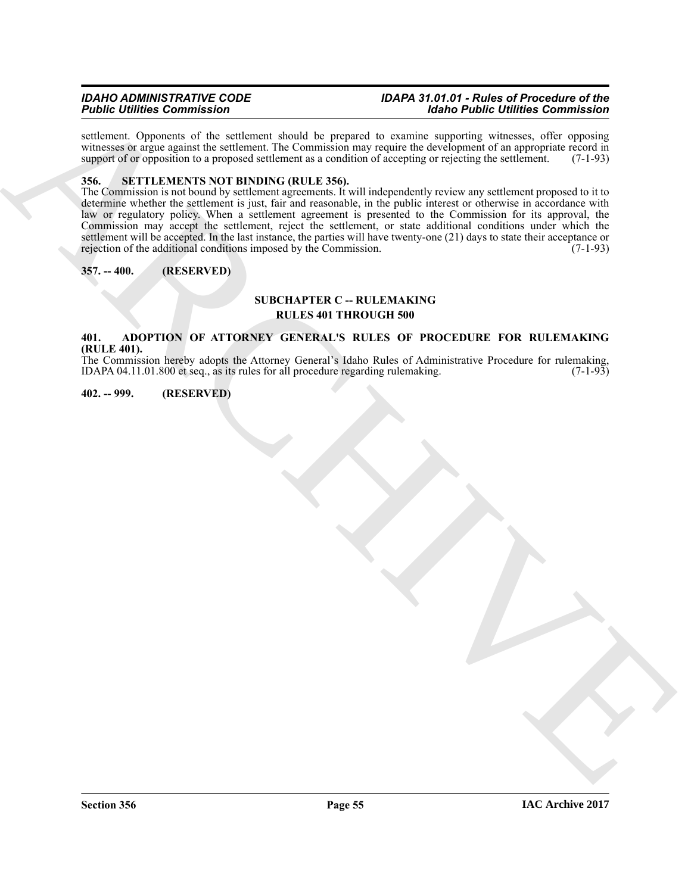settlement. Opponents of the settlement should be prepared to examine supporting witnesses, offer opposing witnesses or argue against the settlement. The Commission may require the development of an appropriate record in support of or opposition to a proposed settlement as a condition of accepting or rejecting the settlement. (7-1-93)

#### <span id="page-54-4"></span><span id="page-54-0"></span>**356. SETTLEMENTS NOT BINDING (RULE 356).**

**Figure 10** in the state of the state of the state of the state of the state of the state of the state of the state of the state of the state of the state of the state of the state of the state of the state of the state o The Commission is not bound by settlement agreements. It will independently review any settlement proposed to it to determine whether the settlement is just, fair and reasonable, in the public interest or otherwise in accordance with law or regulatory policy. When a settlement agreement is presented to the Commission for its approval, the Commission may accept the settlement, reject the settlement, or state additional conditions under which the settlement will be accepted. In the last instance, the parties will have twenty-one (21) days to state their acceptance or rejection of the additional conditions imposed by the Commission.  $(7-1-93)$ 

#### <span id="page-54-1"></span>**357. -- 400. (RESERVED)**

#### **SUBCHAPTER C -- RULEMAKING RULES 401 THROUGH 500**

#### <span id="page-54-2"></span>**401. ADOPTION OF ATTORNEY GENERAL'S RULES OF PROCEDURE FOR RULEMAKING (RULE 401).**

The Commission hereby adopts the Attorney General's Idaho Rules of Administrative Procedure for rulemaking, IDAPA 04.11.01.800 et seq., as its rules for all procedure regarding rulemaking.  $(7-1-93)$ 

#### <span id="page-54-3"></span>**402. -- 999. (RESERVED)**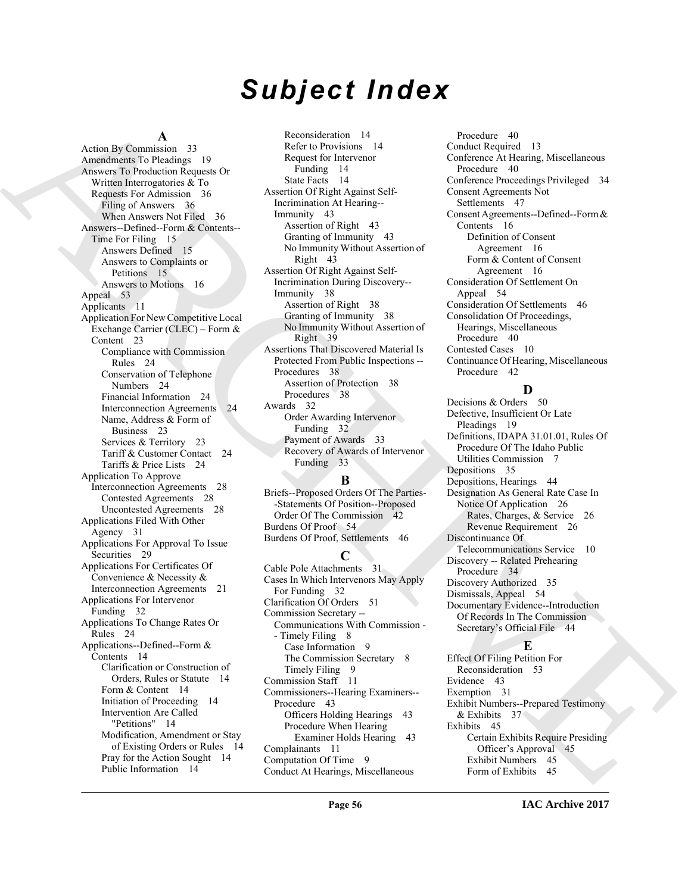## *Subject Index*

#### **A**

[A](#page-35-3)rchive [C](#page-37-6)ommute 3: Starter into the startes of the startes of the content of the startes of the startes of the startes of the startes of the startes of the startes of the startes of the startes of the startes of the start Action By Commission 33 Amendments To Pleadings 19 Answers To Production Requests Or Written Interrogatories & To Requests For Admission 36 Filing of Answers 36 When Answers Not Filed 36 Answers--Defined--Form & Contents-- Time For Filing 15 Answers Defined 15 Answers to Complaints or Petitions 15 Answers to Motions 16 Appeal 53 Applicants 11 Application For New Competitive Local Exchange Carrier (CLEC) – Form & Content 23 Compliance with Commission Rules 24 Conservation of Telephone Numbers 24 Financial Information 24 Interconnection Agreements 24 Name, Address & Form of Business 23 Services & Territory 23 Tariff & Customer Contact 24 Tariffs & Price Lists 24 Application To Approve Interconnection Agreements 28 Contested Agreements 28 Uncontested Agreements 28 Applications Filed With Other Agency 31 Applications For Approval To Issue Securities 29 Applications For Certificates Of Convenience & Necessity & Interconnection Agreements 21 Applications For Intervenor Funding 32 Applications To Change Rates Or Rules 24 Applications--Defined--Form & Contents 14 Clarification or Construction of Orders, Rules or Statute 14 Form & Content 14 Initiation of Proceeding 14 Intervention Are Called "Petitions" 14 Modification, Amendment or Stay of Existing Orders or Rules 14 Pray for the Action Sought 14 Public Information 14

Reconsideration 14 Refer to Provisions 14 Request for Intervenor Funding 14 State Facts 14 Assertion Of Right Against Self-Incrimination At Hearing-- Immunity 43 Assertion of Right 43 Granting of Immunity 43 No Immunity Without Assertion of Right 43 Assertion Of Right Against Self-Incrimination During Discovery-- Immunity 38 Assertion of Right 38 Granting of Immunity 38 No Immunity Without Assertion of Right 39 Assertions That Discovered Material Is Protected From Public Inspections -- Procedures 38 Assertion of Protection 38 Procedures 38 Awards 32 Order Awarding Intervenor Funding 32 Payment of Awards 33 Recovery of Awards of Intervenor Funding 33

#### **B**

Briefs--Proposed Orders Of The Parties- -Statements Of Position--Proposed Order Of The Commission 42 Burdens Of Proof 54 Burdens Of Proof, Settlements 46

#### **C**

Cable Pole Attachments 31 Cases In Which Intervenors May Apply For Funding 32 Clarification Of Orders 51 Commission Secretary -- Communications With Commission - - Timely Filing 8 Case Information 9 The Commission Secretary 8 Timely Filing 9 Commission Staff 11 Commissioners--Hearing Examiners-- Procedure 43 Officers Holding Hearings 43 Procedure When Hearing Examiner Holds Hearing 43 Complainants 11 Computation Of Time 9 Conduct At Hearings, Miscellaneous

Procedure 40 Conduct Required 13 Conference At Hearing, Miscellaneous Procedure 40 Conference Proceedings Privileged 34 Consent Agreements Not Settlements 47 Consent Agreements--Defined--Form & Contents 16 Definition of Consent Agreement 16 Form & Content of Consent Agreement 16 Consideration Of Settlement On Appeal 54 Consideration Of Settlements 46 Consolidation Of Proceedings, Hearings, Miscellaneous Procedure 40 Contested Cases 10 Continuance Of Hearing, Miscellaneous Procedure 42

#### **D**

Decisions & Orders 50 Defective, Insufficient Or Late Pleadings 19 Definitions, IDAPA 31.01.01, Rules Of Procedure Of The Idaho Public Utilities Commission 7 Depositions 35 Depositions, Hearings 44 Designation As General Rate Case In Notice Of Application 26 Rates, Charges, & Service 26 Revenue Requirement 26 Discontinuance Of Telecommunications Service 10 Discovery -- Related Prehearing Procedure 34 Discovery Authorized 35 Dismissals, Appeal 54 Documentary Evidence--Introduction Of Records In The Commission Secretary's Official File 44 **E**

Effect Of Filing Petition For Reconsideration 53 Evidence 43 Exemption 31 Exhibit Numbers--Prepared Testimony & Exhibits 37 Exhibits 45 Certain Exhibits Require Presiding Officer's Approval 45 Exhibit Numbers 45 Form of Exhibits 45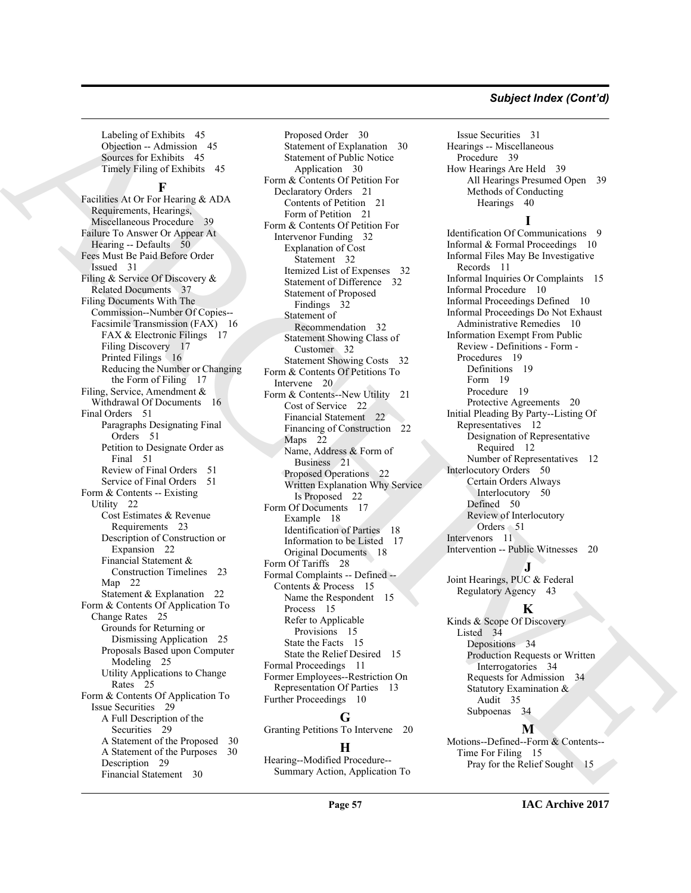#### *Subject Index (Cont'd)*

Labeling of Exhibits 45 Objection -- Admission 45 Sources for Exhibits 45 Timely Filing of Exhibits 45

#### **F**

Locality of Franchise Company of [A](#page-38-5)ngles [C](#page-31-14)ompany (and the Company of Angles Company of Angles Company (and the Company of Angles Company of Angles Company of Angles Company of Angles Company of Angles Company of Angles Com Facilities At Or For Hearing & ADA Requirements, Hearings, Miscellaneous Procedure 39 Failure To Answer Or Appear At Hearing -- Defaults 50 Fees Must Be Paid Before Order Issued 31 Filing & Service Of Discovery & Related Documents 37 Filing Documents With The Commission--Number Of Copies-- Facsimile Transmission (FAX) 16 FAX & Electronic Filings 17 Filing Discovery 17 Printed Filings 16 Reducing the Number or Changing the Form of Filing 17 Filing, Service, Amendment & Withdrawal Of Documents 16 Final Orders 51 Paragraphs Designating Final Orders 51 Petition to Designate Order as Final 51 Review of Final Orders 51 Service of Final Orders 51 Form & Contents -- Existing Utility 22 Cost Estimates & Revenue Requirements 23 Description of Construction or Expansion 22 Financial Statement & Construction Timelines 23 Map 22 Statement & Explanation 22 Form & Contents Of Application To Change Rates 25 Grounds for Returning or Dismissing Application 25 Proposals Based upon Computer Modeling 25 Utility Applications to Change Rates 25 Form & Contents Of Application To Issue Securities 29 A Full Description of the Securities 29 A Statement of the Proposed 30 A Statement of the Purposes 30 Description 29 Financial Statement 30

Proposed Order 30 Statement of Explanation 30 Statement of Public Notice Application 30 Form & Contents Of Petition For Declaratory Orders 21 Contents of Petition 21 Form of Petition 21 Form & Contents Of Petition For Intervenor Funding 32 Explanation of Cost Statement 32 Itemized List of Expenses 32 Statement of Difference 32 Statement of Proposed Findings 32 Statement of Recommendation 32 Statement Showing Class of Customer 32 Statement Showing Costs 32 Form & Contents Of Petitions To Intervene 20 Form & Contents--New Utility 21 Cost of Service 22 Financial Statement 22 Financing of Construction 22 Maps 22 Name, Address & Form of Business 21 Proposed Operations 22 Written Explanation Why Service Is Proposed 22 Form Of Documents 17 Example 18 Identification of Parties 18 Information to be Listed 17 Original Documents 18 Form Of Tariffs 28 Formal Complaints -- Defined -- Contents & Process 15 Name the Respondent 15 Process 15 Refer to Applicable Provisions 15 State the Facts 15 State the Relief Desired 15 Formal Proceedings 11 Former Employees--Restriction On Representation Of Parties 13 Further Proceedings 10

#### **G**

Granting Petitions To Intervene 20

#### **H**

Hearing--Modified Procedure-- Summary Action, Application To

Issue Securities 31 Hearings -- Miscellaneous Procedure 39 How Hearings Are Held 39 All Hearings Presumed Open 39 Methods of Conducting Hearings 40 **I** Identification Of Communications 9 Informal & Formal Proceedings 10 Informal Files May Be Investigative Records 11 Informal Inquiries Or Complaints 15 Informal Procedure 10

Informal Proceedings Defined 10 Informal Proceedings Do Not Exhaust Administrative Remedies 10 Information Exempt From Public Review - Definitions - Form - Procedures 19 Definitions 19 Form 19 Procedure 19 Protective Agreements 20 Initial Pleading By Party--Listing Of Representatives 12 Designation of Representative Required 12 Number of Representatives 12 Interlocutory Orders 50 Certain Orders Always Interlocutory 50 Defined 50 Review of Interlocutory Orders 51 Intervenors 11 Intervention -- Public Witnesses 20

### **J**

Joint Hearings, PUC & Federal Regulatory Agency 43

#### **K**

Kinds & Scope Of Discovery Listed 34 Depositions 34 Production Requests or Written Interrogatories 34 Requests for Admission 34 Statutory Examination & Audit 35 Subpoenas 34

#### **M**

Motions--Defined--Form & Contents-- Time For Filing 15 Pray for the Relief Sought 15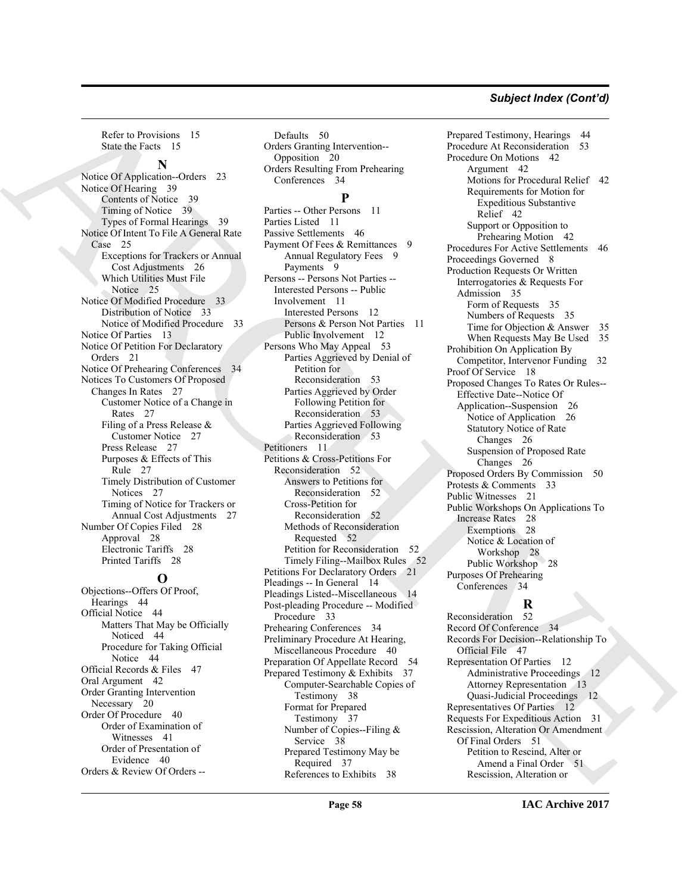#### *Subject Index (Cont'd)*

Refer to Provisions 15 State the Facts 15

#### **N**

Notice Of Application--Orders 23 Notice Of Hearing 39 Contents of Notice 39 Timing of Notice 39 Types of Formal Hearings 39 Notice Of Intent To File A General Rate Case 25 Exceptions for Trackers or Annual Cost Adjustments 26 Which Utilities Must File Notice 25 Notice Of Modified Procedure 33 Distribution of Notice 33 Notice of Modified Procedure 33 Notice Of Parties 13 Notice Of Petition For Declaratory Orders 21 Notice Of Prehearing Conferences Notices To Customers Of Proposed Changes In Rates 27 Customer Notice of a Change in Rates 27 Filing of a Press Release & Customer Notice 27 Press Release 27 Purposes & Effects of This Rule 27 Timely Distribution of Customer Notices 27 Timing of Notice for Trackers or Annual Cost Adjustments 27 Number Of Copies Filed 28 Approval 28 Electronic Tariffs 28 Printed Tariffs 28

#### **O**

Objections--Offers Of Proof, Hearings 44 Official Notice 44 Matters That May be Officially Noticed 44 Procedure for Taking Official Notice 44 Official Records & Files 47 Oral Argument 42 Order Granting Intervention Necessary 20 Order Of Procedure 40 Order of Examination of Witnesses 41 Order of Presentation of Evidence 40 Orders & Review Of Orders --

Defaults 50 Orders Granting Intervention-- Opposition 20 Orders Resulting From Prehearing Conferences 34

#### **P**

[AR](#page-24-6)[C](#page-52-8)[H](#page-52-9)[I](#page-27-14)[V](#page-27-16)[E](#page-46-8) Parties -- Other Persons 11 Parties Listed 11 Passive Settlements 46 Payment Of Fees & Remittances 9 Annual Regulatory Fees 9 Payments 9 Persons -- Persons Not Parties -- Interested Persons -- Public Involvement 11 Interested Persons 12 Persons & Person Not Parties 11 Public Involvement 12 Persons Who May Appeal 53 Parties Aggrieved by Denial of Petition for Reconsideration 53 Parties Aggrieved by Order Following Petition for Reconsideration 53 Parties Aggrieved Following Reconsideration 53 Petitioners 11 Petitions & Cross-Petitions For Reconsideration 52 Answers to Petitions for Reconsideration 52 Cross-Petition for Reconsideration 52 Methods of Reconsideration Requested 52 Petition for Reconsideration 52 Timely Filing--Mailbox Rules 52 Petitions For Declaratory Orders 21 Pleadings -- In General 14 Pleadings Listed--Miscellaneous 14 Post-pleading Procedure -- Modified Procedure 33 Prehearing Conferences 34 Preliminary Procedure At Hearing, Miscellaneous Procedure 40 Preparation Of Appellate Record 54 Prepared Testimony & Exhibits 37 Computer-Searchable Copies of Testimony 38 Format for Prepared Testimony 37 Number of Copies--Filing & Service 38 Prepared Testimony May be Required 37 References to Exhibits 38

Prepared Testimony, Hearings 44 Procedure At Reconsideration 53 Procedure On Motions 42 Argument 42 Motions for Procedural Relief 42 Requirements for Motion for Expeditious Substantive Relief 42 Support or Opposition to Prehearing Motion 42 Procedures For Active Settlements 46 Proceedings Governed 8 Production Requests Or Written Interrogatories & Requests For Admission 35 Form of Requests 35 Numbers of Requests 35 Time for Objection & Answer 35 When Requests May Be Used 35 Prohibition On Application By Competitor, Intervenor Funding 32 Proof Of Service 18 Proposed Changes To Rates Or Rules-- Effective Date--Notice Of Application--Suspension 26 Notice of Application 26 Statutory Notice of Rate Changes 26 Suspension of Proposed Rate Changes 26 Proposed Orders By Commission 50 Protests & Comments 33 Public Witnesses 21 Public Workshops On Applications To Increase Rates 28 Exemptions 28 Notice & Location of Workshop 28 Public Workshop 28 Purposes Of Prehearing Conferences 34

#### **R**

Reconsideration 52 Record Of Conference 34 Records For Decision--Relationship To Official File 47 Representation Of Parties 12 Administrative Proceedings 12 Attorney Representation 13 Quasi-Judicial Proceedings 12 Representatives Of Parties 12 Requests For Expeditious Action 31 Rescission, Alteration Or Amendment Of Final Orders 51 Petition to Rescind, Alter or Amend a Final Order 51 Rescission, Alteration or